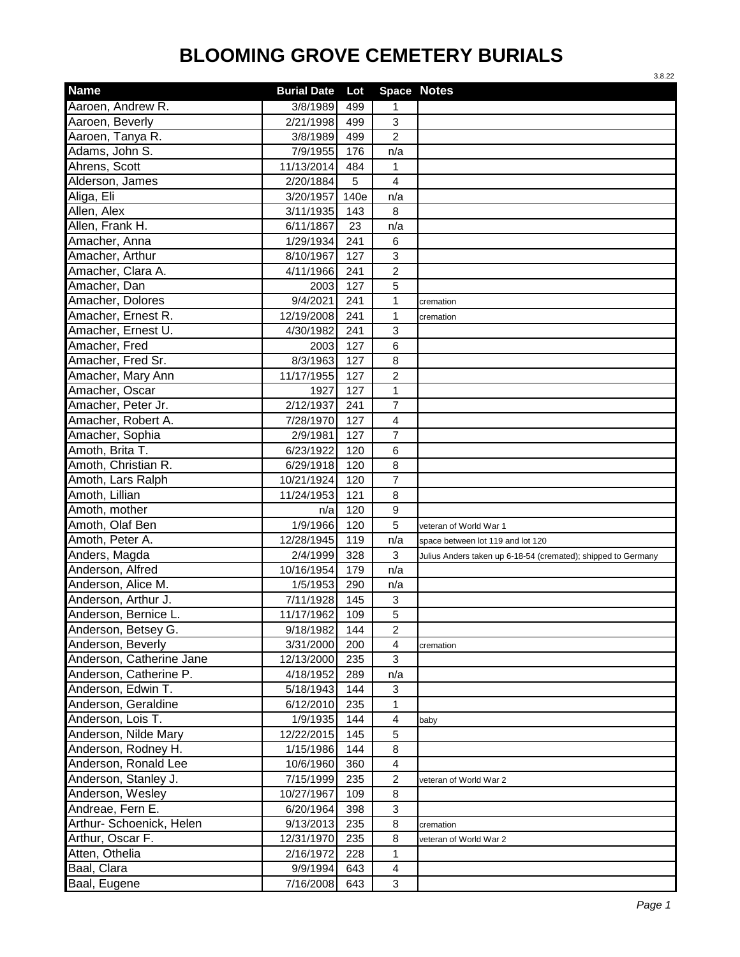|                          |                    |      |                              | 3.8.22                                                        |
|--------------------------|--------------------|------|------------------------------|---------------------------------------------------------------|
| <b>Name</b>              | <b>Burial Date</b> | Lot  |                              | <b>Space Notes</b>                                            |
| Aaroen, Andrew R.        | 3/8/1989           | 499  | 1                            |                                                               |
| Aaroen, Beverly          | 2/21/1998          | 499  | 3                            |                                                               |
| Aaroen, Tanya R.         | 3/8/1989           | 499  | $\overline{c}$               |                                                               |
| Adams, John S.           | 7/9/1955           | 176  | n/a                          |                                                               |
| Ahrens, Scott            | 11/13/2014         | 484  | $\mathbf{1}$                 |                                                               |
| Alderson, James          | 2/20/1884          | 5    | $\overline{4}$               |                                                               |
| Aliga, Eli               | 3/20/1957          | 140e | n/a                          |                                                               |
| Allen, Alex              | 3/11/1935          | 143  | 8                            |                                                               |
| Allen, Frank H.          | 6/11/1867          | 23   | n/a                          |                                                               |
| Amacher, Anna            | 1/29/1934          | 241  | 6                            |                                                               |
| Amacher, Arthur          | 8/10/1967          | 127  | 3                            |                                                               |
| Amacher, Clara A.        | 4/11/1966          | 241  | $\overline{2}$               |                                                               |
| Amacher, Dan             | 2003               | 127  | 5                            |                                                               |
| Amacher, Dolores         | 9/4/2021           | 241  | $\mathbf 1$                  | cremation                                                     |
| Amacher, Ernest R.       | 12/19/2008         | 241  | 1                            | cremation                                                     |
| Amacher, Ernest U.       | 4/30/1982          | 241  | 3                            |                                                               |
| Amacher, Fred            | 2003               | 127  | 6                            |                                                               |
| Amacher, Fred Sr.        | 8/3/1963           | 127  | 8                            |                                                               |
| Amacher, Mary Ann        | 11/17/1955         | 127  | $\overline{c}$               |                                                               |
| Amacher, Oscar           | 1927               | 127  | 1                            |                                                               |
| Amacher, Peter Jr.       | 2/12/1937          | 241  | $\overline{7}$               |                                                               |
| Amacher, Robert A.       | 7/28/1970          | 127  | $\overline{4}$               |                                                               |
| Amacher, Sophia          | 2/9/1981           | 127  | $\overline{7}$               |                                                               |
| Amoth, Brita T.          | 6/23/1922          | 120  | 6                            |                                                               |
| Amoth, Christian R.      | 6/29/1918          | 120  | 8                            |                                                               |
| Amoth, Lars Ralph        | 10/21/1924         | 120  | $\overline{7}$               |                                                               |
| Amoth, Lillian           | 11/24/1953         | 121  | 8                            |                                                               |
| Amoth, mother            | n/a                | 120  | 9                            |                                                               |
| Amoth, Olaf Ben          | 1/9/1966           | 120  | 5                            | veteran of World War 1                                        |
| Amoth, Peter A.          | 12/28/1945         | 119  | n/a                          | space between lot 119 and lot 120                             |
| Anders, Magda            | 2/4/1999           | 328  | 3                            | Julius Anders taken up 6-18-54 (cremated); shipped to Germany |
| Anderson, Alfred         | 10/16/1954         | 179  | n/a                          |                                                               |
| Anderson, Alice M.       | 1/5/1953           | 290  | n/a                          |                                                               |
| Anderson, Arthur J.      | 7/11/1928          | 145  | $\mathbf{3}$                 |                                                               |
| Anderson, Bernice L.     | 11/17/1962         | 109  | 5                            |                                                               |
| Anderson, Betsey G.      | 9/18/1982          | 144  | $\overline{c}$               |                                                               |
| Anderson, Beverly        | 3/31/2000          | 200  | 4                            |                                                               |
| Anderson, Catherine Jane | 12/13/2000         | 235  | 3                            | cremation                                                     |
| Anderson, Catherine P.   | 4/18/1952          | 289  | n/a                          |                                                               |
| Anderson, Edwin T.       | 5/18/1943          | 144  | 3                            |                                                               |
| Anderson, Geraldine      | 6/12/2010          | 235  | 1                            |                                                               |
| Anderson, Lois T.        |                    |      |                              |                                                               |
| Anderson, Nilde Mary     | 1/9/1935           | 144  | $\overline{\mathbf{4}}$<br>5 | baby                                                          |
| Anderson, Rodney H.      | 12/22/2015         | 145  |                              |                                                               |
|                          | 1/15/1986          | 144  | 8                            |                                                               |
| Anderson, Ronald Lee     | 10/6/1960          | 360  | $\overline{4}$               |                                                               |
| Anderson, Stanley J.     | 7/15/1999          | 235  | $\overline{c}$               | veteran of World War 2                                        |
| Anderson, Wesley         | 10/27/1967         | 109  | 8                            |                                                               |
| Andreae, Fern E.         | 6/20/1964          | 398  | 3                            |                                                               |
| Arthur- Schoenick, Helen | 9/13/2013          | 235  | 8                            | cremation                                                     |
| Arthur, Oscar F.         | 12/31/1970         | 235  | 8                            | veteran of World War 2                                        |
| Atten, Othelia           | 2/16/1972          | 228  | $\mathbf{1}$                 |                                                               |
| Baal, Clara              | 9/9/1994           | 643  | 4                            |                                                               |
| Baal, Eugene             | 7/16/2008          | 643  | 3                            |                                                               |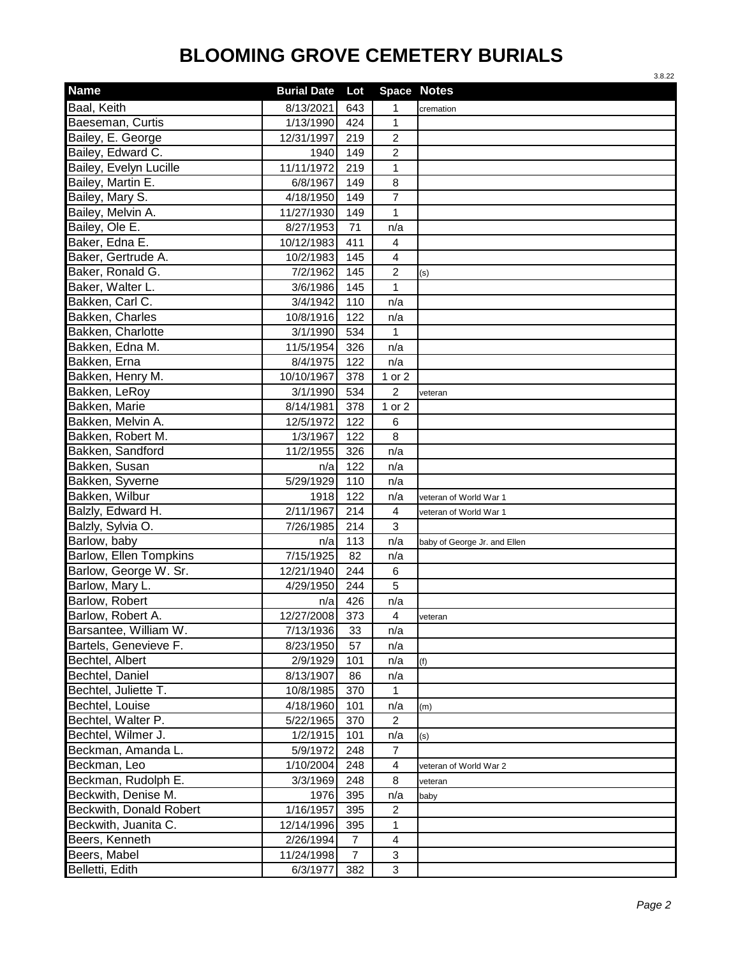|                               |                    |                |                         | 3.8.22                       |
|-------------------------------|--------------------|----------------|-------------------------|------------------------------|
| <b>Name</b>                   | <b>Burial Date</b> | Lot            | Space Notes             |                              |
| Baal, Keith                   | 8/13/2021          | 643            | 1                       | cremation                    |
| Baeseman, Curtis              | 1/13/1990          | 424            | 1                       |                              |
| Bailey, E. George             | 12/31/1997         | 219            | $\overline{c}$          |                              |
| Bailey, Edward C.             | 1940               | 149            | 2                       |                              |
| Bailey, Evelyn Lucille        | 11/11/1972         | 219            | $\mathbf{1}$            |                              |
| Bailey, Martin E.             | 6/8/1967           | 149            | 8                       |                              |
| Bailey, Mary S.               | 4/18/1950          | 149            | $\overline{7}$          |                              |
| Bailey, Melvin A.             | 11/27/1930         | 149            | 1                       |                              |
| Bailey, Ole E.                | 8/27/1953          | 71             | n/a                     |                              |
| Baker, Edna E.                | 10/12/1983         | 411            | 4                       |                              |
| Baker, Gertrude A.            | 10/2/1983          | 145            | 4                       |                              |
| Baker, Ronald G.              | 7/2/1962           | 145            | $\overline{\mathbf{c}}$ | (s)                          |
| Baker, Walter L.              | 3/6/1986           | 145            | 1                       |                              |
| Bakken, Carl C.               | 3/4/1942           | 110            | n/a                     |                              |
| Bakken, Charles               | 10/8/1916          | 122            | n/a                     |                              |
| Bakken, Charlotte             | 3/1/1990           | 534            | 1                       |                              |
| Bakken, Edna M.               | 11/5/1954          | 326            | n/a                     |                              |
| Bakken, Erna                  | 8/4/1975           | 122            | n/a                     |                              |
| Bakken, Henry M.              | 10/10/1967         | 378            | 1 or 2                  |                              |
| Bakken, LeRoy                 | 3/1/1990           | 534            | $\overline{c}$          | veteran                      |
| Bakken, Marie                 | 8/14/1981          | 378            | 1 or 2                  |                              |
| Bakken, Melvin A.             | 12/5/1972          | 122            | 6                       |                              |
| Bakken, Robert M.             | 1/3/1967           | 122            | 8                       |                              |
| Bakken, Sandford              | 11/2/1955          | 326            | n/a                     |                              |
| Bakken, Susan                 | n/a                | 122            | n/a                     |                              |
| Bakken, Syverne               | 5/29/1929          | 110            | n/a                     |                              |
| Bakken, Wilbur                | 1918               | 122            | n/a                     | veteran of World War 1       |
| Balzly, Edward H.             | 2/11/1967          | 214            | 4                       | veteran of World War 1       |
| Balzly, Sylvia O.             | 7/26/1985          | 214            | 3                       |                              |
| Barlow, baby                  | n/a                | 113            | n/a                     | baby of George Jr. and Ellen |
| <b>Barlow, Ellen Tompkins</b> | 7/15/1925          | 82             | n/a                     |                              |
| Barlow, George W. Sr.         | 12/21/1940         | 244            | 6                       |                              |
| Barlow, Mary L.               | 4/29/1950          | 244            | 5                       |                              |
| Barlow, Robert                | n/a                | 426            | n/a                     |                              |
| Barlow, Robert A.             | 12/27/2008         | 373            | 4                       | veteran                      |
| Barsantee, William W.         | 7/13/1936          | 33             | n/a                     |                              |
| Bartels, Genevieve F.         | 8/23/1950          | 57             | n/a                     |                              |
| Bechtel, Albert               | 2/9/1929           | 101            | n/a                     | (f)                          |
| Bechtel, Daniel               | 8/13/1907          | 86             | n/a                     |                              |
| Bechtel, Juliette T.          | 10/8/1985          | 370            | 1                       |                              |
| Bechtel, Louise               | 4/18/1960          | 101            | n/a                     | (m)                          |
| Bechtel, Walter P.            | 5/22/1965          | 370            | $\overline{2}$          |                              |
| Bechtel, Wilmer J.            | 1/2/1915           | 101            | n/a                     | (s)                          |
| Beckman, Amanda L.            | 5/9/1972           | 248            | $\overline{7}$          |                              |
| Beckman, Leo                  | 1/10/2004          | 248            | 4                       | veteran of World War 2       |
| Beckman, Rudolph E.           | 3/3/1969           | 248            | 8                       | veteran                      |
| Beckwith, Denise M.           | 1976               | 395            | n/a                     | baby                         |
| Beckwith, Donald Robert       | 1/16/1957          | 395            | $\overline{c}$          |                              |
| Beckwith, Juanita C.          | 12/14/1996         | 395            | 1                       |                              |
| Beers, Kenneth                | 2/26/1994          | 7              | 4                       |                              |
| Beers, Mabel                  | 11/24/1998         | $\overline{7}$ | 3                       |                              |
| Belletti, Edith               | 6/3/1977           | 382            | 3                       |                              |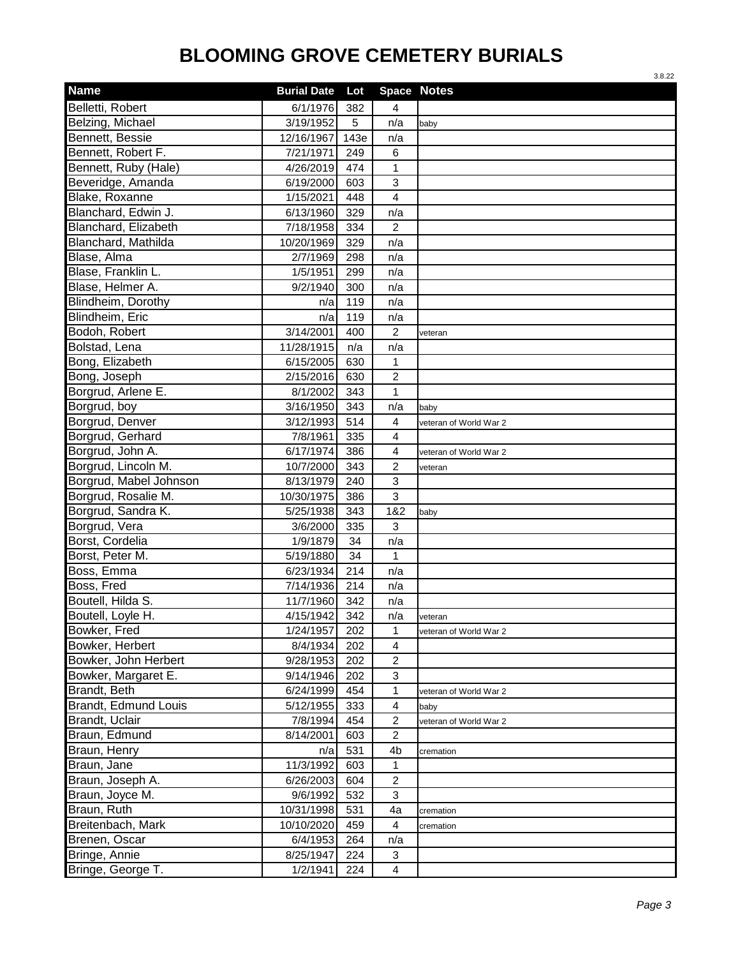|                        |                    |      |                         | 3.8.22                 |
|------------------------|--------------------|------|-------------------------|------------------------|
| <b>Name</b>            | <b>Burial Date</b> | Lot  |                         | <b>Space Notes</b>     |
| Belletti, Robert       | 6/1/1976           | 382  | 4                       |                        |
| Belzing, Michael       | 3/19/1952          | 5    | n/a                     | baby                   |
| Bennett, Bessie        | 12/16/1967         | 143e | n/a                     |                        |
| Bennett, Robert F.     | 7/21/1971          | 249  | 6                       |                        |
| Bennett, Ruby (Hale)   | 4/26/2019          | 474  | 1                       |                        |
| Beveridge, Amanda      | 6/19/2000          | 603  | 3                       |                        |
| Blake, Roxanne         | 1/15/2021          | 448  | $\overline{\mathbf{4}}$ |                        |
| Blanchard, Edwin J.    | 6/13/1960          | 329  | n/a                     |                        |
| Blanchard, Elizabeth   | 7/18/1958          | 334  | $\overline{2}$          |                        |
| Blanchard, Mathilda    | 10/20/1969         | 329  | n/a                     |                        |
| Blase, Alma            | 2/7/1969           | 298  | n/a                     |                        |
| Blase, Franklin L.     | 1/5/1951           | 299  | n/a                     |                        |
| Blase, Helmer A.       | 9/2/1940           | 300  | n/a                     |                        |
| Blindheim, Dorothy     | n/a                | 119  | n/a                     |                        |
| Blindheim, Eric        | n/a                | 119  | n/a                     |                        |
| Bodoh, Robert          | 3/14/2001          | 400  | $\overline{c}$          | veteran                |
| Bolstad, Lena          | 11/28/1915         | n/a  | n/a                     |                        |
| Bong, Elizabeth        | 6/15/2005          | 630  | 1                       |                        |
| Bong, Joseph           | 2/15/2016          | 630  | $\overline{c}$          |                        |
| Borgrud, Arlene E.     | 8/1/2002           | 343  | 1                       |                        |
| Borgrud, boy           | 3/16/1950          | 343  | n/a                     | baby                   |
| Borgrud, Denver        | 3/12/1993          | 514  | $\overline{4}$          | veteran of World War 2 |
| Borgrud, Gerhard       | 7/8/1961           | 335  | $\overline{4}$          |                        |
| Borgrud, John A.       | 6/17/1974          | 386  | $\overline{4}$          | veteran of World War 2 |
| Borgrud, Lincoln M.    | 10/7/2000          | 343  | $\overline{c}$          | veteran                |
| Borgrud, Mabel Johnson | 8/13/1979          | 240  | 3                       |                        |
| Borgrud, Rosalie M.    | 10/30/1975         | 386  | 3                       |                        |
| Borgrud, Sandra K.     | 5/25/1938          | 343  | 1&2                     | baby                   |
| Borgrud, Vera          | 3/6/2000           | 335  | 3                       |                        |
| Borst, Cordelia        | 1/9/1879           | 34   | n/a                     |                        |
| Borst, Peter M.        | 5/19/1880          | 34   | 1                       |                        |
| Boss, Emma             | 6/23/1934          | 214  | n/a                     |                        |
| Boss, Fred             | 7/14/1936          | 214  | n/a                     |                        |
| Boutell, Hilda S.      | 11/7/1960          | 342  | n/a                     |                        |
| Boutell, Loyle H.      | 4/15/1942          | 342  | n/a                     | veteran                |
| Bowker, Fred           | 1/24/1957          | 202  | $\mathbf 1$             | veteran of World War 2 |
| Bowker, Herbert        | 8/4/1934           | 202  | $\overline{4}$          |                        |
| Bowker, John Herbert   | 9/28/1953          | 202  | $\overline{c}$          |                        |
| Bowker, Margaret E.    | 9/14/1946          | 202  | 3                       |                        |
| Brandt, Beth           | 6/24/1999          | 454  | $\mathbf{1}$            | veteran of World War 2 |
| Brandt, Edmund Louis   | 5/12/1955          | 333  | $\overline{4}$          | baby                   |
| Brandt, Uclair         | 7/8/1994           | 454  | $\overline{c}$          | veteran of World War 2 |
| Braun, Edmund          | 8/14/2001          | 603  | $\overline{c}$          |                        |
| Braun, Henry           | n/a                | 531  | 4b                      | cremation              |
| Braun, Jane            | 11/3/1992          | 603  | 1                       |                        |
| Braun, Joseph A.       | 6/26/2003          | 604  | $\overline{c}$          |                        |
| Braun, Joyce M.        | 9/6/1992           | 532  | 3                       |                        |
| Braun, Ruth            | 10/31/1998         | 531  | 4a                      | cremation              |
| Breitenbach, Mark      | 10/10/2020         | 459  | 4                       | cremation              |
| Brenen, Oscar          | 6/4/1953           | 264  | n/a                     |                        |
| Bringe, Annie          | 8/25/1947          | 224  | 3                       |                        |
| Bringe, George T.      | 1/2/1941           | 224  | $\overline{\mathbf{4}}$ |                        |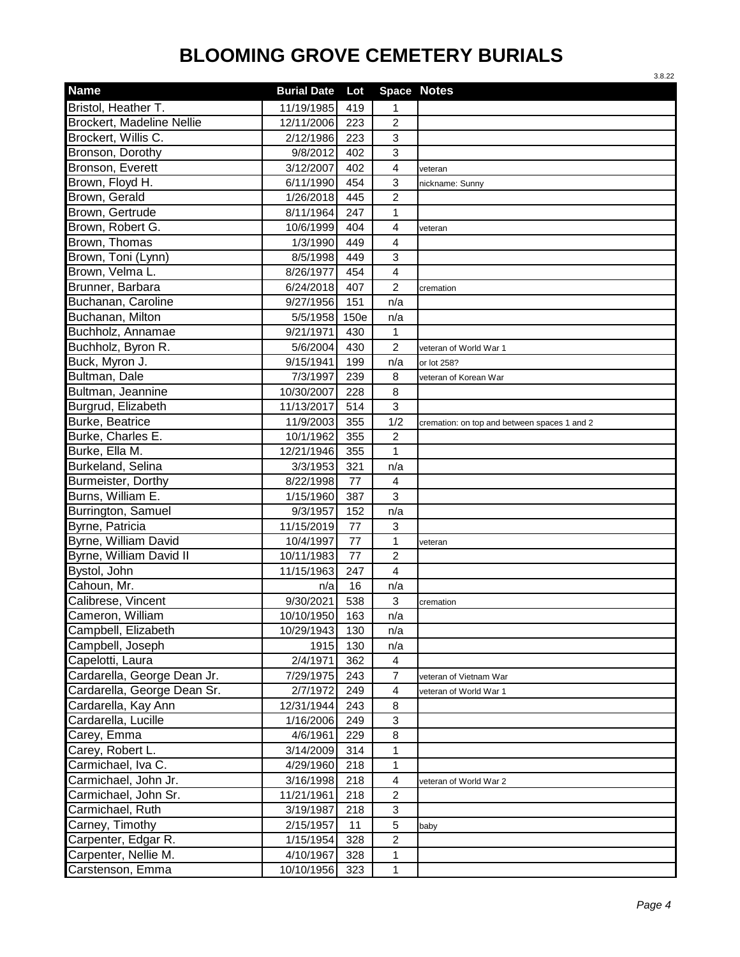|                             |                    |      |                         | 3.8.22                                       |
|-----------------------------|--------------------|------|-------------------------|----------------------------------------------|
| <b>Name</b>                 | <b>Burial Date</b> | Lot  | Space Notes             |                                              |
| Bristol, Heather T.         | 11/19/1985         | 419  | 1                       |                                              |
| Brockert, Madeline Nellie   | 12/11/2006         | 223  | $\overline{c}$          |                                              |
| Brockert, Willis C.         | 2/12/1986          | 223  | 3                       |                                              |
| Bronson, Dorothy            | 9/8/2012           | 402  | 3                       |                                              |
| Bronson, Everett            | 3/12/2007          | 402  | 4                       | veteran                                      |
| Brown, Floyd H.             | 6/11/1990          | 454  | 3                       | nickname: Sunny                              |
| Brown, Gerald               | 1/26/2018          | 445  | $\overline{c}$          |                                              |
| Brown, Gertrude             | 8/11/1964          | 247  | 1                       |                                              |
| Brown, Robert G.            | 10/6/1999          | 404  | 4                       | veteran                                      |
| Brown, Thomas               | 1/3/1990           | 449  | 4                       |                                              |
| Brown, Toni (Lynn)          | 8/5/1998           | 449  | 3                       |                                              |
| Brown, Velma L.             | 8/26/1977          | 454  | 4                       |                                              |
| Brunner, Barbara            | 6/24/2018          | 407  | $\overline{c}$          | cremation                                    |
| Buchanan, Caroline          | 9/27/1956          | 151  | n/a                     |                                              |
| Buchanan, Milton            | 5/5/1958           | 150e | n/a                     |                                              |
| Buchholz, Annamae           | 9/21/1971          | 430  | 1                       |                                              |
| Buchholz, Byron R.          | 5/6/2004           | 430  | $\overline{c}$          | veteran of World War 1                       |
| Buck, Myron J.              | 9/15/1941          | 199  | n/a                     | or lot 258?                                  |
| Bultman, Dale               | 7/3/1997           | 239  | 8                       | veteran of Korean War                        |
| Bultman, Jeannine           | 10/30/2007         | 228  | 8                       |                                              |
| Burgrud, Elizabeth          | 11/13/2017         | 514  | 3                       |                                              |
| Burke, Beatrice             | 11/9/2003          | 355  | 1/2                     | cremation: on top and between spaces 1 and 2 |
| Burke, Charles E.           | 10/1/1962          | 355  | $\overline{c}$          |                                              |
| Burke, Ella M.              | 12/21/1946         | 355  | $\mathbf{1}$            |                                              |
| Burkeland, Selina           | 3/3/1953           | 321  | n/a                     |                                              |
| Burmeister, Dorthy          | 8/22/1998          | 77   | 4                       |                                              |
| Burns, William E.           | 1/15/1960          | 387  | 3                       |                                              |
| Burrington, Samuel          | 9/3/1957           | 152  | n/a                     |                                              |
| Byrne, Patricia             | 11/15/2019         | 77   | 3                       |                                              |
| Byrne, William David        | 10/4/1997          | 77   | $\mathbf{1}$            | veteran                                      |
| Byrne, William David II     | 10/11/1983         | 77   | $\overline{c}$          |                                              |
| Bystol, John                | 11/15/1963         | 247  | 4                       |                                              |
| Cahoun, Mr.                 | n/a                | 16   | n/a                     |                                              |
| I<br>Calibrese, Vincent     | 9/30/2021          | 538  | 3                       | cremation                                    |
| Cameron, William            | 10/10/1950         | 163  | n/a                     |                                              |
| Campbell, Elizabeth         | 10/29/1943         | 130  | n/a                     |                                              |
| Campbell, Joseph            | 1915               | 130  | n/a                     |                                              |
| Capelotti, Laura            | 2/4/1971           | 362  | 4                       |                                              |
| Cardarella, George Dean Jr. | 7/29/1975          | 243  | $\overline{7}$          | veteran of Vietnam War                       |
| Cardarella, George Dean Sr. | 2/7/1972           | 249  | $\overline{\mathbf{4}}$ | veteran of World War 1                       |
| Cardarella, Kay Ann         | 12/31/1944         | 243  | 8                       |                                              |
| Cardarella, Lucille         | 1/16/2006          | 249  | 3                       |                                              |
| Carey, Emma                 | 4/6/1961           | 229  | 8                       |                                              |
| Carey, Robert L.            | 3/14/2009          | 314  | 1                       |                                              |
| Carmichael, Iva C.          | 4/29/1960          | 218  | 1                       |                                              |
| Carmichael, John Jr.        | 3/16/1998          | 218  | 4                       | veteran of World War 2                       |
| Carmichael, John Sr.        | 11/21/1961         | 218  | $\overline{\mathbf{c}}$ |                                              |
| Carmichael, Ruth            | 3/19/1987          | 218  | 3                       |                                              |
| Carney, Timothy             | 2/15/1957          | 11   | 5                       | baby                                         |
| Carpenter, Edgar R.         | 1/15/1954          | 328  | $\overline{c}$          |                                              |
| Carpenter, Nellie M.        | 4/10/1967          | 328  | 1                       |                                              |
| Carstenson, Emma            | 10/10/1956         | 323  | $\mathbf 1$             |                                              |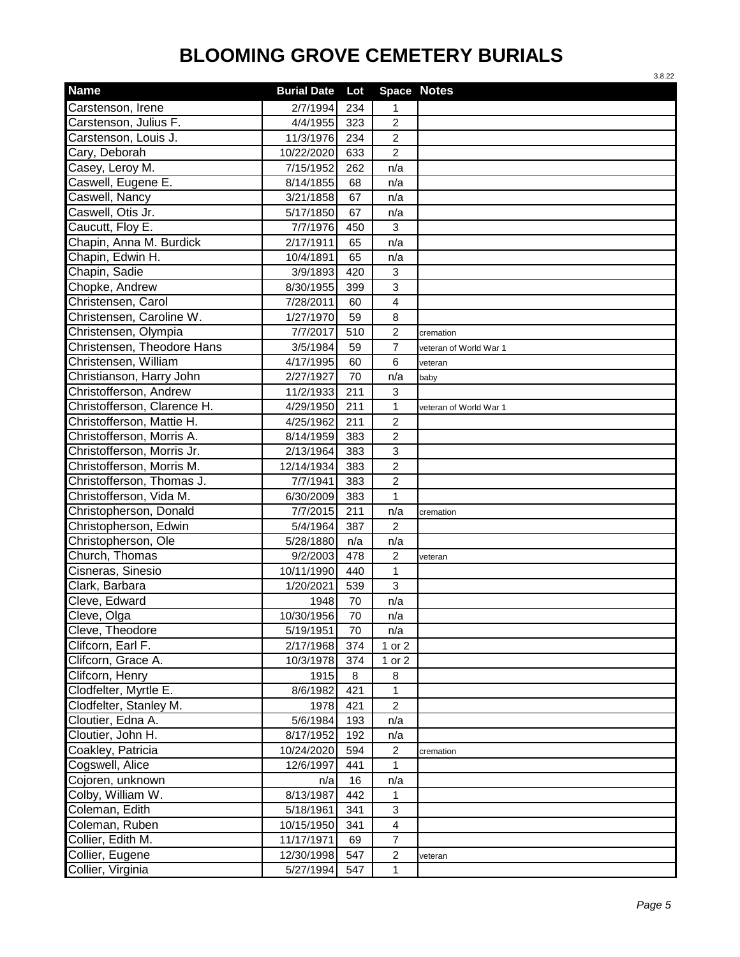|                               |                    |     |                | 3.8.22                 |
|-------------------------------|--------------------|-----|----------------|------------------------|
| <b>Name</b>                   | <b>Burial Date</b> | Lot | Space Notes    |                        |
| Carstenson, Irene             | 2/7/1994           | 234 | 1              |                        |
| Carstenson, Julius F.         | 4/4/1955           | 323 | $\overline{c}$ |                        |
| Carstenson, Louis J.          | 11/3/1976          | 234 | $\overline{2}$ |                        |
| Cary, Deborah                 | 10/22/2020         | 633 | 2              |                        |
| Casey, Leroy M.               | 7/15/1952          | 262 | n/a            |                        |
| Caswell, Eugene E.            | 8/14/1855          | 68  | n/a            |                        |
| Caswell, Nancy                | 3/21/1858          | 67  | n/a            |                        |
| Caswell, Otis Jr.             | 5/17/1850          | 67  | n/a            |                        |
| Caucutt, Floy E.              | 7/7/1976           | 450 | 3              |                        |
| Chapin, Anna M. Burdick       | 2/17/1911          | 65  | n/a            |                        |
| Chapin, Edwin H.              | 10/4/1891          | 65  | n/a            |                        |
| Chapin, Sadie                 | 3/9/1893           | 420 | 3              |                        |
| Chopke, Andrew                | 8/30/1955          | 399 | 3              |                        |
| Christensen, Carol            | 7/28/2011          | 60  | 4              |                        |
| Christensen, Caroline W.      | 1/27/1970          | 59  | 8              |                        |
| Christensen, Olympia          | 7/7/2017           | 510 | $\overline{c}$ | cremation              |
| Christensen, Theodore Hans    | 3/5/1984           | 59  | $\overline{7}$ | veteran of World War 1 |
| Christensen, William          | 4/17/1995          | 60  | 6              | veteran                |
| ı<br>Christianson, Harry John | 2/27/1927          | 70  | n/a            | baby                   |
| Christofferson, Andrew        | 11/2/1933          | 211 | 3              |                        |
| Christofferson, Clarence H.   | 4/29/1950          | 211 | $\mathbf{1}$   | veteran of World War 1 |
| Christofferson, Mattie H.     | 4/25/1962          | 211 | $\overline{c}$ |                        |
| Christofferson, Morris A.     | 8/14/1959          | 383 | $\overline{c}$ |                        |
| Christofferson, Morris Jr.    | 2/13/1964          | 383 | 3              |                        |
| Christofferson, Morris M.     | 12/14/1934         | 383 | $\overline{c}$ |                        |
| Christofferson, Thomas J.     | 7/7/1941           | 383 | $\overline{2}$ |                        |
| Christofferson, Vida M.       | 6/30/2009          | 383 | 1              |                        |
| Christopherson, Donald        | 7/7/2015           | 211 | n/a            | cremation              |
| Christopherson, Edwin         | 5/4/1964           | 387 | 2              |                        |
| Christopherson, Ole           | 5/28/1880          | n/a | n/a            |                        |
| Church, Thomas                | 9/2/2003           | 478 | $\overline{c}$ | veteran                |
| Cisneras, Sinesio             | 10/11/1990         | 440 | 1              |                        |
| Clark, Barbara                | 1/20/2021          | 539 | 3              |                        |
| I<br>Cleve, Edward            | 1948               | 70  | n/a            |                        |
| Cleve, Olga                   | 10/30/1956         | 70  | n/a            |                        |
| Cleve, Theodore               | 5/19/1951          | 70  | n/a            |                        |
| Clifcorn, Earl F.             | 2/17/1968          | 374 | 1 or 2         |                        |
| Clifcorn, Grace A.            | 10/3/1978          | 374 | 1 or 2         |                        |
| Clifcorn, Henry               | 1915               | 8   | 8              |                        |
| Clodfelter, Myrtle E.         | 8/6/1982           | 421 | $\mathbf{1}$   |                        |
| Clodfelter, Stanley M.        | 1978               | 421 | $\overline{c}$ |                        |
| Cloutier, Edna A.             | 5/6/1984           | 193 | n/a            |                        |
| Cloutier, John H.             | 8/17/1952          | 192 | n/a            |                        |
| Coakley, Patricia             | 10/24/2020         | 594 | $\overline{c}$ | cremation              |
| Cogswell, Alice               | 12/6/1997          | 441 | 1              |                        |
| Cojoren, unknown              | n/a                | 16  | n/a            |                        |
| Colby, William W.             | 8/13/1987          | 442 | 1              |                        |
| Coleman, Edith                | 5/18/1961          | 341 | 3              |                        |
| Coleman, Ruben                | 10/15/1950         | 341 | 4              |                        |
| Collier, Edith M.             | 11/17/1971         | 69  | $\overline{7}$ |                        |
| Collier, Eugene               | 12/30/1998         | 547 | $\overline{c}$ | veteran                |
| Collier, Virginia             | 5/27/1994          | 547 | $\mathbf 1$    |                        |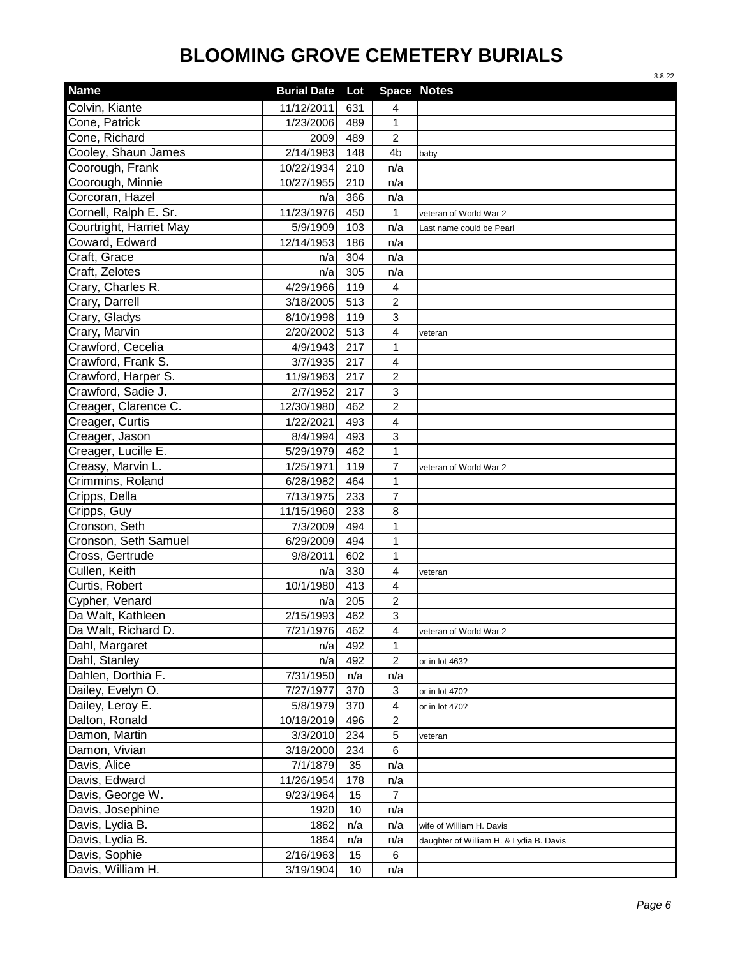|                         |                    |                 |                  | 3.8.22                                  |
|-------------------------|--------------------|-----------------|------------------|-----------------------------------------|
| <b>Name</b>             | <b>Burial Date</b> | Lot             |                  | <b>Space Notes</b>                      |
| Colvin, Kiante          | 11/12/2011         | 631             | 4                |                                         |
| Cone, Patrick           | 1/23/2006          | 489             | 1                |                                         |
| Cone, Richard           | 2009               | 489             | $\overline{2}$   |                                         |
| Cooley, Shaun James     | 2/14/1983          | 148             | 4b               | baby                                    |
| Coorough, Frank         | 10/22/1934         | 210             | n/a              |                                         |
| Coorough, Minnie        | 10/27/1955         | 210             | n/a              |                                         |
| Corcoran, Hazel         | n/a                | 366             | n/a              |                                         |
| Cornell, Ralph E. Sr.   | 11/23/1976         | 450             | 1                | veteran of World War 2                  |
| Courtright, Harriet May | 5/9/1909           | 103             | n/a              | Last name could be Pearl                |
| Coward, Edward          | 12/14/1953         | 186             | n/a              |                                         |
| Craft, Grace            | n/a                | 304             | n/a              |                                         |
| Craft, Zelotes          | n/a                | 305             | n/a              |                                         |
| Crary, Charles R.       | 4/29/1966          | 119             | 4                |                                         |
| Crary, Darrell          | 3/18/2005          | 513             | $\overline{c}$   |                                         |
| Crary, Gladys           | 8/10/1998          | 119             | $\mathbf{3}$     |                                         |
| Crary, Marvin           | 2/20/2002          | 513             | $\overline{4}$   | veteran                                 |
| Crawford, Cecelia       | 4/9/1943           | 217             | 1                |                                         |
| Crawford, Frank S.      | 3/7/1935           | 217             | $\overline{4}$   |                                         |
| Crawford, Harper S.     | 11/9/1963          | 217             | $\overline{c}$   |                                         |
| Crawford, Sadie J.      | 2/7/1952           | 217             | $\mathbf{3}$     |                                         |
| Creager, Clarence C.    | 12/30/1980         | 462             | $\overline{c}$   |                                         |
| Creager, Curtis         | 1/22/2021          | 493             | 4                |                                         |
| Creager, Jason          | 8/4/1994           | 493             | $\mathbf{3}$     |                                         |
| Creager, Lucille E.     | 5/29/1979          | 462             | $\mathbf{1}$     |                                         |
| Creasy, Marvin L.       | 1/25/1971          | 119             | $\overline{7}$   | veteran of World War 2                  |
| Crimmins, Roland        | 6/28/1982          | 464             | $\mathbf{1}$     |                                         |
| Cripps, Della           | 7/13/1975          | 233             | $\overline{7}$   |                                         |
| Cripps, Guy             | 11/15/1960         | 233             | 8                |                                         |
| Cronson, Seth           | 7/3/2009           | 494             | 1                |                                         |
| Cronson, Seth Samuel    | 6/29/2009          | 494             | 1                |                                         |
| Cross, Gertrude         | 9/8/2011           | 602             | 1                |                                         |
| Cullen, Keith           | n/a                | 330             | $\overline{4}$   | veteran                                 |
| Curtis, Robert          | 10/1/1980          | 413             | $\overline{4}$   |                                         |
| Cypher, Venard          | n/a                | 205             | $\overline{2}$   |                                         |
| Da Walt, Kathleen       | 2/15/1993          | 462             | 3                |                                         |
| Da Walt, Richard D.     | 7/21/1976          | 462             | $\overline{4}$   | veteran of World War 2                  |
| Dahl, Margaret          | n/a                | 492             | 1                |                                         |
| Dahl, Stanley           | n/a                | 492             | $\boldsymbol{2}$ | or in lot 463?                          |
| Dahlen, Dorthia F.      | 7/31/1950          | n/a             | n/a              |                                         |
| Dailey, Evelyn O.       | 7/27/1977          | 370             | 3                | or in lot 470?                          |
| Dailey, Leroy E.        | 5/8/1979           | 370             | $\overline{4}$   | or in lot 470?                          |
| Dalton, Ronald          | 10/18/2019         | 496             | $\overline{c}$   |                                         |
| Damon, Martin           | 3/3/2010           | 234             | 5                | veteran                                 |
| Damon, Vivian           | 3/18/2000          | 234             | 6                |                                         |
| Davis, Alice            | 7/1/1879           | 35              | n/a              |                                         |
| Davis, Edward           | 11/26/1954         | 178             | n/a              |                                         |
| Davis, George W.        | 9/23/1964          | 15              | 7                |                                         |
| Davis, Josephine        | 1920               | 10              | n/a              |                                         |
| Davis, Lydia B.         | 1862               | n/a             | n/a              | wife of William H. Davis                |
| Davis, Lydia B.         | 1864               | n/a             | n/a              | daughter of William H. & Lydia B. Davis |
| Davis, Sophie           | 2/16/1963          | 15              | 6                |                                         |
| Davis, William H.       | 3/19/1904          | 10 <sup>1</sup> | n/a              |                                         |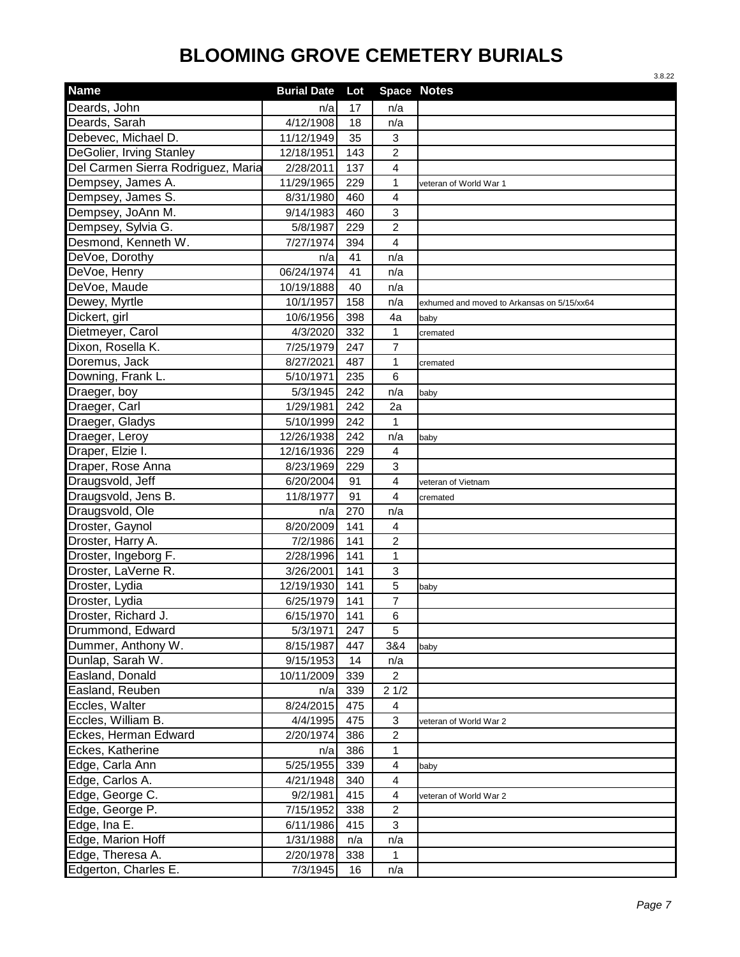|                                    |                    |     |                | 3.8.22                                     |
|------------------------------------|--------------------|-----|----------------|--------------------------------------------|
| <b>Name</b>                        | <b>Burial Date</b> | Lot |                | <b>Space Notes</b>                         |
| Deards, John                       | n/a                | 17  | n/a            |                                            |
| Deards, Sarah                      | 4/12/1908          | 18  | n/a            |                                            |
| Debevec, Michael D.                | 11/12/1949         | 35  | 3              |                                            |
| <b>DeGolier, Irving Stanley</b>    | 12/18/1951         | 143 | 2              |                                            |
| Del Carmen Sierra Rodriguez, Maria | 2/28/2011          | 137 | 4              |                                            |
| Dempsey, James A.                  | 11/29/1965         | 229 | $\mathbf{1}$   | veteran of World War 1                     |
| Dempsey, James S.                  | 8/31/1980          | 460 | 4              |                                            |
| Dempsey, JoAnn M.                  | 9/14/1983          | 460 | 3              |                                            |
| Dempsey, Sylvia G.                 | 5/8/1987           | 229 | $\overline{2}$ |                                            |
| Desmond, Kenneth W.                | 7/27/1974          | 394 | 4              |                                            |
| DeVoe, Dorothy                     | n/a                | 41  | n/a            |                                            |
| DeVoe, Henry                       | 06/24/1974         | 41  | n/a            |                                            |
| DeVoe, Maude                       | 10/19/1888         | 40  | n/a            |                                            |
| Dewey, Myrtle                      | 10/1/1957          | 158 | n/a            | exhumed and moved to Arkansas on 5/15/xx64 |
| Dickert, girl                      | 10/6/1956          | 398 | 4a             | baby                                       |
| Dietmeyer, Carol                   | 4/3/2020           | 332 | 1              | cremated                                   |
| Dixon, Rosella K.                  | 7/25/1979          | 247 | $\overline{7}$ |                                            |
| Doremus, Jack                      | 8/27/2021          | 487 | 1              | cremated                                   |
| Downing, Frank L.                  | 5/10/1971          | 235 | 6              |                                            |
| Draeger, boy                       | 5/3/1945           | 242 | n/a            | baby                                       |
| Draeger, Carl                      | 1/29/1981          | 242 | 2a             |                                            |
| Draeger, Gladys                    | 5/10/1999          | 242 | $\mathbf{1}$   |                                            |
| Draeger, Leroy                     | 12/26/1938         | 242 | n/a            | baby                                       |
| Draper, Elzie I.                   | 12/16/1936         | 229 | 4              |                                            |
| Draper, Rose Anna                  | 8/23/1969          | 229 | 3              |                                            |
| Draugsvold, Jeff                   | 6/20/2004          | 91  | 4              | veteran of Vietnam                         |
| Draugsvold, Jens B.                | 11/8/1977          | 91  | 4              | cremated                                   |
| Draugsvold, Ole                    | n/a                | 270 | n/a            |                                            |
| Droster, Gaynol                    | 8/20/2009          | 141 | 4              |                                            |
| Droster, Harry A.                  | 7/2/1986           | 141 | $\overline{c}$ |                                            |
| Droster, Ingeborg F.               | 2/28/1996          | 141 | 1              |                                            |
| Droster, LaVerne R.                | 3/26/2001          | 141 | 3              |                                            |
| Droster, Lydia                     | 12/19/1930         | 141 | 5              | baby                                       |
| Droster, Lydia                     | 6/25/1979          | 141 | 7              |                                            |
| Droster, Richard J.                | 6/15/1970          | 141 | 6              |                                            |
| Drummond, Edward                   | 5/3/1971           | 247 | 5              |                                            |
| Dummer, Anthony W.                 | 8/15/1987          | 447 | 3&4            | baby                                       |
| Dunlap, Sarah W.                   | 9/15/1953          | 14  | n/a            |                                            |
| Easland, Donald                    | 10/11/2009         | 339 | $\overline{2}$ |                                            |
| Easland, Reuben                    | n/a                | 339 | 21/2           |                                            |
| Eccles, Walter                     | 8/24/2015          | 475 | 4              |                                            |
| Eccles, William B.                 | 4/4/1995           | 475 | 3              | veteran of World War 2                     |
| Eckes, Herman Edward               | 2/20/1974          | 386 | $\overline{c}$ |                                            |
| Eckes, Katherine                   | n/a                | 386 | $\mathbf{1}$   |                                            |
| Edge, Carla Ann                    | 5/25/1955          | 339 | 4              | baby                                       |
| Edge, Carlos A.                    | 4/21/1948          | 340 | 4              |                                            |
| Edge, George C.                    | 9/2/1981           | 415 | 4              | veteran of World War 2                     |
| Edge, George P.                    | 7/15/1952          | 338 | $\overline{c}$ |                                            |
| Edge, Ina E.                       | 6/11/1986          | 415 | 3              |                                            |
| Edge, Marion Hoff                  | 1/31/1988          | n/a | n/a            |                                            |
| Edge, Theresa A.                   | 2/20/1978          | 338 | 1              |                                            |
| Edgerton, Charles E.               | 7/3/1945           | 16  | n/a            |                                            |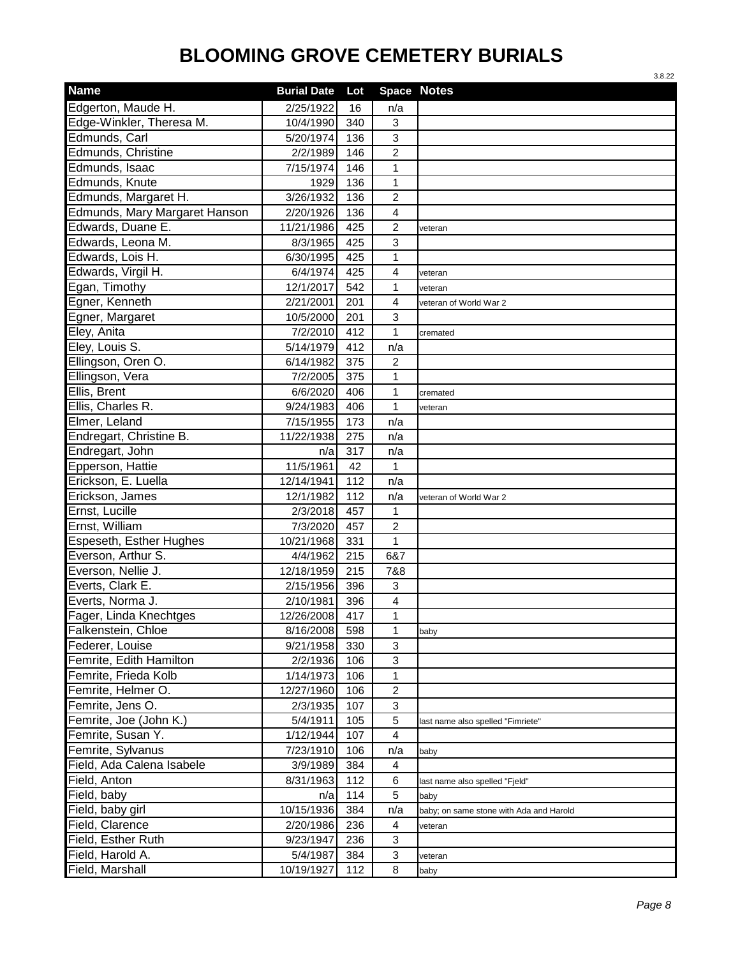|                               |                    |     |                         | 3.8.22                                  |
|-------------------------------|--------------------|-----|-------------------------|-----------------------------------------|
| <b>Name</b>                   | <b>Burial Date</b> | Lot |                         | Space Notes                             |
| Edgerton, Maude H.            | 2/25/1922          | 16  | n/a                     |                                         |
| Edge-Winkler, Theresa M.      | 10/4/1990          | 340 | 3                       |                                         |
| Edmunds, Carl                 | 5/20/1974          | 136 | 3                       |                                         |
| Edmunds, Christine            | 2/2/1989           | 146 | $\overline{\mathbf{c}}$ |                                         |
| Edmunds, Isaac                | 7/15/1974          | 146 | $\mathbf{1}$            |                                         |
| Edmunds, Knute                | 1929               | 136 | 1                       |                                         |
| Edmunds, Margaret H.          | 3/26/1932          | 136 | $\overline{c}$          |                                         |
| Edmunds, Mary Margaret Hanson | 2/20/1926          | 136 | 4                       |                                         |
| Edwards, Duane E.             | 11/21/1986         | 425 | $\overline{2}$          | veteran                                 |
| Edwards, Leona M.             | 8/3/1965           | 425 | 3                       |                                         |
| Edwards, Lois H.              | 6/30/1995          | 425 | $\mathbf{1}$            |                                         |
| Edwards, Virgil H.            | 6/4/1974           | 425 | 4                       | veteran                                 |
| Egan, Timothy                 | 12/1/2017          | 542 | $\mathbf 1$             | veteran                                 |
| Egner, Kenneth                | 2/21/2001          | 201 | 4                       | veteran of World War 2                  |
| Egner, Margaret               | 10/5/2000          | 201 | 3                       |                                         |
| Eley, Anita                   | 7/2/2010           | 412 | 1                       | cremated                                |
| Eley, Louis S.                | 5/14/1979          | 412 | n/a                     |                                         |
| Ellingson, Oren O.            | 6/14/1982          | 375 | $\overline{c}$          |                                         |
| Ellingson, Vera               | 7/2/2005           | 375 | 1                       |                                         |
| Ellis, Brent                  | 6/6/2020           | 406 | $\mathbf{1}$            | cremated                                |
| Ellis, Charles R.             | 9/24/1983          | 406 | 1                       | veteran                                 |
| Elmer, Leland                 | 7/15/1955          | 173 | n/a                     |                                         |
| Endregart, Christine B.       | 11/22/1938         | 275 | n/a                     |                                         |
| Endregart, John               | n/a                | 317 | n/a                     |                                         |
| Epperson, Hattie              | 11/5/1961          | 42  | 1                       |                                         |
| Erickson, E. Luella           | 12/14/1941         | 112 | n/a                     |                                         |
| Erickson, James               | 12/1/1982          | 112 | n/a                     | veteran of World War 2                  |
| Ernst, Lucille                | 2/3/2018           | 457 | 1                       |                                         |
| Ernst, William                | 7/3/2020           | 457 | $\overline{c}$          |                                         |
| Espeseth, Esther Hughes       | 10/21/1968         | 331 | 1                       |                                         |
| Everson, Arthur S.            | 4/4/1962           | 215 | 6&7                     |                                         |
| Everson, Nellie J.            | 12/18/1959         | 215 | 7&8                     |                                         |
| Everts, Clark E.              | 2/15/1956          | 396 | 3                       |                                         |
| Everts, Norma J.              | 2/10/1981          | 396 | $\overline{\mathbf{4}}$ |                                         |
| Fager, Linda Knechtges        | 12/26/2008         | 417 | 1                       |                                         |
| Falkenstein, Chloe            | 8/16/2008          | 598 | $\mathbf{1}$            | baby                                    |
| Federer, Louise               | 9/21/1958          | 330 | 3                       |                                         |
| Femrite, Edith Hamilton       | 2/2/1936           | 106 | $\,$ 3 $\,$             |                                         |
| Femrite, Frieda Kolb          | 1/14/1973          | 106 | $\mathbf 1$             |                                         |
| Femrite, Helmer O.            | 12/27/1960         | 106 | $\overline{c}$          |                                         |
| Femrite, Jens O.              | 2/3/1935           | 107 | 3                       |                                         |
| Femrite, Joe (John K.)        | 5/4/1911           | 105 | 5                       | last name also spelled "Fimriete"       |
| Femrite, Susan Y.             | 1/12/1944          | 107 | 4                       |                                         |
| Femrite, Sylvanus             | 7/23/1910          | 106 | n/a                     | baby                                    |
| Field, Ada Calena Isabele     | 3/9/1989           | 384 | 4                       |                                         |
| Field, Anton                  | 8/31/1963          | 112 | 6                       | last name also spelled "Fjeld"          |
| Field, baby                   | n/a                | 114 | 5                       | baby                                    |
| Field, baby girl              | 10/15/1936         | 384 | n/a                     | baby; on same stone with Ada and Harold |
| Field, Clarence               | 2/20/1986          | 236 | 4                       | veteran                                 |
| Field, Esther Ruth            | 9/23/1947          | 236 | 3                       |                                         |
| Field, Harold A.              | 5/4/1987           | 384 | 3                       | veteran                                 |
| Field, Marshall               | 10/19/1927         | 112 | 8                       | baby                                    |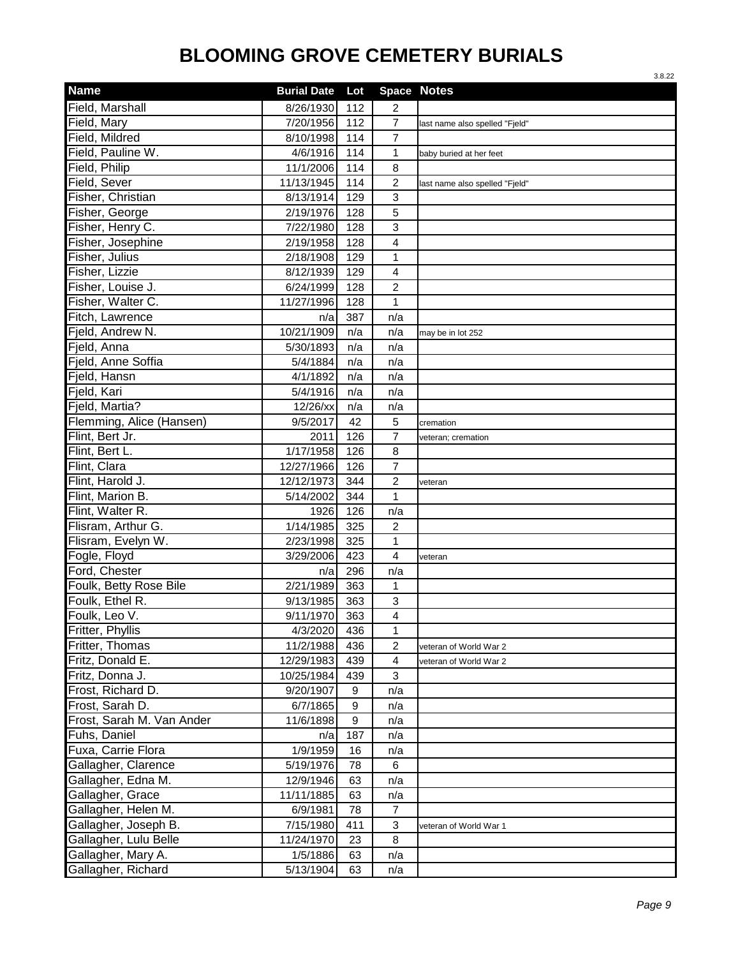|                           |                    |                  |                    | 3.8.22                         |
|---------------------------|--------------------|------------------|--------------------|--------------------------------|
| <b>Name</b>               | <b>Burial Date</b> | Lot              | <b>Space Notes</b> |                                |
| Field, Marshall           | 8/26/1930          | 112              | 2                  |                                |
| Field, Mary               | 7/20/1956          | 112              | $\overline{7}$     | last name also spelled "Fjeld" |
| Field, Mildred            | 8/10/1998          | 114              | $\overline{7}$     |                                |
| Field, Pauline W.         | 4/6/1916           | 114              | $\mathbf{1}$       | baby buried at her feet        |
| Field, Philip             | 11/1/2006          | 114              | 8                  |                                |
| Field, Sever              | 11/13/1945         | 114              | $\overline{c}$     | last name also spelled "Fjeld" |
| Fisher, Christian         | 8/13/1914          | 129              | $\mathbf{3}$       |                                |
| Fisher, George            | 2/19/1976          | 128              | 5                  |                                |
| Fisher, Henry C.          | 7/22/1980          | 128              | 3                  |                                |
| Fisher, Josephine         | 2/19/1958          | 128              | 4                  |                                |
| Fisher, Julius            | 2/18/1908          | 129              | $\mathbf 1$        |                                |
| Fisher, Lizzie            | 8/12/1939          | 129              | 4                  |                                |
| Fisher, Louise J.         | 6/24/1999          | 128              | $\overline{c}$     |                                |
| Fisher, Walter C.         | 11/27/1996         | 128              | 1                  |                                |
| Fitch, Lawrence           | n/a                | 387              | n/a                |                                |
| Fjeld, Andrew N.          | 10/21/1909         | n/a              | n/a                | may be in lot 252              |
| Field, Anna               | 5/30/1893          | n/a              | n/a                |                                |
| Fjeld, Anne Soffia        | 5/4/1884           | n/a              | n/a                |                                |
| Fjeld, Hansn              | 4/1/1892           | n/a              | n/a                |                                |
| Fjeld, Kari               | 5/4/1916           | n/a              | n/a                |                                |
| Field, Martia?            | 12/26/xx           | n/a              | n/a                |                                |
| Flemming, Alice (Hansen)  | 9/5/2017           | 42               | 5                  | cremation                      |
| Flint, Bert Jr.           | 2011               | 126              | $\overline{7}$     | veteran; cremation             |
| Flint, Bert L.            | 1/17/1958          | 126              | 8                  |                                |
| Flint, Clara              | 12/27/1966         | 126              | $\overline{7}$     |                                |
| Flint, Harold J.          | 12/12/1973         | 344              | $\overline{c}$     | veteran                        |
| Flint, Marion B.          | 5/14/2002          | 344              | 1                  |                                |
| Flint, Walter R.          | 1926               | 126              | n/a                |                                |
| Flisram, Arthur G.        | 1/14/1985          | 325              | 2                  |                                |
| Flisram, Evelyn W.        | 2/23/1998          | 325              | 1                  |                                |
| Fogle, Floyd              | 3/29/2006          | 423              | 4                  | veteran                        |
| Ford, Chester             | n/a                | 296              | n/a                |                                |
| Foulk, Betty Rose Bile    | 2/21/1989          | 363              | 1                  |                                |
| Foulk, Ethel R.           | 9/13/1985          | 363              | 3                  |                                |
| Foulk, Leo V.             | 9/11/1970          | 363              | 4                  |                                |
| Fritter, Phyllis          | 4/3/2020           | 436              | 1                  |                                |
| Fritter, Thomas           | 11/2/1988          | 436              | $\overline{c}$     | veteran of World War 2         |
| Fritz, Donald E.          | 12/29/1983         | 439              | 4                  | veteran of World War 2         |
| Fritz, Donna J.           | 10/25/1984         | 439              | $\mathbf{3}$       |                                |
| Frost, Richard D.         | 9/20/1907          | 9                | n/a                |                                |
| Frost, Sarah D.           | 6/7/1865           | $\boldsymbol{9}$ | n/a                |                                |
| Frost, Sarah M. Van Ander | 11/6/1898          | $\boldsymbol{9}$ | n/a                |                                |
| Fuhs, Daniel              | n/a                | 187              | n/a                |                                |
| Fuxa, Carrie Flora        | 1/9/1959           | 16               | n/a                |                                |
| Gallagher, Clarence       | 5/19/1976          | 78               | 6                  |                                |
| Gallagher, Edna M.        | 12/9/1946          | 63               | n/a                |                                |
| Gallagher, Grace          | 11/11/1885         | 63               | n/a                |                                |
| Gallagher, Helen M.       | 6/9/1981           | 78               | 7                  |                                |
| Gallagher, Joseph B.      | 7/15/1980          | 411              | 3                  | veteran of World War 1         |
| Gallagher, Lulu Belle     | 11/24/1970         | 23               | 8                  |                                |
| Gallagher, Mary A.        | 1/5/1886           | 63               | n/a                |                                |
| Gallagher, Richard        | 5/13/1904          | 63               | n/a                |                                |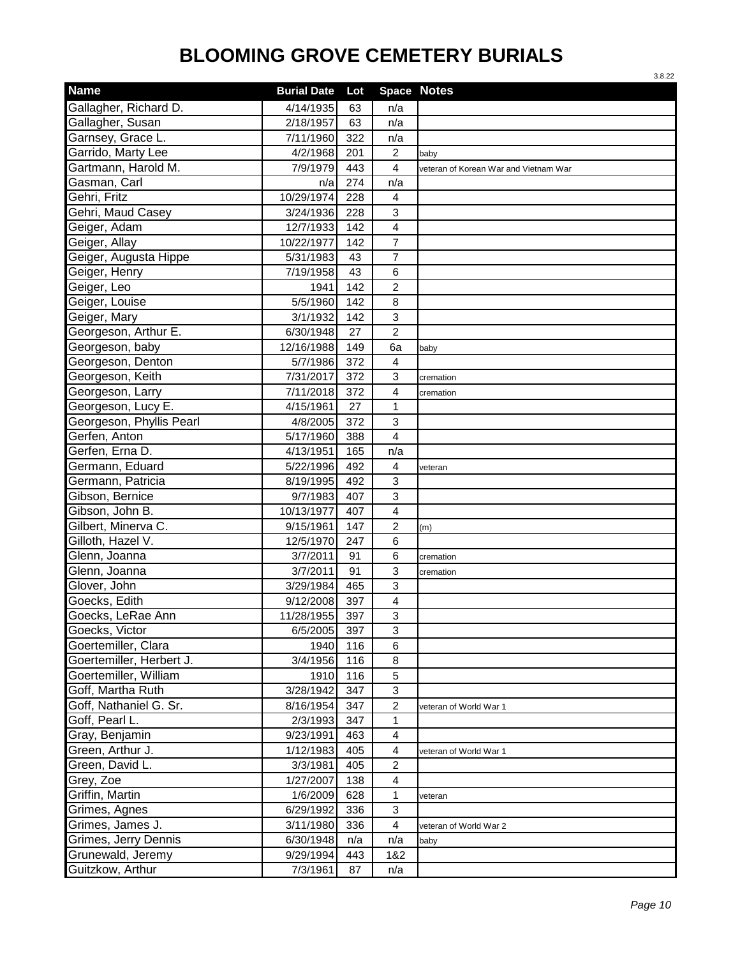|                          |                    |     |                         | 3.8.22                                |
|--------------------------|--------------------|-----|-------------------------|---------------------------------------|
| <b>Name</b>              | <b>Burial Date</b> | Lot |                         | <b>Space Notes</b>                    |
| Gallagher, Richard D.    | 4/14/1935          | 63  | n/a                     |                                       |
| Gallagher, Susan         | 2/18/1957          | 63  | n/a                     |                                       |
| Garnsey, Grace L.        | 7/11/1960          | 322 | n/a                     |                                       |
| Garrido, Marty Lee       | 4/2/1968           | 201 | $\overline{c}$          | baby                                  |
| Gartmann, Harold M.      | 7/9/1979           | 443 | $\overline{4}$          | veteran of Korean War and Vietnam War |
| Gasman, Carl             | n/a                | 274 | n/a                     |                                       |
| Gehri, Fritz             | 10/29/1974         | 228 | 4                       |                                       |
| Gehri, Maud Casey        | 3/24/1936          | 228 | 3                       |                                       |
| Geiger, Adam             | 12/7/1933          | 142 | 4                       |                                       |
| Geiger, Allay            | 10/22/1977         | 142 | $\overline{7}$          |                                       |
| Geiger, Augusta Hippe    | 5/31/1983          | 43  | $\overline{7}$          |                                       |
| Geiger, Henry            | 7/19/1958          | 43  | 6                       |                                       |
| Geiger, Leo              | 1941               | 142 | $\overline{2}$          |                                       |
| Geiger, Louise           | 5/5/1960           | 142 | 8                       |                                       |
| Geiger, Mary             | 3/1/1932           | 142 | $\mathbf{3}$            |                                       |
| Georgeson, Arthur E.     | 6/30/1948          | 27  | $\overline{c}$          |                                       |
| Georgeson, baby          | 12/16/1988         | 149 | 6a                      | baby                                  |
| Georgeson, Denton        | 5/7/1986           | 372 | $\overline{\mathbf{4}}$ |                                       |
| Georgeson, Keith         | 7/31/2017          | 372 | $\mathbf{3}$            | cremation                             |
| Georgeson, Larry         | 7/11/2018          | 372 | 4                       | cremation                             |
| Georgeson, Lucy E.       | 4/15/1961          | 27  | $\mathbf{1}$            |                                       |
| Georgeson, Phyllis Pearl | 4/8/2005           | 372 | 3                       |                                       |
| Gerfen, Anton            | 5/17/1960          | 388 | $\overline{4}$          |                                       |
| Gerfen, Erna D.          | 4/13/1951          | 165 | n/a                     |                                       |
| Germann, Eduard          | 5/22/1996          | 492 | $\overline{4}$          | veteran                               |
| Germann, Patricia        | 8/19/1995          | 492 | 3                       |                                       |
| Gibson, Bernice          | 9/7/1983           | 407 | 3                       |                                       |
| Gibson, John B.          | 10/13/1977         | 407 | 4                       |                                       |
| Gilbert, Minerva C.      | 9/15/1961          | 147 | $\overline{c}$          | (m)                                   |
| Gilloth, Hazel V.        | 12/5/1970          | 247 | 6                       |                                       |
| Glenn, Joanna            | 3/7/2011           | 91  | 6                       | cremation                             |
| Glenn, Joanna            | 3/7/2011           | 91  | 3                       | cremation                             |
| Glover, John             | 3/29/1984          | 465 | 3                       |                                       |
| Goecks, Edith            | 9/12/2008          | 397 | $\overline{4}$          |                                       |
| Goecks, LeRae Ann        | 11/28/1955         | 397 | 3                       |                                       |
| Goecks, Victor           | 6/5/2005           | 397 | 3                       |                                       |
| Goertemiller, Clara      | 1940               | 116 | 6                       |                                       |
| Goertemiller, Herbert J. | 3/4/1956           | 116 | 8                       |                                       |
| Goertemiller, William    | 1910               | 116 | 5                       |                                       |
| Goff, Martha Ruth        | 3/28/1942          | 347 | $\mathbf{3}$            |                                       |
| Goff, Nathaniel G. Sr.   | 8/16/1954          | 347 | $\boldsymbol{2}$        | veteran of World War 1                |
| Goff, Pearl L.           | 2/3/1993           | 347 | 1                       |                                       |
| Gray, Benjamin           | 9/23/1991          | 463 | 4                       |                                       |
| Green, Arthur J.         | 1/12/1983          | 405 | 4                       | veteran of World War 1                |
| Green, David L.          | 3/3/1981           | 405 | $\overline{c}$          |                                       |
| Grey, Zoe                | 1/27/2007          | 138 | 4                       |                                       |
| Griffin, Martin          | 1/6/2009           | 628 | $\mathbf{1}$            | veteran                               |
| Grimes, Agnes            | 6/29/1992          | 336 | 3                       |                                       |
| Grimes, James J.         | 3/11/1980          | 336 | $\overline{4}$          | veteran of World War 2                |
| Grimes, Jerry Dennis     | 6/30/1948          | n/a | n/a                     | baby                                  |
| Grunewald, Jeremy        | 9/29/1994          | 443 | 1&2                     |                                       |
| Guitzkow, Arthur         | 7/3/1961           | 87  | n/a                     |                                       |
|                          |                    |     |                         |                                       |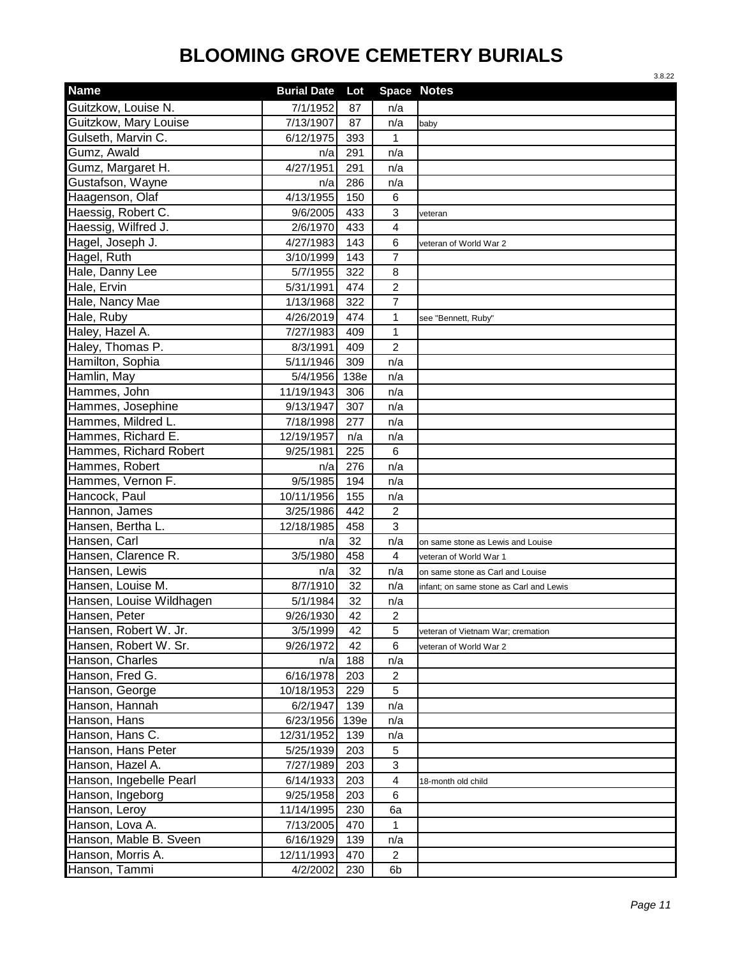|                          |                    |      |                         | 3.8.22                                  |
|--------------------------|--------------------|------|-------------------------|-----------------------------------------|
| <b>Name</b>              | <b>Burial Date</b> | Lot  |                         | <b>Space Notes</b>                      |
| Guitzkow, Louise N.      | 7/1/1952           | 87   | n/a                     |                                         |
| Guitzkow, Mary Louise    | 7/13/1907          | 87   | n/a                     | baby                                    |
| Gulseth, Marvin C.       | 6/12/1975          | 393  | 1                       |                                         |
| Gumz, Awald              | n/a                | 291  | n/a                     |                                         |
| Gumz, Margaret H.        | 4/27/1951          | 291  | n/a                     |                                         |
| Gustafson, Wayne         | n/a                | 286  | n/a                     |                                         |
| Haagenson, Olaf          | 4/13/1955          | 150  | 6                       |                                         |
| Haessig, Robert C.       | 9/6/2005           | 433  | 3                       | veteran                                 |
| Haessig, Wilfred J.      | 2/6/1970           | 433  | $\overline{\mathbf{4}}$ |                                         |
| Hagel, Joseph J.         | 4/27/1983          | 143  | 6                       | veteran of World War 2                  |
| Hagel, Ruth              | 3/10/1999          | 143  | $\overline{7}$          |                                         |
| Hale, Danny Lee          | 5/7/1955           | 322  | 8                       |                                         |
| Hale, Ervin              | 5/31/1991          | 474  | $\overline{2}$          |                                         |
| Hale, Nancy Mae          | 1/13/1968          | 322  | $\overline{7}$          |                                         |
| Hale, Ruby               | 4/26/2019          | 474  | 1                       | see "Bennett, Ruby"                     |
| Haley, Hazel A.          | 7/27/1983          | 409  | $\mathbf{1}$            |                                         |
| Haley, Thomas P.         | 8/3/1991           | 409  | $\overline{2}$          |                                         |
| Hamilton, Sophia         | 5/11/1946          | 309  | n/a                     |                                         |
| Hamlin, May              | 5/4/1956           | 138e | n/a                     |                                         |
| Hammes, John             | 11/19/1943         | 306  | n/a                     |                                         |
| Hammes, Josephine        | 9/13/1947          | 307  | n/a                     |                                         |
| Hammes, Mildred L.       | 7/18/1998          | 277  | n/a                     |                                         |
| Hammes, Richard E.       | 12/19/1957         | n/a  | n/a                     |                                         |
| Hammes, Richard Robert   | 9/25/1981          | 225  | 6                       |                                         |
| Hammes, Robert           | n/a                | 276  | n/a                     |                                         |
| Hammes, Vernon F.        | 9/5/1985           | 194  | n/a                     |                                         |
| Hancock, Paul            | 10/11/1956         | 155  | n/a                     |                                         |
| Hannon, James            | 3/25/1986          | 442  | $\overline{c}$          |                                         |
| Hansen, Bertha L.        | 12/18/1985         | 458  | 3                       |                                         |
| Hansen, Carl             | n/a                | 32   | n/a                     | on same stone as Lewis and Louise       |
| Hansen, Clarence R.      | 3/5/1980           | 458  | $\overline{4}$          | veteran of World War 1                  |
| Hansen, Lewis            | n/a                | 32   | n/a                     | on same stone as Carl and Louise        |
| Hansen, Louise M.        | 8/7/1910           | 32   | n/a                     | infant; on same stone as Carl and Lewis |
| Hansen, Louise Wildhagen | 5/1/1984           | 32   | n/a                     |                                         |
| Hansen, Peter            | 9/26/1930          | 42   | $\overline{c}$          |                                         |
| Hansen, Robert W. Jr.    | 3/5/1999           | 42   | 5                       | veteran of Vietnam War; cremation       |
| Hansen, Robert W. Sr.    | 9/26/1972          | 42   | 6                       | veteran of World War 2                  |
| Hanson, Charles          | n/a                | 188  | n/a                     |                                         |
| Hanson, Fred G.          | 6/16/1978          | 203  | $\overline{2}$          |                                         |
| Hanson, George           | 10/18/1953         | 229  | 5                       |                                         |
| Hanson, Hannah           | 6/2/1947           | 139  | n/a                     |                                         |
| Hanson, Hans             | 6/23/1956          | 139e | n/a                     |                                         |
| Hanson, Hans C.          | 12/31/1952         | 139  | n/a                     |                                         |
| Hanson, Hans Peter       | 5/25/1939          | 203  | 5                       |                                         |
| Hanson, Hazel A.         | 7/27/1989          | 203  | 3                       |                                         |
| Hanson, Ingebelle Pearl  | 6/14/1933          | 203  | 4                       | 18-month old child                      |
| Hanson, Ingeborg         | 9/25/1958          | 203  | 6                       |                                         |
| Hanson, Leroy            | 11/14/1995         | 230  | 6a                      |                                         |
| Hanson, Lova A.          | 7/13/2005          | 470  | 1                       |                                         |
| Hanson, Mable B. Sveen   | 6/16/1929          | 139  | n/a                     |                                         |
| Hanson, Morris A.        | 12/11/1993         | 470  | $\overline{2}$          |                                         |
| Hanson, Tammi            | 4/2/2002           | 230  | 6b                      |                                         |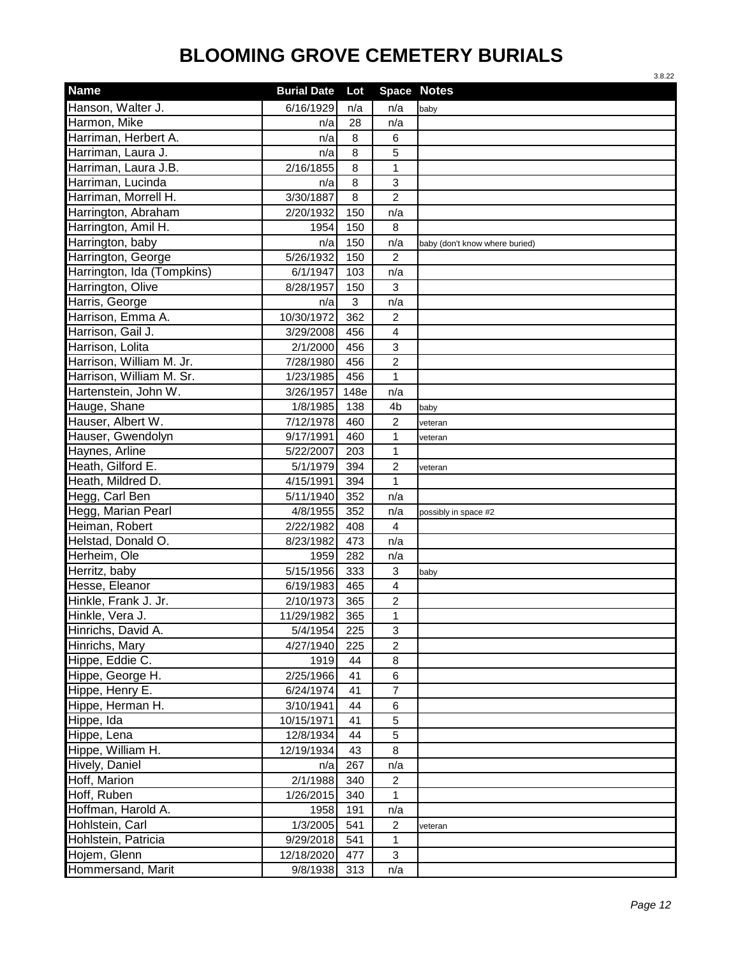|                            |                    |      |                | 3.8.22                         |
|----------------------------|--------------------|------|----------------|--------------------------------|
| <b>Name</b>                | <b>Burial Date</b> | Lot  |                | <b>Space Notes</b>             |
| Hanson, Walter J.          | 6/16/1929          | n/a  | n/a            | baby                           |
| Harmon, Mike               | n/a                | 28   | n/a            |                                |
| Harriman, Herbert A.       | n/a                | 8    | 6              |                                |
| Harriman, Laura J.         | n/a                | 8    | 5              |                                |
| Harriman, Laura J.B.       | 2/16/1855          | 8    | $\mathbf{1}$   |                                |
| Harriman, Lucinda          | n/a                | 8    | 3              |                                |
| Harriman, Morrell H.       | 3/30/1887          | 8    | $\overline{2}$ |                                |
| Harrington, Abraham        | 2/20/1932          | 150  | n/a            |                                |
| Harrington, Amil H.        | 1954               | 150  | 8              |                                |
| Harrington, baby           | n/a                | 150  | n/a            | baby (don't know where buried) |
| Harrington, George         | 5/26/1932          | 150  | $\overline{2}$ |                                |
| Harrington, Ida (Tompkins) | 6/1/1947           | 103  | n/a            |                                |
| Harrington, Olive          | 8/28/1957          | 150  | $\mathbf{3}$   |                                |
| Harris, George             | n/a                | 3    | n/a            |                                |
| Harrison, Emma A.          | 10/30/1972         | 362  | 2              |                                |
| Harrison, Gail J.          | 3/29/2008          | 456  | 4              |                                |
| Harrison, Lolita           | 2/1/2000           | 456  | 3              |                                |
| Harrison, William M. Jr.   | 7/28/1980          | 456  | 2              |                                |
| Harrison, William M. Sr.   | 1/23/1985          | 456  | $\mathbf{1}$   |                                |
| Hartenstein, John W.       | 3/26/1957          | 148e | n/a            |                                |
| Hauge, Shane               | 1/8/1985           | 138  | 4b             | baby                           |
| Hauser, Albert W.          | 7/12/1978          | 460  | $\overline{c}$ | veteran                        |
| Hauser, Gwendolyn          | 9/17/1991          | 460  | $\mathbf{1}$   | veteran                        |
| Haynes, Arline             | 5/22/2007          | 203  | $\mathbf{1}$   |                                |
| Heath, Gilford E.          | 5/1/1979           | 394  | $\overline{2}$ | veteran                        |
| Heath, Mildred D.          | 4/15/1991          | 394  | $\mathbf{1}$   |                                |
| Hegg, Carl Ben             | 5/11/1940          | 352  | n/a            |                                |
| Hegg, Marian Pearl         | 4/8/1955           | 352  | n/a            | possibly in space #2           |
| Heiman, Robert             | 2/22/1982          | 408  | 4              |                                |
| Helstad, Donald O.         | 8/23/1982          | 473  | n/a            |                                |
| Herheim, Ole               | 1959               | 282  | n/a            |                                |
| Herritz, baby              | 5/15/1956          | 333  | 3              | baby                           |
| Hesse, Eleanor             | 6/19/1983          | 465  | 4              |                                |
| Hinkle, Frank J. Jr.       | 2/10/1973          | 365  | $\overline{2}$ |                                |
| Hinkle, Vera J.            | 11/29/1982         | 365  | 1              |                                |
| Hinrichs, David A.         | 5/4/1954           | 225  | 3              |                                |
| Hinrichs, Mary             | 4/27/1940          | 225  | $\overline{c}$ |                                |
| Hippe, Eddie C.            | 1919               | 44   | 8              |                                |
| Hippe, George H.           | 2/25/1966          | 41   | 6              |                                |
| Hippe, Henry E.            | 6/24/1974          | 41   | $\overline{7}$ |                                |
| Hippe, Herman H.           | 3/10/1941          | 44   | 6              |                                |
| Hippe, Ida                 | 10/15/1971         | 41   | 5              |                                |
| Hippe, Lena                | 12/8/1934          | 44   | 5              |                                |
| Hippe, William H.          | 12/19/1934         | 43   | 8              |                                |
| Hively, Daniel             | n/a                | 267  | n/a            |                                |
| Hoff, Marion               | 2/1/1988           | 340  | $\overline{2}$ |                                |
| Hoff, Ruben                | 1/26/2015          | 340  | 1              |                                |
| Hoffman, Harold A.         | 1958               | 191  | n/a            |                                |
| Hohlstein, Carl            | 1/3/2005           | 541  | $\overline{2}$ | veteran                        |
| Hohlstein, Patricia        | 9/29/2018          | 541  | $\mathbf{1}$   |                                |
| Hojem, Glenn               | 12/18/2020         | 477  | 3              |                                |
| Hommersand, Marit          | 9/8/1938           | 313  | n/a            |                                |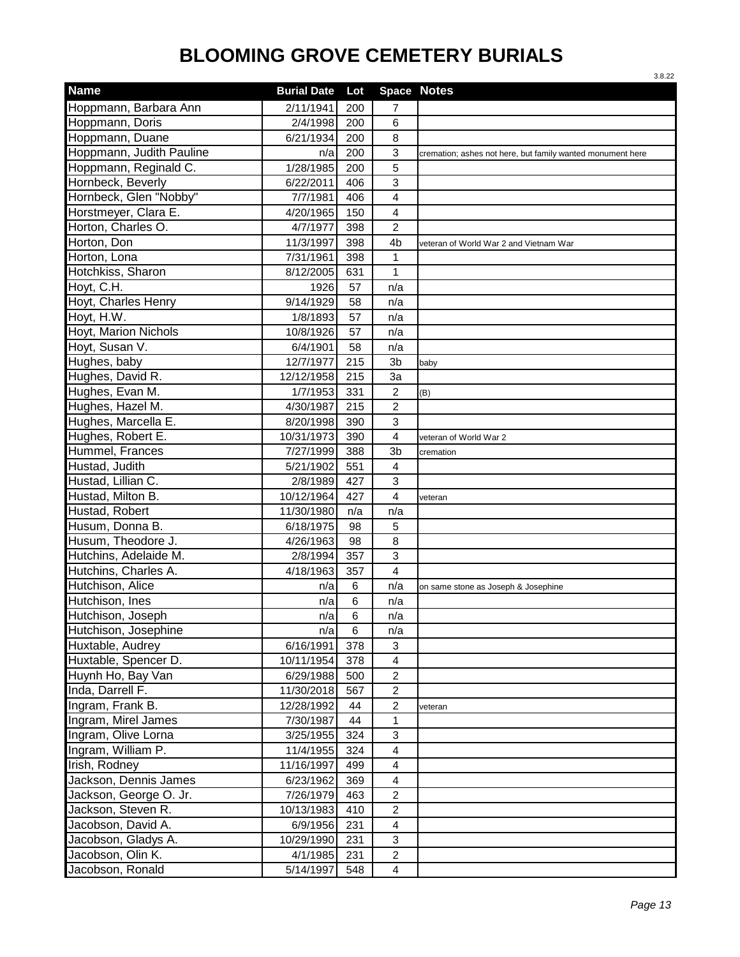|                          |                    |     |                         | 3.8.22                                                     |
|--------------------------|--------------------|-----|-------------------------|------------------------------------------------------------|
| <b>Name</b>              | <b>Burial Date</b> | Lot |                         | <b>Space Notes</b>                                         |
| Hoppmann, Barbara Ann    | 2/11/1941          | 200 | 7                       |                                                            |
| Hoppmann, Doris          | 2/4/1998           | 200 | 6                       |                                                            |
| Hoppmann, Duane          | 6/21/1934          | 200 | 8                       |                                                            |
| Hoppmann, Judith Pauline | n/a                | 200 | 3                       | cremation; ashes not here, but family wanted monument here |
| Hoppmann, Reginald C.    | 1/28/1985          | 200 | 5                       |                                                            |
| Hornbeck, Beverly        | 6/22/2011          | 406 | $\mathbf{3}$            |                                                            |
| Hornbeck, Glen "Nobby"   | 7/7/1981           | 406 | $\overline{4}$          |                                                            |
| Horstmeyer, Clara E.     | 4/20/1965          | 150 | $\overline{4}$          |                                                            |
| Horton, Charles O.       | 4/7/1977           | 398 | $\overline{2}$          |                                                            |
| Horton, Don              | 11/3/1997          | 398 | 4 <sub>b</sub>          | veteran of World War 2 and Vietnam War                     |
| Horton, Lona             | 7/31/1961          | 398 | $\mathbf{1}$            |                                                            |
| Hotchkiss, Sharon        | 8/12/2005          | 631 | 1                       |                                                            |
| Hoyt, C.H.               | 1926               | 57  | n/a                     |                                                            |
| Hoyt, Charles Henry      | 9/14/1929          | 58  | n/a                     |                                                            |
| Hoyt, H.W.               | 1/8/1893           | 57  | n/a                     |                                                            |
| Hoyt, Marion Nichols     | 10/8/1926          | 57  | n/a                     |                                                            |
| Hoyt, Susan V.           | 6/4/1901           | 58  | n/a                     |                                                            |
| Hughes, baby             | 12/7/1977          | 215 | 3b                      | baby                                                       |
| Hughes, David R.         | 12/12/1958         | 215 | 3a                      |                                                            |
| Hughes, Evan M.          | 1/7/1953           | 331 | $\overline{c}$          | (B)                                                        |
| Hughes, Hazel M.         | 4/30/1987          | 215 | $\overline{c}$          |                                                            |
| Hughes, Marcella E.      | 8/20/1998          | 390 | $\mathbf{3}$            |                                                            |
| Hughes, Robert E.        | 10/31/1973         | 390 | $\overline{4}$          | veteran of World War 2                                     |
| Hummel, Frances          | 7/27/1999          | 388 | 3b                      | cremation                                                  |
| Hustad, Judith           | 5/21/1902          | 551 | $\overline{4}$          |                                                            |
| Hustad, Lillian C.       | 2/8/1989           | 427 | 3                       |                                                            |
| Hustad, Milton B.        | 10/12/1964         | 427 | 4                       | veteran                                                    |
| Hustad, Robert           | 11/30/1980         | n/a | n/a                     |                                                            |
| Husum, Donna B.          | 6/18/1975          | 98  | 5                       |                                                            |
| Husum, Theodore J.       | 4/26/1963          | 98  | 8                       |                                                            |
| Hutchins, Adelaide M.    | 2/8/1994           | 357 | $\mathbf{3}$            |                                                            |
| Hutchins, Charles A.     | 4/18/1963          | 357 | $\overline{4}$          |                                                            |
| Hutchison, Alice         | n/a                | 6   | n/a                     | on same stone as Joseph & Josephine                        |
| Hutchison, Ines          | n/a                | 6   | n/a                     |                                                            |
| Hutchison, Joseph        | n/a                | 6   | n/a                     |                                                            |
| Hutchison, Josephine     | n/a                | 6   | n/a                     |                                                            |
| Huxtable, Audrey         | 6/16/1991          | 378 | 3                       |                                                            |
| Huxtable, Spencer D.     | 10/11/1954         | 378 | $\overline{4}$          |                                                            |
| Huynh Ho, Bay Van        | 6/29/1988          | 500 | $\overline{c}$          |                                                            |
| Inda, Darrell F.         | 11/30/2018         | 567 | $\overline{2}$          |                                                            |
| Ingram, Frank B.         | 12/28/1992         | 44  | $\boldsymbol{2}$        | veteran                                                    |
| Ingram, Mirel James      | 7/30/1987          | 44  | 1                       |                                                            |
| Ingram, Olive Lorna      | 3/25/1955          | 324 | 3                       |                                                            |
| Ingram, William P.       | 11/4/1955          | 324 | $\overline{4}$          |                                                            |
| Irish, Rodney            | 11/16/1997         | 499 | $\overline{4}$          |                                                            |
| Jackson, Dennis James    | 6/23/1962          | 369 | 4                       |                                                            |
| Jackson, George O. Jr.   | 7/26/1979          | 463 | $\overline{c}$          |                                                            |
| Jackson, Steven R.       | 10/13/1983         | 410 | $\overline{c}$          |                                                            |
| Jacobson, David A.       | 6/9/1956           | 231 | $\overline{\mathbf{4}}$ |                                                            |
| Jacobson, Gladys A.      | 10/29/1990         | 231 | 3                       |                                                            |
| Jacobson, Olin K.        | 4/1/1985           | 231 | $\overline{a}$          |                                                            |
| Jacobson, Ronald         | 5/14/1997          | 548 | $\overline{4}$          |                                                            |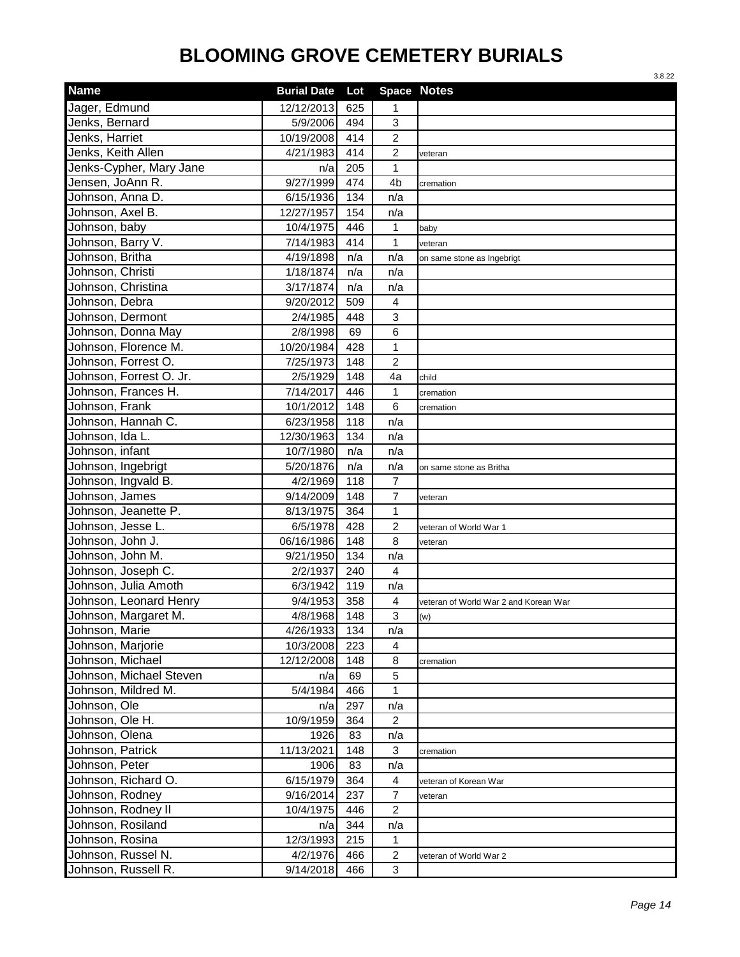| <b>Name</b><br><b>Space Notes</b><br><b>Burial Date</b><br>Lot<br>Jager, Edmund<br>12/12/2013<br>625<br>1<br>Jenks, Bernard<br>5/9/2006<br>494<br>3<br>Jenks, Harriet<br>10/19/2008<br>414<br>$\overline{c}$<br>Jenks, Keith Allen<br>414<br>$\overline{c}$<br>4/21/1983<br>veteran<br>Jenks-Cypher, Mary Jane<br>$\mathbf{1}$<br>205<br>n/a<br>Jensen, JoAnn R.<br>9/27/1999<br>474<br>4b<br>cremation<br>Johnson, Anna D.<br>134<br>6/15/1936<br>n/a<br>Johnson, Axel B.<br>154<br>12/27/1957<br>n/a<br>1<br>Johnson, baby<br>10/4/1975<br>446<br>baby<br>$\mathbf 1$<br>Johnson, Barry V.<br>7/14/1983<br>414<br>veteran<br>Johnson, Britha<br>4/19/1898<br>n/a<br>n/a<br>on same stone as Ingebrigt<br>Johnson, Christi<br>1/18/1874<br>n/a<br>n/a<br>Johnson, Christina<br>3/17/1874<br>n/a<br>n/a<br>Johnson, Debra<br>9/20/2012<br>509<br>4<br>Johnson, Dermont<br>3<br>2/4/1985<br>448<br>Johnson, Donna May<br>2/8/1998<br>6<br>69<br>Johnson, Florence M.<br>$\mathbf 1$<br>10/20/1984<br>428<br>$\overline{c}$<br>Johnson, Forrest O.<br>7/25/1973<br>148<br>Johnson, Forrest O. Jr.<br>2/5/1929<br>148<br>4a<br>child<br>Johnson, Frances H.<br>$\mathbf{1}$<br>7/14/2017<br>446<br>cremation<br>Johnson, Frank<br>6<br>10/1/2012<br>148<br>cremation<br>Johnson, Hannah C.<br>6/23/1958<br>118<br>n/a<br>Johnson, Ida L.<br>12/30/1963<br>134<br>n/a<br>Johnson, infant<br>10/7/1980<br>n/a<br>n/a<br>Johnson, Ingebrigt<br>5/20/1876<br>n/a<br>n/a<br>on same stone as Britha<br>Johnson, Ingvald B.<br>$\overline{7}$<br>118<br>4/2/1969<br>$\overline{7}$<br>Johnson, James<br>148<br>9/14/2009<br>veteran<br>Johnson, Jeanette P.<br>$\mathbf{1}$<br>8/13/1975<br>364<br>$\boldsymbol{2}$<br>Johnson, Jesse L.<br>6/5/1978<br>428<br>veteran of World War 1<br>Johnson, John J.<br>8<br>06/16/1986<br>148<br>veteran<br>Johnson, John M.<br>134<br>9/21/1950<br>n/a<br>Johnson, Joseph C.<br>2/2/1937<br>240<br>$\overline{4}$<br>Johnson, Julia Amoth<br>6/3/1942<br>119<br>n/a<br>Johnson, Leonard Henry<br>$\overline{\mathbf{4}}$<br>358<br>9/4/1953<br>veteran of World War 2 and Korean War<br>Johnson, Margaret M.<br>4/8/1968<br>148<br>3<br>(w)<br>Johnson, Marie<br>4/26/1933<br>134<br>n/a<br>10/3/2008<br>Johnson, Marjorie<br>223<br>$\overline{\mathbf{4}}$<br>Johnson, Michael<br>12/12/2008<br>148<br>8<br>cremation<br>Johnson, Michael Steven<br>5<br>69<br>n/a<br>Johnson, Mildred M.<br>5/4/1984<br>$\mathbf{1}$<br>466<br>Johnson, Ole<br>297<br>n/a<br>n/a<br>10/9/1959<br>Johnson, Ole H.<br>364<br>$\overline{c}$<br>Johnson, Olena<br>1926<br>83<br>n/a<br>Johnson, Patrick<br>11/13/2021<br>148<br>3<br>cremation<br>Johnson, Peter<br>1906<br>83<br>n/a<br>Johnson, Richard O.<br>6/15/1979<br>364<br>4<br>veteran of Korean War<br>Johnson, Rodney<br>9/16/2014<br>237<br>$\overline{7}$<br>veteran<br>Johnson, Rodney II<br>10/4/1975<br>$\overline{2}$<br>446<br>Johnson, Rosiland<br>344<br>n/a<br>n/a<br>Johnson, Rosina<br>12/3/1993<br>$\mathbf{1}$<br>215<br>Johnson, Russel N.<br>$\overline{c}$<br>4/2/1976<br>466<br>veteran of World War 2<br>Johnson, Russell R.<br>9/14/2018<br>466<br>3 |  |  | 3.8.22 |
|----------------------------------------------------------------------------------------------------------------------------------------------------------------------------------------------------------------------------------------------------------------------------------------------------------------------------------------------------------------------------------------------------------------------------------------------------------------------------------------------------------------------------------------------------------------------------------------------------------------------------------------------------------------------------------------------------------------------------------------------------------------------------------------------------------------------------------------------------------------------------------------------------------------------------------------------------------------------------------------------------------------------------------------------------------------------------------------------------------------------------------------------------------------------------------------------------------------------------------------------------------------------------------------------------------------------------------------------------------------------------------------------------------------------------------------------------------------------------------------------------------------------------------------------------------------------------------------------------------------------------------------------------------------------------------------------------------------------------------------------------------------------------------------------------------------------------------------------------------------------------------------------------------------------------------------------------------------------------------------------------------------------------------------------------------------------------------------------------------------------------------------------------------------------------------------------------------------------------------------------------------------------------------------------------------------------------------------------------------------------------------------------------------------------------------------------------------------------------------------------------------------------------------------------------------------------------------------------------------------------------------------------------------------------------------------------------------------------------------------------------------------------------------------------------------------------------------------------------------------------------------------------------------------------------------------------------------------------------------------------------------------------------------------------------------------------------------------------------------------------------------------------------|--|--|--------|
|                                                                                                                                                                                                                                                                                                                                                                                                                                                                                                                                                                                                                                                                                                                                                                                                                                                                                                                                                                                                                                                                                                                                                                                                                                                                                                                                                                                                                                                                                                                                                                                                                                                                                                                                                                                                                                                                                                                                                                                                                                                                                                                                                                                                                                                                                                                                                                                                                                                                                                                                                                                                                                                                                                                                                                                                                                                                                                                                                                                                                                                                                                                                                    |  |  |        |
|                                                                                                                                                                                                                                                                                                                                                                                                                                                                                                                                                                                                                                                                                                                                                                                                                                                                                                                                                                                                                                                                                                                                                                                                                                                                                                                                                                                                                                                                                                                                                                                                                                                                                                                                                                                                                                                                                                                                                                                                                                                                                                                                                                                                                                                                                                                                                                                                                                                                                                                                                                                                                                                                                                                                                                                                                                                                                                                                                                                                                                                                                                                                                    |  |  |        |
|                                                                                                                                                                                                                                                                                                                                                                                                                                                                                                                                                                                                                                                                                                                                                                                                                                                                                                                                                                                                                                                                                                                                                                                                                                                                                                                                                                                                                                                                                                                                                                                                                                                                                                                                                                                                                                                                                                                                                                                                                                                                                                                                                                                                                                                                                                                                                                                                                                                                                                                                                                                                                                                                                                                                                                                                                                                                                                                                                                                                                                                                                                                                                    |  |  |        |
|                                                                                                                                                                                                                                                                                                                                                                                                                                                                                                                                                                                                                                                                                                                                                                                                                                                                                                                                                                                                                                                                                                                                                                                                                                                                                                                                                                                                                                                                                                                                                                                                                                                                                                                                                                                                                                                                                                                                                                                                                                                                                                                                                                                                                                                                                                                                                                                                                                                                                                                                                                                                                                                                                                                                                                                                                                                                                                                                                                                                                                                                                                                                                    |  |  |        |
|                                                                                                                                                                                                                                                                                                                                                                                                                                                                                                                                                                                                                                                                                                                                                                                                                                                                                                                                                                                                                                                                                                                                                                                                                                                                                                                                                                                                                                                                                                                                                                                                                                                                                                                                                                                                                                                                                                                                                                                                                                                                                                                                                                                                                                                                                                                                                                                                                                                                                                                                                                                                                                                                                                                                                                                                                                                                                                                                                                                                                                                                                                                                                    |  |  |        |
|                                                                                                                                                                                                                                                                                                                                                                                                                                                                                                                                                                                                                                                                                                                                                                                                                                                                                                                                                                                                                                                                                                                                                                                                                                                                                                                                                                                                                                                                                                                                                                                                                                                                                                                                                                                                                                                                                                                                                                                                                                                                                                                                                                                                                                                                                                                                                                                                                                                                                                                                                                                                                                                                                                                                                                                                                                                                                                                                                                                                                                                                                                                                                    |  |  |        |
|                                                                                                                                                                                                                                                                                                                                                                                                                                                                                                                                                                                                                                                                                                                                                                                                                                                                                                                                                                                                                                                                                                                                                                                                                                                                                                                                                                                                                                                                                                                                                                                                                                                                                                                                                                                                                                                                                                                                                                                                                                                                                                                                                                                                                                                                                                                                                                                                                                                                                                                                                                                                                                                                                                                                                                                                                                                                                                                                                                                                                                                                                                                                                    |  |  |        |
|                                                                                                                                                                                                                                                                                                                                                                                                                                                                                                                                                                                                                                                                                                                                                                                                                                                                                                                                                                                                                                                                                                                                                                                                                                                                                                                                                                                                                                                                                                                                                                                                                                                                                                                                                                                                                                                                                                                                                                                                                                                                                                                                                                                                                                                                                                                                                                                                                                                                                                                                                                                                                                                                                                                                                                                                                                                                                                                                                                                                                                                                                                                                                    |  |  |        |
|                                                                                                                                                                                                                                                                                                                                                                                                                                                                                                                                                                                                                                                                                                                                                                                                                                                                                                                                                                                                                                                                                                                                                                                                                                                                                                                                                                                                                                                                                                                                                                                                                                                                                                                                                                                                                                                                                                                                                                                                                                                                                                                                                                                                                                                                                                                                                                                                                                                                                                                                                                                                                                                                                                                                                                                                                                                                                                                                                                                                                                                                                                                                                    |  |  |        |
|                                                                                                                                                                                                                                                                                                                                                                                                                                                                                                                                                                                                                                                                                                                                                                                                                                                                                                                                                                                                                                                                                                                                                                                                                                                                                                                                                                                                                                                                                                                                                                                                                                                                                                                                                                                                                                                                                                                                                                                                                                                                                                                                                                                                                                                                                                                                                                                                                                                                                                                                                                                                                                                                                                                                                                                                                                                                                                                                                                                                                                                                                                                                                    |  |  |        |
|                                                                                                                                                                                                                                                                                                                                                                                                                                                                                                                                                                                                                                                                                                                                                                                                                                                                                                                                                                                                                                                                                                                                                                                                                                                                                                                                                                                                                                                                                                                                                                                                                                                                                                                                                                                                                                                                                                                                                                                                                                                                                                                                                                                                                                                                                                                                                                                                                                                                                                                                                                                                                                                                                                                                                                                                                                                                                                                                                                                                                                                                                                                                                    |  |  |        |
|                                                                                                                                                                                                                                                                                                                                                                                                                                                                                                                                                                                                                                                                                                                                                                                                                                                                                                                                                                                                                                                                                                                                                                                                                                                                                                                                                                                                                                                                                                                                                                                                                                                                                                                                                                                                                                                                                                                                                                                                                                                                                                                                                                                                                                                                                                                                                                                                                                                                                                                                                                                                                                                                                                                                                                                                                                                                                                                                                                                                                                                                                                                                                    |  |  |        |
|                                                                                                                                                                                                                                                                                                                                                                                                                                                                                                                                                                                                                                                                                                                                                                                                                                                                                                                                                                                                                                                                                                                                                                                                                                                                                                                                                                                                                                                                                                                                                                                                                                                                                                                                                                                                                                                                                                                                                                                                                                                                                                                                                                                                                                                                                                                                                                                                                                                                                                                                                                                                                                                                                                                                                                                                                                                                                                                                                                                                                                                                                                                                                    |  |  |        |
|                                                                                                                                                                                                                                                                                                                                                                                                                                                                                                                                                                                                                                                                                                                                                                                                                                                                                                                                                                                                                                                                                                                                                                                                                                                                                                                                                                                                                                                                                                                                                                                                                                                                                                                                                                                                                                                                                                                                                                                                                                                                                                                                                                                                                                                                                                                                                                                                                                                                                                                                                                                                                                                                                                                                                                                                                                                                                                                                                                                                                                                                                                                                                    |  |  |        |
|                                                                                                                                                                                                                                                                                                                                                                                                                                                                                                                                                                                                                                                                                                                                                                                                                                                                                                                                                                                                                                                                                                                                                                                                                                                                                                                                                                                                                                                                                                                                                                                                                                                                                                                                                                                                                                                                                                                                                                                                                                                                                                                                                                                                                                                                                                                                                                                                                                                                                                                                                                                                                                                                                                                                                                                                                                                                                                                                                                                                                                                                                                                                                    |  |  |        |
|                                                                                                                                                                                                                                                                                                                                                                                                                                                                                                                                                                                                                                                                                                                                                                                                                                                                                                                                                                                                                                                                                                                                                                                                                                                                                                                                                                                                                                                                                                                                                                                                                                                                                                                                                                                                                                                                                                                                                                                                                                                                                                                                                                                                                                                                                                                                                                                                                                                                                                                                                                                                                                                                                                                                                                                                                                                                                                                                                                                                                                                                                                                                                    |  |  |        |
|                                                                                                                                                                                                                                                                                                                                                                                                                                                                                                                                                                                                                                                                                                                                                                                                                                                                                                                                                                                                                                                                                                                                                                                                                                                                                                                                                                                                                                                                                                                                                                                                                                                                                                                                                                                                                                                                                                                                                                                                                                                                                                                                                                                                                                                                                                                                                                                                                                                                                                                                                                                                                                                                                                                                                                                                                                                                                                                                                                                                                                                                                                                                                    |  |  |        |
|                                                                                                                                                                                                                                                                                                                                                                                                                                                                                                                                                                                                                                                                                                                                                                                                                                                                                                                                                                                                                                                                                                                                                                                                                                                                                                                                                                                                                                                                                                                                                                                                                                                                                                                                                                                                                                                                                                                                                                                                                                                                                                                                                                                                                                                                                                                                                                                                                                                                                                                                                                                                                                                                                                                                                                                                                                                                                                                                                                                                                                                                                                                                                    |  |  |        |
|                                                                                                                                                                                                                                                                                                                                                                                                                                                                                                                                                                                                                                                                                                                                                                                                                                                                                                                                                                                                                                                                                                                                                                                                                                                                                                                                                                                                                                                                                                                                                                                                                                                                                                                                                                                                                                                                                                                                                                                                                                                                                                                                                                                                                                                                                                                                                                                                                                                                                                                                                                                                                                                                                                                                                                                                                                                                                                                                                                                                                                                                                                                                                    |  |  |        |
|                                                                                                                                                                                                                                                                                                                                                                                                                                                                                                                                                                                                                                                                                                                                                                                                                                                                                                                                                                                                                                                                                                                                                                                                                                                                                                                                                                                                                                                                                                                                                                                                                                                                                                                                                                                                                                                                                                                                                                                                                                                                                                                                                                                                                                                                                                                                                                                                                                                                                                                                                                                                                                                                                                                                                                                                                                                                                                                                                                                                                                                                                                                                                    |  |  |        |
|                                                                                                                                                                                                                                                                                                                                                                                                                                                                                                                                                                                                                                                                                                                                                                                                                                                                                                                                                                                                                                                                                                                                                                                                                                                                                                                                                                                                                                                                                                                                                                                                                                                                                                                                                                                                                                                                                                                                                                                                                                                                                                                                                                                                                                                                                                                                                                                                                                                                                                                                                                                                                                                                                                                                                                                                                                                                                                                                                                                                                                                                                                                                                    |  |  |        |
|                                                                                                                                                                                                                                                                                                                                                                                                                                                                                                                                                                                                                                                                                                                                                                                                                                                                                                                                                                                                                                                                                                                                                                                                                                                                                                                                                                                                                                                                                                                                                                                                                                                                                                                                                                                                                                                                                                                                                                                                                                                                                                                                                                                                                                                                                                                                                                                                                                                                                                                                                                                                                                                                                                                                                                                                                                                                                                                                                                                                                                                                                                                                                    |  |  |        |
|                                                                                                                                                                                                                                                                                                                                                                                                                                                                                                                                                                                                                                                                                                                                                                                                                                                                                                                                                                                                                                                                                                                                                                                                                                                                                                                                                                                                                                                                                                                                                                                                                                                                                                                                                                                                                                                                                                                                                                                                                                                                                                                                                                                                                                                                                                                                                                                                                                                                                                                                                                                                                                                                                                                                                                                                                                                                                                                                                                                                                                                                                                                                                    |  |  |        |
|                                                                                                                                                                                                                                                                                                                                                                                                                                                                                                                                                                                                                                                                                                                                                                                                                                                                                                                                                                                                                                                                                                                                                                                                                                                                                                                                                                                                                                                                                                                                                                                                                                                                                                                                                                                                                                                                                                                                                                                                                                                                                                                                                                                                                                                                                                                                                                                                                                                                                                                                                                                                                                                                                                                                                                                                                                                                                                                                                                                                                                                                                                                                                    |  |  |        |
|                                                                                                                                                                                                                                                                                                                                                                                                                                                                                                                                                                                                                                                                                                                                                                                                                                                                                                                                                                                                                                                                                                                                                                                                                                                                                                                                                                                                                                                                                                                                                                                                                                                                                                                                                                                                                                                                                                                                                                                                                                                                                                                                                                                                                                                                                                                                                                                                                                                                                                                                                                                                                                                                                                                                                                                                                                                                                                                                                                                                                                                                                                                                                    |  |  |        |
|                                                                                                                                                                                                                                                                                                                                                                                                                                                                                                                                                                                                                                                                                                                                                                                                                                                                                                                                                                                                                                                                                                                                                                                                                                                                                                                                                                                                                                                                                                                                                                                                                                                                                                                                                                                                                                                                                                                                                                                                                                                                                                                                                                                                                                                                                                                                                                                                                                                                                                                                                                                                                                                                                                                                                                                                                                                                                                                                                                                                                                                                                                                                                    |  |  |        |
|                                                                                                                                                                                                                                                                                                                                                                                                                                                                                                                                                                                                                                                                                                                                                                                                                                                                                                                                                                                                                                                                                                                                                                                                                                                                                                                                                                                                                                                                                                                                                                                                                                                                                                                                                                                                                                                                                                                                                                                                                                                                                                                                                                                                                                                                                                                                                                                                                                                                                                                                                                                                                                                                                                                                                                                                                                                                                                                                                                                                                                                                                                                                                    |  |  |        |
|                                                                                                                                                                                                                                                                                                                                                                                                                                                                                                                                                                                                                                                                                                                                                                                                                                                                                                                                                                                                                                                                                                                                                                                                                                                                                                                                                                                                                                                                                                                                                                                                                                                                                                                                                                                                                                                                                                                                                                                                                                                                                                                                                                                                                                                                                                                                                                                                                                                                                                                                                                                                                                                                                                                                                                                                                                                                                                                                                                                                                                                                                                                                                    |  |  |        |
|                                                                                                                                                                                                                                                                                                                                                                                                                                                                                                                                                                                                                                                                                                                                                                                                                                                                                                                                                                                                                                                                                                                                                                                                                                                                                                                                                                                                                                                                                                                                                                                                                                                                                                                                                                                                                                                                                                                                                                                                                                                                                                                                                                                                                                                                                                                                                                                                                                                                                                                                                                                                                                                                                                                                                                                                                                                                                                                                                                                                                                                                                                                                                    |  |  |        |
|                                                                                                                                                                                                                                                                                                                                                                                                                                                                                                                                                                                                                                                                                                                                                                                                                                                                                                                                                                                                                                                                                                                                                                                                                                                                                                                                                                                                                                                                                                                                                                                                                                                                                                                                                                                                                                                                                                                                                                                                                                                                                                                                                                                                                                                                                                                                                                                                                                                                                                                                                                                                                                                                                                                                                                                                                                                                                                                                                                                                                                                                                                                                                    |  |  |        |
|                                                                                                                                                                                                                                                                                                                                                                                                                                                                                                                                                                                                                                                                                                                                                                                                                                                                                                                                                                                                                                                                                                                                                                                                                                                                                                                                                                                                                                                                                                                                                                                                                                                                                                                                                                                                                                                                                                                                                                                                                                                                                                                                                                                                                                                                                                                                                                                                                                                                                                                                                                                                                                                                                                                                                                                                                                                                                                                                                                                                                                                                                                                                                    |  |  |        |
|                                                                                                                                                                                                                                                                                                                                                                                                                                                                                                                                                                                                                                                                                                                                                                                                                                                                                                                                                                                                                                                                                                                                                                                                                                                                                                                                                                                                                                                                                                                                                                                                                                                                                                                                                                                                                                                                                                                                                                                                                                                                                                                                                                                                                                                                                                                                                                                                                                                                                                                                                                                                                                                                                                                                                                                                                                                                                                                                                                                                                                                                                                                                                    |  |  |        |
|                                                                                                                                                                                                                                                                                                                                                                                                                                                                                                                                                                                                                                                                                                                                                                                                                                                                                                                                                                                                                                                                                                                                                                                                                                                                                                                                                                                                                                                                                                                                                                                                                                                                                                                                                                                                                                                                                                                                                                                                                                                                                                                                                                                                                                                                                                                                                                                                                                                                                                                                                                                                                                                                                                                                                                                                                                                                                                                                                                                                                                                                                                                                                    |  |  |        |
|                                                                                                                                                                                                                                                                                                                                                                                                                                                                                                                                                                                                                                                                                                                                                                                                                                                                                                                                                                                                                                                                                                                                                                                                                                                                                                                                                                                                                                                                                                                                                                                                                                                                                                                                                                                                                                                                                                                                                                                                                                                                                                                                                                                                                                                                                                                                                                                                                                                                                                                                                                                                                                                                                                                                                                                                                                                                                                                                                                                                                                                                                                                                                    |  |  |        |
|                                                                                                                                                                                                                                                                                                                                                                                                                                                                                                                                                                                                                                                                                                                                                                                                                                                                                                                                                                                                                                                                                                                                                                                                                                                                                                                                                                                                                                                                                                                                                                                                                                                                                                                                                                                                                                                                                                                                                                                                                                                                                                                                                                                                                                                                                                                                                                                                                                                                                                                                                                                                                                                                                                                                                                                                                                                                                                                                                                                                                                                                                                                                                    |  |  |        |
|                                                                                                                                                                                                                                                                                                                                                                                                                                                                                                                                                                                                                                                                                                                                                                                                                                                                                                                                                                                                                                                                                                                                                                                                                                                                                                                                                                                                                                                                                                                                                                                                                                                                                                                                                                                                                                                                                                                                                                                                                                                                                                                                                                                                                                                                                                                                                                                                                                                                                                                                                                                                                                                                                                                                                                                                                                                                                                                                                                                                                                                                                                                                                    |  |  |        |
|                                                                                                                                                                                                                                                                                                                                                                                                                                                                                                                                                                                                                                                                                                                                                                                                                                                                                                                                                                                                                                                                                                                                                                                                                                                                                                                                                                                                                                                                                                                                                                                                                                                                                                                                                                                                                                                                                                                                                                                                                                                                                                                                                                                                                                                                                                                                                                                                                                                                                                                                                                                                                                                                                                                                                                                                                                                                                                                                                                                                                                                                                                                                                    |  |  |        |
|                                                                                                                                                                                                                                                                                                                                                                                                                                                                                                                                                                                                                                                                                                                                                                                                                                                                                                                                                                                                                                                                                                                                                                                                                                                                                                                                                                                                                                                                                                                                                                                                                                                                                                                                                                                                                                                                                                                                                                                                                                                                                                                                                                                                                                                                                                                                                                                                                                                                                                                                                                                                                                                                                                                                                                                                                                                                                                                                                                                                                                                                                                                                                    |  |  |        |
|                                                                                                                                                                                                                                                                                                                                                                                                                                                                                                                                                                                                                                                                                                                                                                                                                                                                                                                                                                                                                                                                                                                                                                                                                                                                                                                                                                                                                                                                                                                                                                                                                                                                                                                                                                                                                                                                                                                                                                                                                                                                                                                                                                                                                                                                                                                                                                                                                                                                                                                                                                                                                                                                                                                                                                                                                                                                                                                                                                                                                                                                                                                                                    |  |  |        |
|                                                                                                                                                                                                                                                                                                                                                                                                                                                                                                                                                                                                                                                                                                                                                                                                                                                                                                                                                                                                                                                                                                                                                                                                                                                                                                                                                                                                                                                                                                                                                                                                                                                                                                                                                                                                                                                                                                                                                                                                                                                                                                                                                                                                                                                                                                                                                                                                                                                                                                                                                                                                                                                                                                                                                                                                                                                                                                                                                                                                                                                                                                                                                    |  |  |        |
|                                                                                                                                                                                                                                                                                                                                                                                                                                                                                                                                                                                                                                                                                                                                                                                                                                                                                                                                                                                                                                                                                                                                                                                                                                                                                                                                                                                                                                                                                                                                                                                                                                                                                                                                                                                                                                                                                                                                                                                                                                                                                                                                                                                                                                                                                                                                                                                                                                                                                                                                                                                                                                                                                                                                                                                                                                                                                                                                                                                                                                                                                                                                                    |  |  |        |
|                                                                                                                                                                                                                                                                                                                                                                                                                                                                                                                                                                                                                                                                                                                                                                                                                                                                                                                                                                                                                                                                                                                                                                                                                                                                                                                                                                                                                                                                                                                                                                                                                                                                                                                                                                                                                                                                                                                                                                                                                                                                                                                                                                                                                                                                                                                                                                                                                                                                                                                                                                                                                                                                                                                                                                                                                                                                                                                                                                                                                                                                                                                                                    |  |  |        |
|                                                                                                                                                                                                                                                                                                                                                                                                                                                                                                                                                                                                                                                                                                                                                                                                                                                                                                                                                                                                                                                                                                                                                                                                                                                                                                                                                                                                                                                                                                                                                                                                                                                                                                                                                                                                                                                                                                                                                                                                                                                                                                                                                                                                                                                                                                                                                                                                                                                                                                                                                                                                                                                                                                                                                                                                                                                                                                                                                                                                                                                                                                                                                    |  |  |        |
|                                                                                                                                                                                                                                                                                                                                                                                                                                                                                                                                                                                                                                                                                                                                                                                                                                                                                                                                                                                                                                                                                                                                                                                                                                                                                                                                                                                                                                                                                                                                                                                                                                                                                                                                                                                                                                                                                                                                                                                                                                                                                                                                                                                                                                                                                                                                                                                                                                                                                                                                                                                                                                                                                                                                                                                                                                                                                                                                                                                                                                                                                                                                                    |  |  |        |
|                                                                                                                                                                                                                                                                                                                                                                                                                                                                                                                                                                                                                                                                                                                                                                                                                                                                                                                                                                                                                                                                                                                                                                                                                                                                                                                                                                                                                                                                                                                                                                                                                                                                                                                                                                                                                                                                                                                                                                                                                                                                                                                                                                                                                                                                                                                                                                                                                                                                                                                                                                                                                                                                                                                                                                                                                                                                                                                                                                                                                                                                                                                                                    |  |  |        |
|                                                                                                                                                                                                                                                                                                                                                                                                                                                                                                                                                                                                                                                                                                                                                                                                                                                                                                                                                                                                                                                                                                                                                                                                                                                                                                                                                                                                                                                                                                                                                                                                                                                                                                                                                                                                                                                                                                                                                                                                                                                                                                                                                                                                                                                                                                                                                                                                                                                                                                                                                                                                                                                                                                                                                                                                                                                                                                                                                                                                                                                                                                                                                    |  |  |        |
|                                                                                                                                                                                                                                                                                                                                                                                                                                                                                                                                                                                                                                                                                                                                                                                                                                                                                                                                                                                                                                                                                                                                                                                                                                                                                                                                                                                                                                                                                                                                                                                                                                                                                                                                                                                                                                                                                                                                                                                                                                                                                                                                                                                                                                                                                                                                                                                                                                                                                                                                                                                                                                                                                                                                                                                                                                                                                                                                                                                                                                                                                                                                                    |  |  |        |
|                                                                                                                                                                                                                                                                                                                                                                                                                                                                                                                                                                                                                                                                                                                                                                                                                                                                                                                                                                                                                                                                                                                                                                                                                                                                                                                                                                                                                                                                                                                                                                                                                                                                                                                                                                                                                                                                                                                                                                                                                                                                                                                                                                                                                                                                                                                                                                                                                                                                                                                                                                                                                                                                                                                                                                                                                                                                                                                                                                                                                                                                                                                                                    |  |  |        |
|                                                                                                                                                                                                                                                                                                                                                                                                                                                                                                                                                                                                                                                                                                                                                                                                                                                                                                                                                                                                                                                                                                                                                                                                                                                                                                                                                                                                                                                                                                                                                                                                                                                                                                                                                                                                                                                                                                                                                                                                                                                                                                                                                                                                                                                                                                                                                                                                                                                                                                                                                                                                                                                                                                                                                                                                                                                                                                                                                                                                                                                                                                                                                    |  |  |        |
|                                                                                                                                                                                                                                                                                                                                                                                                                                                                                                                                                                                                                                                                                                                                                                                                                                                                                                                                                                                                                                                                                                                                                                                                                                                                                                                                                                                                                                                                                                                                                                                                                                                                                                                                                                                                                                                                                                                                                                                                                                                                                                                                                                                                                                                                                                                                                                                                                                                                                                                                                                                                                                                                                                                                                                                                                                                                                                                                                                                                                                                                                                                                                    |  |  |        |
|                                                                                                                                                                                                                                                                                                                                                                                                                                                                                                                                                                                                                                                                                                                                                                                                                                                                                                                                                                                                                                                                                                                                                                                                                                                                                                                                                                                                                                                                                                                                                                                                                                                                                                                                                                                                                                                                                                                                                                                                                                                                                                                                                                                                                                                                                                                                                                                                                                                                                                                                                                                                                                                                                                                                                                                                                                                                                                                                                                                                                                                                                                                                                    |  |  |        |
|                                                                                                                                                                                                                                                                                                                                                                                                                                                                                                                                                                                                                                                                                                                                                                                                                                                                                                                                                                                                                                                                                                                                                                                                                                                                                                                                                                                                                                                                                                                                                                                                                                                                                                                                                                                                                                                                                                                                                                                                                                                                                                                                                                                                                                                                                                                                                                                                                                                                                                                                                                                                                                                                                                                                                                                                                                                                                                                                                                                                                                                                                                                                                    |  |  |        |
|                                                                                                                                                                                                                                                                                                                                                                                                                                                                                                                                                                                                                                                                                                                                                                                                                                                                                                                                                                                                                                                                                                                                                                                                                                                                                                                                                                                                                                                                                                                                                                                                                                                                                                                                                                                                                                                                                                                                                                                                                                                                                                                                                                                                                                                                                                                                                                                                                                                                                                                                                                                                                                                                                                                                                                                                                                                                                                                                                                                                                                                                                                                                                    |  |  |        |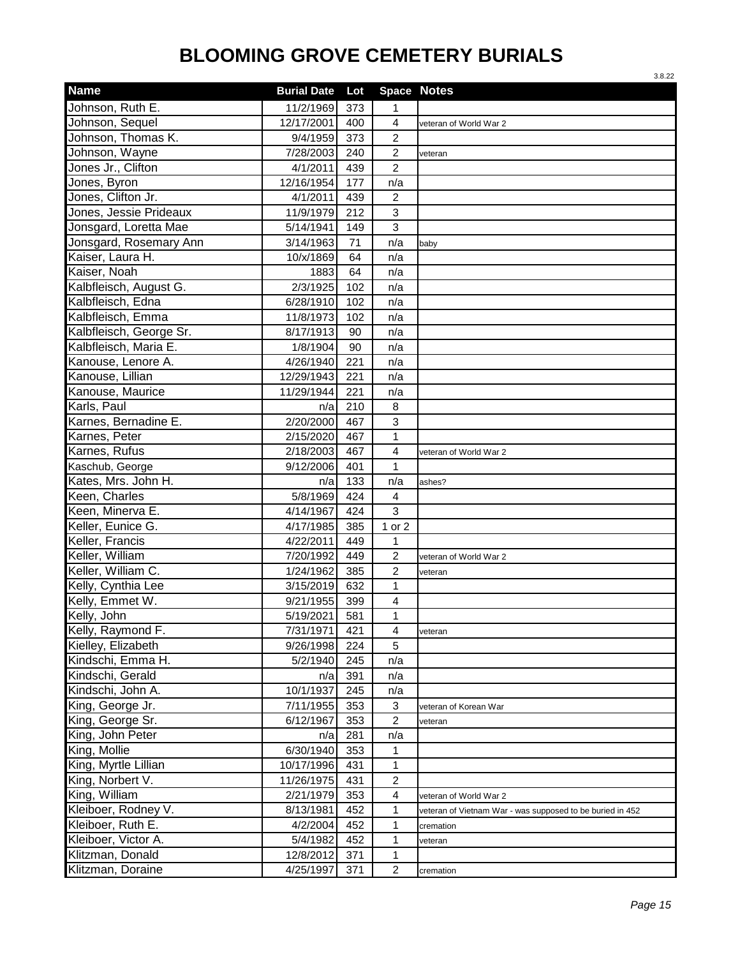|                         |                    |     |                         | 3.8.22                                                    |
|-------------------------|--------------------|-----|-------------------------|-----------------------------------------------------------|
| <b>Name</b>             | <b>Burial Date</b> | Lot |                         | <b>Space Notes</b>                                        |
| Johnson, Ruth E.        | 11/2/1969          | 373 | 1                       |                                                           |
| Johnson, Sequel         | 12/17/2001         | 400 | $\overline{4}$          | veteran of World War 2                                    |
| Johnson, Thomas K.      | 9/4/1959           | 373 | $\overline{2}$          |                                                           |
| Johnson, Wayne          | 7/28/2003          | 240 | $\overline{c}$          | veteran                                                   |
| Jones Jr., Clifton      | 4/1/2011           | 439 | $\overline{2}$          |                                                           |
| Jones, Byron            | 12/16/1954         | 177 | n/a                     |                                                           |
| Jones, Clifton Jr.      | 4/1/2011           | 439 | $\overline{c}$          |                                                           |
| Jones, Jessie Prideaux  | 11/9/1979          | 212 | $\mathbf{3}$            |                                                           |
| Jonsgard, Loretta Mae   | 5/14/1941          | 149 | $\mathfrak{S}$          |                                                           |
| Jonsgard, Rosemary Ann  | 3/14/1963          | 71  | n/a                     | baby                                                      |
| Kaiser, Laura H.        | 10/x/1869          | 64  | n/a                     |                                                           |
| Kaiser, Noah            | 1883               | 64  | n/a                     |                                                           |
| Kalbfleisch, August G.  | 2/3/1925           | 102 | n/a                     |                                                           |
| Kalbfleisch, Edna       | 6/28/1910          | 102 | n/a                     |                                                           |
| Kalbfleisch, Emma       | 11/8/1973          | 102 | n/a                     |                                                           |
| Kalbfleisch, George Sr. | 8/17/1913          | 90  | n/a                     |                                                           |
| Kalbfleisch, Maria E.   | 1/8/1904           | 90  | n/a                     |                                                           |
| Kanouse, Lenore A.      | 4/26/1940          | 221 | n/a                     |                                                           |
| Kanouse, Lillian        | 12/29/1943         | 221 | n/a                     |                                                           |
| Kanouse, Maurice        | 11/29/1944         | 221 | n/a                     |                                                           |
| Karls, Paul             | n/a                | 210 | 8                       |                                                           |
| Karnes, Bernadine E.    | 2/20/2000          | 467 | $\mathbf{3}$            |                                                           |
| Karnes, Peter           | 2/15/2020          | 467 | $\mathbf{1}$            |                                                           |
| Karnes, Rufus           | 2/18/2003          | 467 | $\overline{\mathbf{4}}$ | veteran of World War 2                                    |
| Kaschub, George         | 9/12/2006          | 401 | 1                       |                                                           |
| Kates, Mrs. John H.     | n/a                | 133 | n/a                     | ashes?                                                    |
| Keen, Charles           | 5/8/1969           | 424 | 4                       |                                                           |
| Keen, Minerva E.        | 4/14/1967          | 424 | 3                       |                                                           |
| Keller, Eunice G.       | 4/17/1985          | 385 | 1 or 2                  |                                                           |
| Keller, Francis         | 4/22/2011          | 449 | 1                       |                                                           |
| Keller, William         | 7/20/1992          | 449 | $\overline{c}$          | veteran of World War 2                                    |
| Keller, William C.      | 1/24/1962          | 385 | $\overline{2}$          | veteran                                                   |
| Kelly, Cynthia Lee      | 3/15/2019          | 632 | 1                       |                                                           |
| Kelly, Emmet W.         | 9/21/1955          | 399 | 4                       |                                                           |
| Kelly, John             | 5/19/2021          | 581 | 1                       |                                                           |
| Kelly, Raymond F.       | 7/31/1971          | 421 | $\overline{4}$          | veteran                                                   |
| Kielley, Elizabeth      | 9/26/1998          | 224 | 5                       |                                                           |
| Kindschi, Emma H.       | 5/2/1940           | 245 | n/a                     |                                                           |
| Kindschi, Gerald        | n/a                | 391 | n/a                     |                                                           |
| Kindschi, John A.       | 10/1/1937          | 245 | n/a                     |                                                           |
| King, George Jr.        | 7/11/1955          | 353 | 3                       | veteran of Korean War                                     |
| King, George Sr.        | 6/12/1967          | 353 | $\overline{c}$          | veteran                                                   |
| King, John Peter        | n/a                | 281 | n/a                     |                                                           |
| King, Mollie            | 6/30/1940          | 353 | 1                       |                                                           |
| King, Myrtle Lillian    | 10/17/1996         | 431 | 1                       |                                                           |
| King, Norbert V.        | 11/26/1975         | 431 | $\overline{c}$          |                                                           |
| King, William           | 2/21/1979          | 353 | 4                       | veteran of World War 2                                    |
| Kleiboer, Rodney V.     | 8/13/1981          | 452 | 1                       | veteran of Vietnam War - was supposed to be buried in 452 |
| Kleiboer, Ruth E.       | 4/2/2004           | 452 | 1                       | cremation                                                 |
| Kleiboer, Victor A.     | 5/4/1982           | 452 | 1                       | veteran                                                   |
| Klitzman, Donald        | 12/8/2012          | 371 | 1                       |                                                           |
| Klitzman, Doraine       | 4/25/1997          | 371 | $\overline{c}$          | cremation                                                 |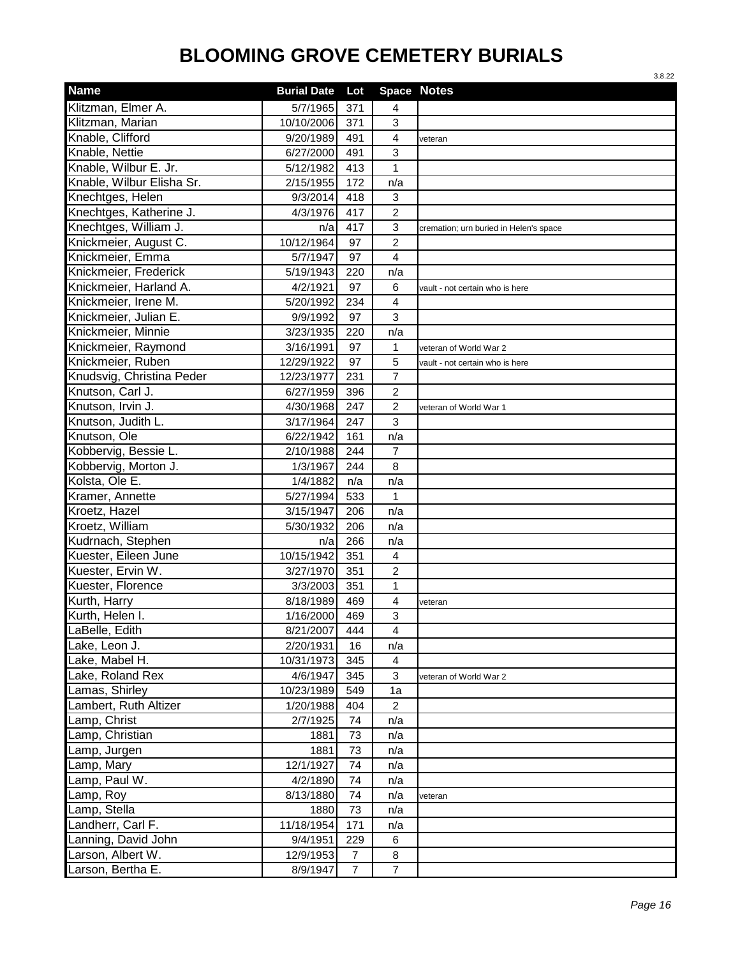|                           |                    |                |                         | 3.8.22                                 |
|---------------------------|--------------------|----------------|-------------------------|----------------------------------------|
| <b>Name</b>               | <b>Burial Date</b> | Lot            |                         | <b>Space Notes</b>                     |
| Klitzman, Elmer A.        | 5/7/1965           | 371            | 4                       |                                        |
| Klitzman, Marian          | 10/10/2006         | 371            | 3                       |                                        |
| Knable, Clifford          | 9/20/1989          | 491            | 4                       | veteran                                |
| Knable, Nettie            | 6/27/2000          | 491            | 3                       |                                        |
| Knable, Wilbur E. Jr.     | 5/12/1982          | 413            | $\mathbf{1}$            |                                        |
| Knable, Wilbur Elisha Sr. | 2/15/1955          | 172            | n/a                     |                                        |
| Knechtges, Helen          | 9/3/2014           | 418            | 3                       |                                        |
| Knechtges, Katherine J.   | 4/3/1976           | 417            | $\overline{2}$          |                                        |
| Knechtges, William J.     | n/a                | 417            | 3                       | cremation; urn buried in Helen's space |
| Knickmeier, August C.     | 10/12/1964         | 97             | $\overline{c}$          |                                        |
| Knickmeier, Emma          | 5/7/1947           | 97             | 4                       |                                        |
| Knickmeier, Frederick     | 5/19/1943          | 220            | n/a                     |                                        |
| Knickmeier, Harland A.    | 4/2/1921           | 97             | 6                       | vault - not certain who is here        |
| Knickmeier, Irene M.      | 5/20/1992          | 234            | 4                       |                                        |
| Knickmeier, Julian E.     | 9/9/1992           | 97             | 3                       |                                        |
| Knickmeier, Minnie        | 3/23/1935          | 220            | n/a                     |                                        |
| Knickmeier, Raymond       | 3/16/1991          | 97             | 1                       | veteran of World War 2                 |
| Knickmeier, Ruben         | 12/29/1922         | 97             | 5                       | vault - not certain who is here        |
| Knudsvig, Christina Peder | 12/23/1977         | 231            | $\overline{7}$          |                                        |
| Knutson, Carl J.          | 6/27/1959          | 396            | $\overline{c}$          |                                        |
| Knutson, Irvin J.         | 4/30/1968          | 247            | $\overline{c}$          | veteran of World War 1                 |
| Knutson, Judith L.        | 3/17/1964          | 247            | 3                       |                                        |
| Knutson, Ole              | 6/22/1942          | 161            | n/a                     |                                        |
| Kobbervig, Bessie L.      | 2/10/1988          | 244            | $\overline{7}$          |                                        |
| Kobbervig, Morton J.      | 1/3/1967           | 244            | 8                       |                                        |
| Kolsta, Ole E.            | 1/4/1882           | n/a            | n/a                     |                                        |
| Kramer, Annette           | 5/27/1994          | 533            | 1                       |                                        |
| Kroetz, Hazel             | 3/15/1947          | 206            | n/a                     |                                        |
| Kroetz, William           | 5/30/1932          | 206            | n/a                     |                                        |
| Kudrnach, Stephen         | n/a                | 266            | n/a                     |                                        |
| Kuester, Eileen June      | 10/15/1942         | 351            | 4                       |                                        |
| Kuester, Ervin W.         | 3/27/1970          | 351            | $\overline{c}$          |                                        |
| Kuester, Florence         | 3/3/2003           | 351            | 1                       |                                        |
| Kurth, Harry              | 8/18/1989          | 469            | $\overline{\mathbf{4}}$ | veteran                                |
| Kurth, Helen I.           | 1/16/2000          | 469            | 3                       |                                        |
| LaBelle, Edith            | 8/21/2007          | 444            | 4                       |                                        |
| Lake, Leon J.             | 2/20/1931          | 16             | n/a                     |                                        |
| Lake, Mabel H.            | 10/31/1973         | 345            | 4                       |                                        |
| Lake, Roland Rex          | 4/6/1947           | 345            | 3                       | veteran of World War 2                 |
| Lamas, Shirley            | 10/23/1989         | 549            | 1a                      |                                        |
| Lambert, Ruth Altizer     | 1/20/1988          | 404            | $\overline{c}$          |                                        |
| Lamp, Christ              | 2/7/1925           | 74             | n/a                     |                                        |
| Lamp, Christian           | 1881               | 73             | n/a                     |                                        |
| Lamp, Jurgen              | 1881               | 73             | n/a                     |                                        |
| Lamp, Mary                | 12/1/1927          | 74             | n/a                     |                                        |
| Lamp, Paul W.             | 4/2/1890           | 74             | n/a                     |                                        |
| Lamp, Roy                 | 8/13/1880          | 74             | n/a                     | veteran                                |
| Lamp, Stella              | 1880               | 73             | n/a                     |                                        |
| Landherr, Carl F.         | 11/18/1954         | 171            | n/a                     |                                        |
| Lanning, David John       | 9/4/1951           | 229            | 6                       |                                        |
| Larson, Albert W.         | 12/9/1953          | $\overline{7}$ | 8                       |                                        |
| Larson, Bertha E.         | 8/9/1947           | $\overline{7}$ | $\overline{7}$          |                                        |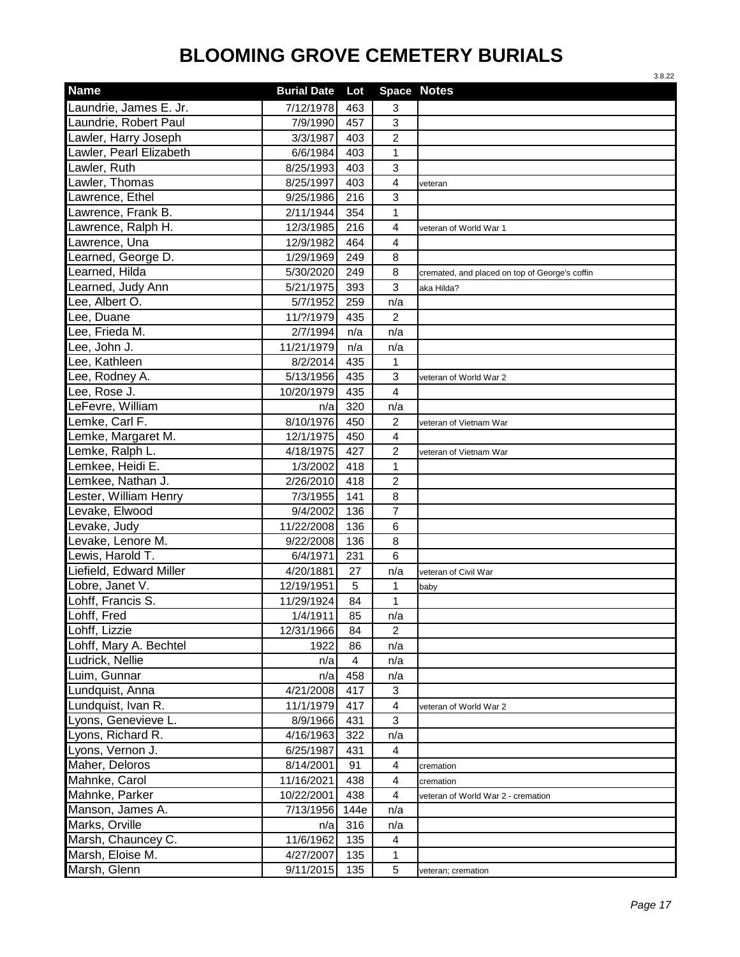|                         |                    |      |                         | 3.8.22                                         |
|-------------------------|--------------------|------|-------------------------|------------------------------------------------|
| <b>Name</b>             | <b>Burial Date</b> | Lot  |                         | <b>Space Notes</b>                             |
| Laundrie, James E. Jr.  | 7/12/1978          | 463  | 3                       |                                                |
| Laundrie, Robert Paul   | 7/9/1990           | 457  | 3                       |                                                |
| Lawler, Harry Joseph    | 3/3/1987           | 403  | $\overline{c}$          |                                                |
| Lawler, Pearl Elizabeth | 6/6/1984           | 403  | 1                       |                                                |
| Lawler, Ruth            | 8/25/1993          | 403  | 3                       |                                                |
| Lawler, Thomas          | 8/25/1997          | 403  | 4                       | veteran                                        |
| Lawrence, Ethel         | 9/25/1986          | 216  | 3                       |                                                |
| Lawrence, Frank B.      | 2/11/1944          | 354  | 1                       |                                                |
| Lawrence, Ralph H.      | 12/3/1985          | 216  | $\overline{4}$          | veteran of World War 1                         |
| Lawrence, Una           | 12/9/1982          | 464  | 4                       |                                                |
| Learned, George D.      | 1/29/1969          | 249  | 8                       |                                                |
| Learned, Hilda          | 5/30/2020          | 249  | 8                       | cremated, and placed on top of George's coffin |
| Learned, Judy Ann       | 5/21/1975          | 393  | 3                       | aka Hilda?                                     |
| Lee, Albert O.          | 5/7/1952           | 259  | n/a                     |                                                |
| Lee, Duane              | 11/?/1979          | 435  | $\overline{2}$          |                                                |
| Lee, Frieda M.          | 2/7/1994           | n/a  | n/a                     |                                                |
| Lee, John J.            | 11/21/1979         | n/a  | n/a                     |                                                |
| Lee, Kathleen           | 8/2/2014           | 435  | $\mathbf 1$             |                                                |
| Lee, Rodney A.          | 5/13/1956          | 435  | 3                       | veteran of World War 2                         |
| Lee, Rose J.            | 10/20/1979         | 435  | $\overline{4}$          |                                                |
| LeFevre, William        | n/a                | 320  | n/a                     |                                                |
| Lemke, Carl F.          | 8/10/1976          | 450  | $\overline{c}$          | veteran of Vietnam War                         |
| Lemke, Margaret M.      | 12/1/1975          | 450  | $\overline{4}$          |                                                |
| Lemke, Ralph L.         | 4/18/1975          | 427  | $\overline{2}$          | veteran of Vietnam War                         |
| Lemkee, Heidi E.        | 1/3/2002           | 418  | 1                       |                                                |
| Lemkee, Nathan J.       | 2/26/2010          | 418  | $\overline{2}$          |                                                |
| Lester, William Henry   | 7/3/1955           | 141  | 8                       |                                                |
| Levake, Elwood          | 9/4/2002           | 136  | $\overline{7}$          |                                                |
| Levake, Judy            | 11/22/2008         | 136  | 6                       |                                                |
| Levake, Lenore M.       | 9/22/2008          | 136  | 8                       |                                                |
| Lewis, Harold T.        | 6/4/1971           | 231  | 6                       |                                                |
| Liefield, Edward Miller | 4/20/1881          | 27   | n/a                     | veteran of Civil War                           |
| Lobre, Janet V.         | 12/19/1951         | 5    | 1                       | baby                                           |
| Lohff, Francis S.       | 11/29/1924         | 84   | 1                       |                                                |
| Lohff, Fred             | 1/4/1911           | 85   | n/a                     |                                                |
| Lohff, Lizzie           | 12/31/1966         | 84   | $\overline{2}$          |                                                |
| Lohff, Mary A. Bechtel  | 1922               | 86   | n/a                     |                                                |
| Ludrick, Nellie         | n/a                | 4    | n/a                     |                                                |
| Luim, Gunnar            | n/a                | 458  | n/a                     |                                                |
| Lundquist, Anna         | 4/21/2008          | 417  | 3                       |                                                |
| Lundquist, Ivan R.      | 11/1/1979          | 417  | $\overline{\mathbf{4}}$ | veteran of World War 2                         |
| Lyons, Genevieve L.     | 8/9/1966           | 431  | 3                       |                                                |
| Lyons, Richard R.       | 4/16/1963          | 322  | n/a                     |                                                |
| Lyons, Vernon J.        | 6/25/1987          | 431  | 4                       |                                                |
| Maher, Deloros          | 8/14/2001          | 91   | 4                       | cremation                                      |
| Mahnke, Carol           | 11/16/2021         | 438  | 4                       | cremation                                      |
| Mahnke, Parker          | 10/22/2001         | 438  | 4                       | veteran of World War 2 - cremation             |
| Manson, James A.        | 7/13/1956          | 144e | n/a                     |                                                |
| Marks, Orville          | n/a                | 316  | n/a                     |                                                |
| Marsh, Chauncey C.      | 11/6/1962          | 135  | $\overline{4}$          |                                                |
| Marsh, Eloise M.        | 4/27/2007          | 135  | 1                       |                                                |
| Marsh, Glenn            | 9/11/2015          | 135  | 5                       | veteran; cremation                             |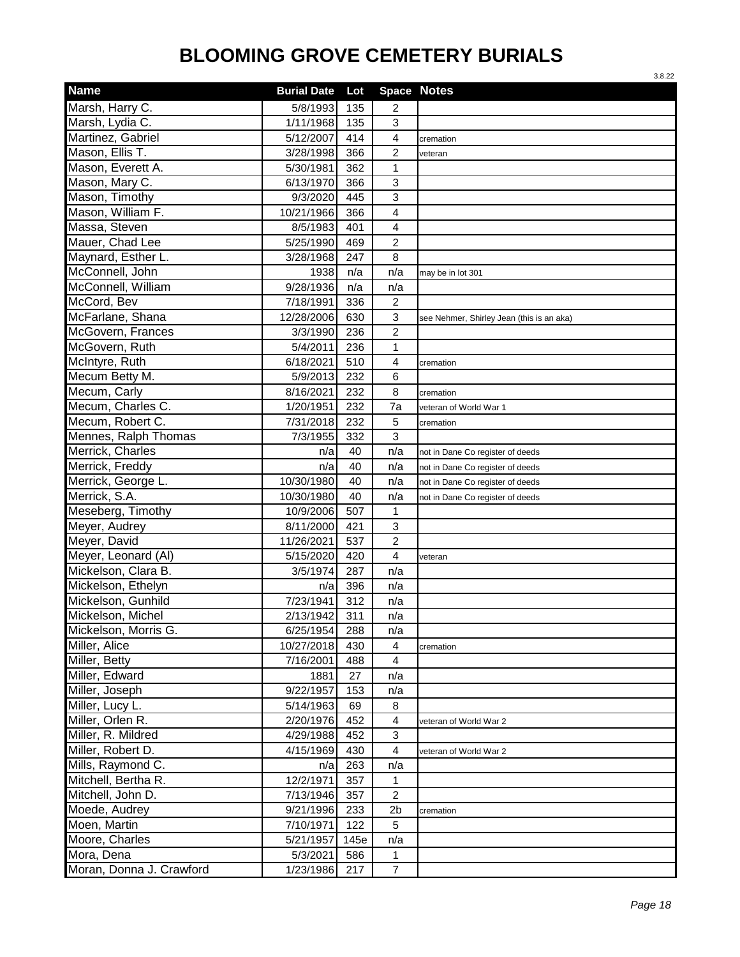|                          |                    |      |                         | 3.8.22                                    |
|--------------------------|--------------------|------|-------------------------|-------------------------------------------|
| <b>Name</b>              | <b>Burial Date</b> | Lot  |                         | <b>Space Notes</b>                        |
| Marsh, Harry C.          | 5/8/1993           | 135  | 2                       |                                           |
| Marsh, Lydia C.          | 1/11/1968          | 135  | 3                       |                                           |
| Martinez, Gabriel        | 5/12/2007          | 414  | $\overline{\mathbf{4}}$ | cremation                                 |
| Mason, Ellis T.          | 3/28/1998          | 366  | $\overline{c}$          | veteran                                   |
| Mason, Everett A.        | 5/30/1981          | 362  | 1                       |                                           |
| Mason, Mary C.           | 6/13/1970          | 366  | 3                       |                                           |
| Mason, Timothy           | 9/3/2020           | 445  | 3                       |                                           |
| Mason, William F.        | 10/21/1966         | 366  | 4                       |                                           |
| Massa, Steven            | 8/5/1983           | 401  | 4                       |                                           |
| Mauer, Chad Lee          | 5/25/1990          | 469  | $\overline{2}$          |                                           |
| Maynard, Esther L.       | 3/28/1968          | 247  | 8                       |                                           |
| McConnell, John          | 1938               | n/a  | n/a                     | may be in lot 301                         |
| McConnell, William       | 9/28/1936          | n/a  | n/a                     |                                           |
| McCord, Bev              | 7/18/1991          | 336  | 2                       |                                           |
| McFarlane, Shana         | 12/28/2006         | 630  | $\mathbf{3}$            | see Nehmer, Shirley Jean (this is an aka) |
| McGovern, Frances        | 3/3/1990           | 236  | $\boldsymbol{2}$        |                                           |
| McGovern, Ruth           | 5/4/2011           | 236  | 1                       |                                           |
| McIntyre, Ruth           | 6/18/2021          | 510  | 4                       | cremation                                 |
| Mecum Betty M.           | 5/9/2013           | 232  | 6                       |                                           |
| Mecum, Carly             | 8/16/2021          | 232  | 8                       | cremation                                 |
| Mecum, Charles C.        | 1/20/1951          | 232  | 7a                      | veteran of World War 1                    |
| Mecum, Robert C.         | 7/31/2018          | 232  | 5                       | cremation                                 |
| Mennes, Ralph Thomas     | 7/3/1955           | 332  | 3                       |                                           |
| Merrick, Charles         | n/a                | 40   | n/a                     | not in Dane Co register of deeds          |
| Merrick, Freddy          | n/a                | 40   | n/a                     | not in Dane Co register of deeds          |
| Merrick, George L.       | 10/30/1980         | 40   | n/a                     | not in Dane Co register of deeds          |
| Merrick, S.A.            | 10/30/1980         | 40   | n/a                     | not in Dane Co register of deeds          |
| Meseberg, Timothy        | 10/9/2006          | 507  | 1                       |                                           |
| Meyer, Audrey            | 8/11/2000          | 421  | 3                       |                                           |
| Meyer, David             | 11/26/2021         | 537  | $\overline{2}$          |                                           |
| Meyer, Leonard (AI)      | 5/15/2020          | 420  | 4                       | veteran                                   |
| Mickelson, Clara B.      | 3/5/1974           | 287  | n/a                     |                                           |
| Mickelson, Ethelyn       | n/a                | 396  | n/a                     |                                           |
| Mickelson, Gunhild       | 7/23/1941          | 312  | n/a                     |                                           |
| Mickelson, Michel        | 2/13/1942          | 311  | n/a                     |                                           |
| Mickelson, Morris G.     | 6/25/1954          | 288  | n/a                     |                                           |
| Miller, Alice            | 10/27/2018         | 430  | $\overline{4}$          | cremation                                 |
| Miller, Betty            | 7/16/2001          | 488  | $\overline{4}$          |                                           |
| Miller, Edward           | 1881               | 27   | n/a                     |                                           |
| Miller, Joseph           | 9/22/1957          | 153  | n/a                     |                                           |
| Miller, Lucy L.          | 5/14/1963          | 69   | 8                       |                                           |
| Miller, Orlen R.         | 2/20/1976          | 452  | $\overline{4}$          | veteran of World War 2                    |
| Miller, R. Mildred       | 4/29/1988          | 452  | 3                       |                                           |
| Miller, Robert D.        | 4/15/1969          | 430  | $\overline{\mathbf{4}}$ | veteran of World War 2                    |
| Mills, Raymond C.        | n/a                | 263  | n/a                     |                                           |
| Mitchell, Bertha R.      | 12/2/1971          | 357  | 1                       |                                           |
| Mitchell, John D.        | 7/13/1946          | 357  | $\overline{c}$          |                                           |
| Moede, Audrey            | 9/21/1996          | 233  | 2b                      | cremation                                 |
| Moen, Martin             | 7/10/1971          | 122  | 5                       |                                           |
| Moore, Charles           | 5/21/1957          | 145e | n/a                     |                                           |
| Mora, Dena               | 5/3/2021           | 586  | 1                       |                                           |
| Moran, Donna J. Crawford | 1/23/1986          | 217  | $\overline{7}$          |                                           |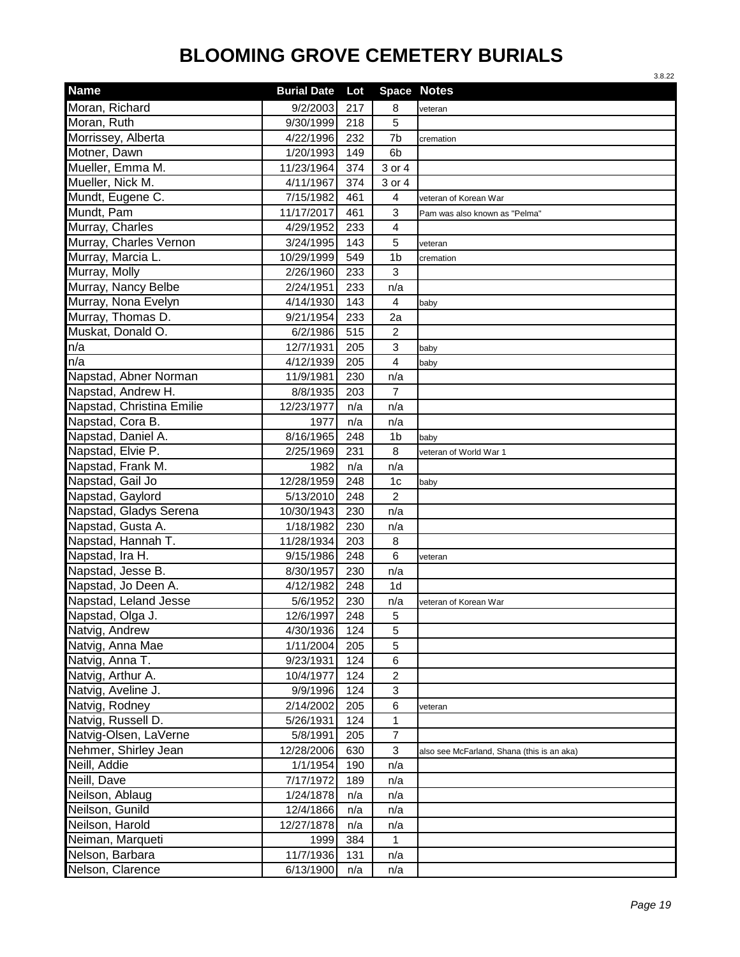| <b>Space Notes</b><br><b>Burial Date</b><br>Lot<br>Moran, Richard<br>9/2/2003<br>217<br>8<br>veteran<br>Moran, Ruth<br>5<br>9/30/1999<br>218<br>Morrissey, Alberta<br>7b<br>4/22/1996<br>232<br>cremation<br>Motner, Dawn<br>1/20/1993<br>149<br>6 <sub>b</sub><br>Mueller, Emma M.<br>11/23/1964<br>3 or 4<br>374<br>Mueller, Nick M.<br>4/11/1967<br>374<br>3 or 4<br>Mundt, Eugene C.<br>7/15/1982<br>461<br>$\overline{4}$<br>veteran of Korean War<br>Mundt, Pam<br>11/17/2017<br>461<br>3<br>Pam was also known as "Pelma"<br>Murray, Charles<br>233<br>4/29/1952<br>$\overline{4}$<br>5<br>Murray, Charles Vernon<br>3/24/1995<br>143<br>veteran<br>Murray, Marcia L.<br>1 <sub>b</sub><br>10/29/1999<br>549<br>cremation<br>Murray, Molly<br>2/26/1960<br>233<br>3<br>Murray, Nancy Belbe<br>2/24/1951<br>233<br>n/a<br>Murray, Nona Evelyn<br>4/14/1930<br>143<br>4<br>baby<br>Murray, Thomas D.<br>2a<br>9/21/1954<br>233<br>Muskat, Donald O.<br>$\boldsymbol{2}$<br>6/2/1986<br>515<br>n/a<br>$\mathbf{3}$<br>12/7/1931<br>205<br>baby<br>n/a<br>4<br>4/12/1939<br>205<br>baby<br>Napstad, Abner Norman<br>11/9/1981<br>230<br>n/a<br>Napstad, Andrew H.<br>$\overline{7}$<br>8/8/1935<br>203<br>Napstad, Christina Emilie<br>12/23/1977<br>n/a<br>n/a<br>Napstad, Cora B.<br>1977<br>n/a<br>n/a<br>Napstad, Daniel A.<br>8/16/1965<br>248<br>1 <sub>b</sub><br>baby<br>Napstad, Elvie P.<br>8<br>2/25/1969<br>231<br>veteran of World War 1<br>Napstad, Frank M.<br>n/a<br>n/a<br>1982<br>Napstad, Gail Jo<br>12/28/1959<br>248<br>1 <sub>c</sub><br>baby<br>Napstad, Gaylord<br>248<br>$\overline{c}$<br>5/13/2010<br>Napstad, Gladys Serena<br>10/30/1943<br>230<br>n/a<br>Napstad, Gusta A.<br>1/18/1982<br>230<br>n/a<br>Napstad, Hannah T.<br>11/28/1934<br>203<br>8<br>Napstad, Ira H.<br>6<br>9/15/1986<br>248<br>veteran<br>Napstad, Jesse B.<br>230<br>n/a<br>8/30/1957<br>Napstad, Jo Deen A.<br>4/12/1982<br>248<br>1 <sub>d</sub><br>Napstad, Leland Jesse<br>5/6/1952<br>230<br>n/a<br>veteran of Korean War<br>Napstad, Olga J.<br>12/6/1997<br>248<br>5<br>Natvig, Andrew<br>5<br>4/30/1936<br>124<br>Natvig, Anna Mae<br>1/11/2004<br>205<br>5<br>Natvig, Anna T.<br>9/23/1931<br>124<br>6<br>Natvig, Arthur A.<br>$\boldsymbol{2}$<br>10/4/1977<br>124<br>Natvig, Aveline J.<br>9/9/1996<br>3<br>124<br>Natvig, Rodney<br>2/14/2002<br>205<br>6<br>veteran<br>Natvig, Russell D.<br>5/26/1931<br>$\mathbf{1}$<br>124<br>Natvig-Olsen, LaVerne<br>$\overline{7}$<br>5/8/1991<br>205<br>Nehmer, Shirley Jean<br>$\mathbf{3}$<br>12/28/2006<br>630<br>also see McFarland, Shana (this is an aka)<br>Neill, Addie<br>1/1/1954<br>190<br>n/a<br>Neill, Dave<br>7/17/1972<br>189<br>n/a<br>Neilson, Ablaug<br>1/24/1878<br>n/a<br>n/a<br>Neilson, Gunild<br>12/4/1866<br>n/a<br>n/a<br>Neilson, Harold<br>12/27/1878<br>n/a<br>n/a<br>Neiman, Marqueti<br>1999<br>384<br>$\mathbf{1}$<br>Nelson, Barbara<br>11/7/1936<br>131<br>n/a<br>6/13/1900 |                  |     |     | 3.8.22 |
|--------------------------------------------------------------------------------------------------------------------------------------------------------------------------------------------------------------------------------------------------------------------------------------------------------------------------------------------------------------------------------------------------------------------------------------------------------------------------------------------------------------------------------------------------------------------------------------------------------------------------------------------------------------------------------------------------------------------------------------------------------------------------------------------------------------------------------------------------------------------------------------------------------------------------------------------------------------------------------------------------------------------------------------------------------------------------------------------------------------------------------------------------------------------------------------------------------------------------------------------------------------------------------------------------------------------------------------------------------------------------------------------------------------------------------------------------------------------------------------------------------------------------------------------------------------------------------------------------------------------------------------------------------------------------------------------------------------------------------------------------------------------------------------------------------------------------------------------------------------------------------------------------------------------------------------------------------------------------------------------------------------------------------------------------------------------------------------------------------------------------------------------------------------------------------------------------------------------------------------------------------------------------------------------------------------------------------------------------------------------------------------------------------------------------------------------------------------------------------------------------------------------------------------------------------------------------------------------------------------------------------------------------------------------------------------------------------------------------------------------------------------------------------------------------------------------------------------------------------------------------------------------------------------------------------------------------------------------------|------------------|-----|-----|--------|
|                                                                                                                                                                                                                                                                                                                                                                                                                                                                                                                                                                                                                                                                                                                                                                                                                                                                                                                                                                                                                                                                                                                                                                                                                                                                                                                                                                                                                                                                                                                                                                                                                                                                                                                                                                                                                                                                                                                                                                                                                                                                                                                                                                                                                                                                                                                                                                                                                                                                                                                                                                                                                                                                                                                                                                                                                                                                                                                                                                          | <b>Name</b>      |     |     |        |
|                                                                                                                                                                                                                                                                                                                                                                                                                                                                                                                                                                                                                                                                                                                                                                                                                                                                                                                                                                                                                                                                                                                                                                                                                                                                                                                                                                                                                                                                                                                                                                                                                                                                                                                                                                                                                                                                                                                                                                                                                                                                                                                                                                                                                                                                                                                                                                                                                                                                                                                                                                                                                                                                                                                                                                                                                                                                                                                                                                          |                  |     |     |        |
|                                                                                                                                                                                                                                                                                                                                                                                                                                                                                                                                                                                                                                                                                                                                                                                                                                                                                                                                                                                                                                                                                                                                                                                                                                                                                                                                                                                                                                                                                                                                                                                                                                                                                                                                                                                                                                                                                                                                                                                                                                                                                                                                                                                                                                                                                                                                                                                                                                                                                                                                                                                                                                                                                                                                                                                                                                                                                                                                                                          |                  |     |     |        |
|                                                                                                                                                                                                                                                                                                                                                                                                                                                                                                                                                                                                                                                                                                                                                                                                                                                                                                                                                                                                                                                                                                                                                                                                                                                                                                                                                                                                                                                                                                                                                                                                                                                                                                                                                                                                                                                                                                                                                                                                                                                                                                                                                                                                                                                                                                                                                                                                                                                                                                                                                                                                                                                                                                                                                                                                                                                                                                                                                                          |                  |     |     |        |
|                                                                                                                                                                                                                                                                                                                                                                                                                                                                                                                                                                                                                                                                                                                                                                                                                                                                                                                                                                                                                                                                                                                                                                                                                                                                                                                                                                                                                                                                                                                                                                                                                                                                                                                                                                                                                                                                                                                                                                                                                                                                                                                                                                                                                                                                                                                                                                                                                                                                                                                                                                                                                                                                                                                                                                                                                                                                                                                                                                          |                  |     |     |        |
|                                                                                                                                                                                                                                                                                                                                                                                                                                                                                                                                                                                                                                                                                                                                                                                                                                                                                                                                                                                                                                                                                                                                                                                                                                                                                                                                                                                                                                                                                                                                                                                                                                                                                                                                                                                                                                                                                                                                                                                                                                                                                                                                                                                                                                                                                                                                                                                                                                                                                                                                                                                                                                                                                                                                                                                                                                                                                                                                                                          |                  |     |     |        |
|                                                                                                                                                                                                                                                                                                                                                                                                                                                                                                                                                                                                                                                                                                                                                                                                                                                                                                                                                                                                                                                                                                                                                                                                                                                                                                                                                                                                                                                                                                                                                                                                                                                                                                                                                                                                                                                                                                                                                                                                                                                                                                                                                                                                                                                                                                                                                                                                                                                                                                                                                                                                                                                                                                                                                                                                                                                                                                                                                                          |                  |     |     |        |
|                                                                                                                                                                                                                                                                                                                                                                                                                                                                                                                                                                                                                                                                                                                                                                                                                                                                                                                                                                                                                                                                                                                                                                                                                                                                                                                                                                                                                                                                                                                                                                                                                                                                                                                                                                                                                                                                                                                                                                                                                                                                                                                                                                                                                                                                                                                                                                                                                                                                                                                                                                                                                                                                                                                                                                                                                                                                                                                                                                          |                  |     |     |        |
|                                                                                                                                                                                                                                                                                                                                                                                                                                                                                                                                                                                                                                                                                                                                                                                                                                                                                                                                                                                                                                                                                                                                                                                                                                                                                                                                                                                                                                                                                                                                                                                                                                                                                                                                                                                                                                                                                                                                                                                                                                                                                                                                                                                                                                                                                                                                                                                                                                                                                                                                                                                                                                                                                                                                                                                                                                                                                                                                                                          |                  |     |     |        |
|                                                                                                                                                                                                                                                                                                                                                                                                                                                                                                                                                                                                                                                                                                                                                                                                                                                                                                                                                                                                                                                                                                                                                                                                                                                                                                                                                                                                                                                                                                                                                                                                                                                                                                                                                                                                                                                                                                                                                                                                                                                                                                                                                                                                                                                                                                                                                                                                                                                                                                                                                                                                                                                                                                                                                                                                                                                                                                                                                                          |                  |     |     |        |
|                                                                                                                                                                                                                                                                                                                                                                                                                                                                                                                                                                                                                                                                                                                                                                                                                                                                                                                                                                                                                                                                                                                                                                                                                                                                                                                                                                                                                                                                                                                                                                                                                                                                                                                                                                                                                                                                                                                                                                                                                                                                                                                                                                                                                                                                                                                                                                                                                                                                                                                                                                                                                                                                                                                                                                                                                                                                                                                                                                          |                  |     |     |        |
|                                                                                                                                                                                                                                                                                                                                                                                                                                                                                                                                                                                                                                                                                                                                                                                                                                                                                                                                                                                                                                                                                                                                                                                                                                                                                                                                                                                                                                                                                                                                                                                                                                                                                                                                                                                                                                                                                                                                                                                                                                                                                                                                                                                                                                                                                                                                                                                                                                                                                                                                                                                                                                                                                                                                                                                                                                                                                                                                                                          |                  |     |     |        |
|                                                                                                                                                                                                                                                                                                                                                                                                                                                                                                                                                                                                                                                                                                                                                                                                                                                                                                                                                                                                                                                                                                                                                                                                                                                                                                                                                                                                                                                                                                                                                                                                                                                                                                                                                                                                                                                                                                                                                                                                                                                                                                                                                                                                                                                                                                                                                                                                                                                                                                                                                                                                                                                                                                                                                                                                                                                                                                                                                                          |                  |     |     |        |
|                                                                                                                                                                                                                                                                                                                                                                                                                                                                                                                                                                                                                                                                                                                                                                                                                                                                                                                                                                                                                                                                                                                                                                                                                                                                                                                                                                                                                                                                                                                                                                                                                                                                                                                                                                                                                                                                                                                                                                                                                                                                                                                                                                                                                                                                                                                                                                                                                                                                                                                                                                                                                                                                                                                                                                                                                                                                                                                                                                          |                  |     |     |        |
|                                                                                                                                                                                                                                                                                                                                                                                                                                                                                                                                                                                                                                                                                                                                                                                                                                                                                                                                                                                                                                                                                                                                                                                                                                                                                                                                                                                                                                                                                                                                                                                                                                                                                                                                                                                                                                                                                                                                                                                                                                                                                                                                                                                                                                                                                                                                                                                                                                                                                                                                                                                                                                                                                                                                                                                                                                                                                                                                                                          |                  |     |     |        |
|                                                                                                                                                                                                                                                                                                                                                                                                                                                                                                                                                                                                                                                                                                                                                                                                                                                                                                                                                                                                                                                                                                                                                                                                                                                                                                                                                                                                                                                                                                                                                                                                                                                                                                                                                                                                                                                                                                                                                                                                                                                                                                                                                                                                                                                                                                                                                                                                                                                                                                                                                                                                                                                                                                                                                                                                                                                                                                                                                                          |                  |     |     |        |
|                                                                                                                                                                                                                                                                                                                                                                                                                                                                                                                                                                                                                                                                                                                                                                                                                                                                                                                                                                                                                                                                                                                                                                                                                                                                                                                                                                                                                                                                                                                                                                                                                                                                                                                                                                                                                                                                                                                                                                                                                                                                                                                                                                                                                                                                                                                                                                                                                                                                                                                                                                                                                                                                                                                                                                                                                                                                                                                                                                          |                  |     |     |        |
|                                                                                                                                                                                                                                                                                                                                                                                                                                                                                                                                                                                                                                                                                                                                                                                                                                                                                                                                                                                                                                                                                                                                                                                                                                                                                                                                                                                                                                                                                                                                                                                                                                                                                                                                                                                                                                                                                                                                                                                                                                                                                                                                                                                                                                                                                                                                                                                                                                                                                                                                                                                                                                                                                                                                                                                                                                                                                                                                                                          |                  |     |     |        |
|                                                                                                                                                                                                                                                                                                                                                                                                                                                                                                                                                                                                                                                                                                                                                                                                                                                                                                                                                                                                                                                                                                                                                                                                                                                                                                                                                                                                                                                                                                                                                                                                                                                                                                                                                                                                                                                                                                                                                                                                                                                                                                                                                                                                                                                                                                                                                                                                                                                                                                                                                                                                                                                                                                                                                                                                                                                                                                                                                                          |                  |     |     |        |
|                                                                                                                                                                                                                                                                                                                                                                                                                                                                                                                                                                                                                                                                                                                                                                                                                                                                                                                                                                                                                                                                                                                                                                                                                                                                                                                                                                                                                                                                                                                                                                                                                                                                                                                                                                                                                                                                                                                                                                                                                                                                                                                                                                                                                                                                                                                                                                                                                                                                                                                                                                                                                                                                                                                                                                                                                                                                                                                                                                          |                  |     |     |        |
|                                                                                                                                                                                                                                                                                                                                                                                                                                                                                                                                                                                                                                                                                                                                                                                                                                                                                                                                                                                                                                                                                                                                                                                                                                                                                                                                                                                                                                                                                                                                                                                                                                                                                                                                                                                                                                                                                                                                                                                                                                                                                                                                                                                                                                                                                                                                                                                                                                                                                                                                                                                                                                                                                                                                                                                                                                                                                                                                                                          |                  |     |     |        |
|                                                                                                                                                                                                                                                                                                                                                                                                                                                                                                                                                                                                                                                                                                                                                                                                                                                                                                                                                                                                                                                                                                                                                                                                                                                                                                                                                                                                                                                                                                                                                                                                                                                                                                                                                                                                                                                                                                                                                                                                                                                                                                                                                                                                                                                                                                                                                                                                                                                                                                                                                                                                                                                                                                                                                                                                                                                                                                                                                                          |                  |     |     |        |
|                                                                                                                                                                                                                                                                                                                                                                                                                                                                                                                                                                                                                                                                                                                                                                                                                                                                                                                                                                                                                                                                                                                                                                                                                                                                                                                                                                                                                                                                                                                                                                                                                                                                                                                                                                                                                                                                                                                                                                                                                                                                                                                                                                                                                                                                                                                                                                                                                                                                                                                                                                                                                                                                                                                                                                                                                                                                                                                                                                          |                  |     |     |        |
|                                                                                                                                                                                                                                                                                                                                                                                                                                                                                                                                                                                                                                                                                                                                                                                                                                                                                                                                                                                                                                                                                                                                                                                                                                                                                                                                                                                                                                                                                                                                                                                                                                                                                                                                                                                                                                                                                                                                                                                                                                                                                                                                                                                                                                                                                                                                                                                                                                                                                                                                                                                                                                                                                                                                                                                                                                                                                                                                                                          |                  |     |     |        |
|                                                                                                                                                                                                                                                                                                                                                                                                                                                                                                                                                                                                                                                                                                                                                                                                                                                                                                                                                                                                                                                                                                                                                                                                                                                                                                                                                                                                                                                                                                                                                                                                                                                                                                                                                                                                                                                                                                                                                                                                                                                                                                                                                                                                                                                                                                                                                                                                                                                                                                                                                                                                                                                                                                                                                                                                                                                                                                                                                                          |                  |     |     |        |
|                                                                                                                                                                                                                                                                                                                                                                                                                                                                                                                                                                                                                                                                                                                                                                                                                                                                                                                                                                                                                                                                                                                                                                                                                                                                                                                                                                                                                                                                                                                                                                                                                                                                                                                                                                                                                                                                                                                                                                                                                                                                                                                                                                                                                                                                                                                                                                                                                                                                                                                                                                                                                                                                                                                                                                                                                                                                                                                                                                          |                  |     |     |        |
|                                                                                                                                                                                                                                                                                                                                                                                                                                                                                                                                                                                                                                                                                                                                                                                                                                                                                                                                                                                                                                                                                                                                                                                                                                                                                                                                                                                                                                                                                                                                                                                                                                                                                                                                                                                                                                                                                                                                                                                                                                                                                                                                                                                                                                                                                                                                                                                                                                                                                                                                                                                                                                                                                                                                                                                                                                                                                                                                                                          |                  |     |     |        |
|                                                                                                                                                                                                                                                                                                                                                                                                                                                                                                                                                                                                                                                                                                                                                                                                                                                                                                                                                                                                                                                                                                                                                                                                                                                                                                                                                                                                                                                                                                                                                                                                                                                                                                                                                                                                                                                                                                                                                                                                                                                                                                                                                                                                                                                                                                                                                                                                                                                                                                                                                                                                                                                                                                                                                                                                                                                                                                                                                                          |                  |     |     |        |
|                                                                                                                                                                                                                                                                                                                                                                                                                                                                                                                                                                                                                                                                                                                                                                                                                                                                                                                                                                                                                                                                                                                                                                                                                                                                                                                                                                                                                                                                                                                                                                                                                                                                                                                                                                                                                                                                                                                                                                                                                                                                                                                                                                                                                                                                                                                                                                                                                                                                                                                                                                                                                                                                                                                                                                                                                                                                                                                                                                          |                  |     |     |        |
|                                                                                                                                                                                                                                                                                                                                                                                                                                                                                                                                                                                                                                                                                                                                                                                                                                                                                                                                                                                                                                                                                                                                                                                                                                                                                                                                                                                                                                                                                                                                                                                                                                                                                                                                                                                                                                                                                                                                                                                                                                                                                                                                                                                                                                                                                                                                                                                                                                                                                                                                                                                                                                                                                                                                                                                                                                                                                                                                                                          |                  |     |     |        |
|                                                                                                                                                                                                                                                                                                                                                                                                                                                                                                                                                                                                                                                                                                                                                                                                                                                                                                                                                                                                                                                                                                                                                                                                                                                                                                                                                                                                                                                                                                                                                                                                                                                                                                                                                                                                                                                                                                                                                                                                                                                                                                                                                                                                                                                                                                                                                                                                                                                                                                                                                                                                                                                                                                                                                                                                                                                                                                                                                                          |                  |     |     |        |
|                                                                                                                                                                                                                                                                                                                                                                                                                                                                                                                                                                                                                                                                                                                                                                                                                                                                                                                                                                                                                                                                                                                                                                                                                                                                                                                                                                                                                                                                                                                                                                                                                                                                                                                                                                                                                                                                                                                                                                                                                                                                                                                                                                                                                                                                                                                                                                                                                                                                                                                                                                                                                                                                                                                                                                                                                                                                                                                                                                          |                  |     |     |        |
|                                                                                                                                                                                                                                                                                                                                                                                                                                                                                                                                                                                                                                                                                                                                                                                                                                                                                                                                                                                                                                                                                                                                                                                                                                                                                                                                                                                                                                                                                                                                                                                                                                                                                                                                                                                                                                                                                                                                                                                                                                                                                                                                                                                                                                                                                                                                                                                                                                                                                                                                                                                                                                                                                                                                                                                                                                                                                                                                                                          |                  |     |     |        |
|                                                                                                                                                                                                                                                                                                                                                                                                                                                                                                                                                                                                                                                                                                                                                                                                                                                                                                                                                                                                                                                                                                                                                                                                                                                                                                                                                                                                                                                                                                                                                                                                                                                                                                                                                                                                                                                                                                                                                                                                                                                                                                                                                                                                                                                                                                                                                                                                                                                                                                                                                                                                                                                                                                                                                                                                                                                                                                                                                                          |                  |     |     |        |
|                                                                                                                                                                                                                                                                                                                                                                                                                                                                                                                                                                                                                                                                                                                                                                                                                                                                                                                                                                                                                                                                                                                                                                                                                                                                                                                                                                                                                                                                                                                                                                                                                                                                                                                                                                                                                                                                                                                                                                                                                                                                                                                                                                                                                                                                                                                                                                                                                                                                                                                                                                                                                                                                                                                                                                                                                                                                                                                                                                          |                  |     |     |        |
|                                                                                                                                                                                                                                                                                                                                                                                                                                                                                                                                                                                                                                                                                                                                                                                                                                                                                                                                                                                                                                                                                                                                                                                                                                                                                                                                                                                                                                                                                                                                                                                                                                                                                                                                                                                                                                                                                                                                                                                                                                                                                                                                                                                                                                                                                                                                                                                                                                                                                                                                                                                                                                                                                                                                                                                                                                                                                                                                                                          |                  |     |     |        |
|                                                                                                                                                                                                                                                                                                                                                                                                                                                                                                                                                                                                                                                                                                                                                                                                                                                                                                                                                                                                                                                                                                                                                                                                                                                                                                                                                                                                                                                                                                                                                                                                                                                                                                                                                                                                                                                                                                                                                                                                                                                                                                                                                                                                                                                                                                                                                                                                                                                                                                                                                                                                                                                                                                                                                                                                                                                                                                                                                                          |                  |     |     |        |
|                                                                                                                                                                                                                                                                                                                                                                                                                                                                                                                                                                                                                                                                                                                                                                                                                                                                                                                                                                                                                                                                                                                                                                                                                                                                                                                                                                                                                                                                                                                                                                                                                                                                                                                                                                                                                                                                                                                                                                                                                                                                                                                                                                                                                                                                                                                                                                                                                                                                                                                                                                                                                                                                                                                                                                                                                                                                                                                                                                          |                  |     |     |        |
|                                                                                                                                                                                                                                                                                                                                                                                                                                                                                                                                                                                                                                                                                                                                                                                                                                                                                                                                                                                                                                                                                                                                                                                                                                                                                                                                                                                                                                                                                                                                                                                                                                                                                                                                                                                                                                                                                                                                                                                                                                                                                                                                                                                                                                                                                                                                                                                                                                                                                                                                                                                                                                                                                                                                                                                                                                                                                                                                                                          |                  |     |     |        |
|                                                                                                                                                                                                                                                                                                                                                                                                                                                                                                                                                                                                                                                                                                                                                                                                                                                                                                                                                                                                                                                                                                                                                                                                                                                                                                                                                                                                                                                                                                                                                                                                                                                                                                                                                                                                                                                                                                                                                                                                                                                                                                                                                                                                                                                                                                                                                                                                                                                                                                                                                                                                                                                                                                                                                                                                                                                                                                                                                                          |                  |     |     |        |
|                                                                                                                                                                                                                                                                                                                                                                                                                                                                                                                                                                                                                                                                                                                                                                                                                                                                                                                                                                                                                                                                                                                                                                                                                                                                                                                                                                                                                                                                                                                                                                                                                                                                                                                                                                                                                                                                                                                                                                                                                                                                                                                                                                                                                                                                                                                                                                                                                                                                                                                                                                                                                                                                                                                                                                                                                                                                                                                                                                          |                  |     |     |        |
|                                                                                                                                                                                                                                                                                                                                                                                                                                                                                                                                                                                                                                                                                                                                                                                                                                                                                                                                                                                                                                                                                                                                                                                                                                                                                                                                                                                                                                                                                                                                                                                                                                                                                                                                                                                                                                                                                                                                                                                                                                                                                                                                                                                                                                                                                                                                                                                                                                                                                                                                                                                                                                                                                                                                                                                                                                                                                                                                                                          |                  |     |     |        |
|                                                                                                                                                                                                                                                                                                                                                                                                                                                                                                                                                                                                                                                                                                                                                                                                                                                                                                                                                                                                                                                                                                                                                                                                                                                                                                                                                                                                                                                                                                                                                                                                                                                                                                                                                                                                                                                                                                                                                                                                                                                                                                                                                                                                                                                                                                                                                                                                                                                                                                                                                                                                                                                                                                                                                                                                                                                                                                                                                                          |                  |     |     |        |
|                                                                                                                                                                                                                                                                                                                                                                                                                                                                                                                                                                                                                                                                                                                                                                                                                                                                                                                                                                                                                                                                                                                                                                                                                                                                                                                                                                                                                                                                                                                                                                                                                                                                                                                                                                                                                                                                                                                                                                                                                                                                                                                                                                                                                                                                                                                                                                                                                                                                                                                                                                                                                                                                                                                                                                                                                                                                                                                                                                          |                  |     |     |        |
|                                                                                                                                                                                                                                                                                                                                                                                                                                                                                                                                                                                                                                                                                                                                                                                                                                                                                                                                                                                                                                                                                                                                                                                                                                                                                                                                                                                                                                                                                                                                                                                                                                                                                                                                                                                                                                                                                                                                                                                                                                                                                                                                                                                                                                                                                                                                                                                                                                                                                                                                                                                                                                                                                                                                                                                                                                                                                                                                                                          |                  |     |     |        |
|                                                                                                                                                                                                                                                                                                                                                                                                                                                                                                                                                                                                                                                                                                                                                                                                                                                                                                                                                                                                                                                                                                                                                                                                                                                                                                                                                                                                                                                                                                                                                                                                                                                                                                                                                                                                                                                                                                                                                                                                                                                                                                                                                                                                                                                                                                                                                                                                                                                                                                                                                                                                                                                                                                                                                                                                                                                                                                                                                                          |                  |     |     |        |
|                                                                                                                                                                                                                                                                                                                                                                                                                                                                                                                                                                                                                                                                                                                                                                                                                                                                                                                                                                                                                                                                                                                                                                                                                                                                                                                                                                                                                                                                                                                                                                                                                                                                                                                                                                                                                                                                                                                                                                                                                                                                                                                                                                                                                                                                                                                                                                                                                                                                                                                                                                                                                                                                                                                                                                                                                                                                                                                                                                          |                  |     |     |        |
|                                                                                                                                                                                                                                                                                                                                                                                                                                                                                                                                                                                                                                                                                                                                                                                                                                                                                                                                                                                                                                                                                                                                                                                                                                                                                                                                                                                                                                                                                                                                                                                                                                                                                                                                                                                                                                                                                                                                                                                                                                                                                                                                                                                                                                                                                                                                                                                                                                                                                                                                                                                                                                                                                                                                                                                                                                                                                                                                                                          |                  |     |     |        |
|                                                                                                                                                                                                                                                                                                                                                                                                                                                                                                                                                                                                                                                                                                                                                                                                                                                                                                                                                                                                                                                                                                                                                                                                                                                                                                                                                                                                                                                                                                                                                                                                                                                                                                                                                                                                                                                                                                                                                                                                                                                                                                                                                                                                                                                                                                                                                                                                                                                                                                                                                                                                                                                                                                                                                                                                                                                                                                                                                                          |                  |     |     |        |
|                                                                                                                                                                                                                                                                                                                                                                                                                                                                                                                                                                                                                                                                                                                                                                                                                                                                                                                                                                                                                                                                                                                                                                                                                                                                                                                                                                                                                                                                                                                                                                                                                                                                                                                                                                                                                                                                                                                                                                                                                                                                                                                                                                                                                                                                                                                                                                                                                                                                                                                                                                                                                                                                                                                                                                                                                                                                                                                                                                          |                  |     |     |        |
|                                                                                                                                                                                                                                                                                                                                                                                                                                                                                                                                                                                                                                                                                                                                                                                                                                                                                                                                                                                                                                                                                                                                                                                                                                                                                                                                                                                                                                                                                                                                                                                                                                                                                                                                                                                                                                                                                                                                                                                                                                                                                                                                                                                                                                                                                                                                                                                                                                                                                                                                                                                                                                                                                                                                                                                                                                                                                                                                                                          |                  |     |     |        |
|                                                                                                                                                                                                                                                                                                                                                                                                                                                                                                                                                                                                                                                                                                                                                                                                                                                                                                                                                                                                                                                                                                                                                                                                                                                                                                                                                                                                                                                                                                                                                                                                                                                                                                                                                                                                                                                                                                                                                                                                                                                                                                                                                                                                                                                                                                                                                                                                                                                                                                                                                                                                                                                                                                                                                                                                                                                                                                                                                                          | Nelson, Clarence | n/a | n/a |        |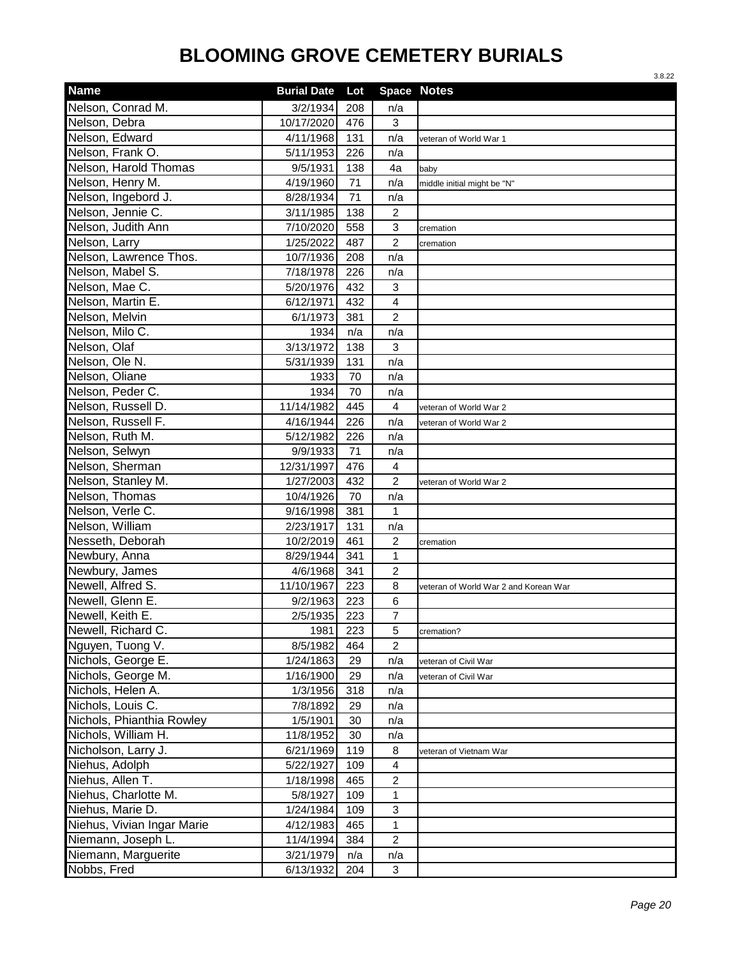|                            |                    |     |                | 3.8.22                                |
|----------------------------|--------------------|-----|----------------|---------------------------------------|
| <b>Name</b>                | <b>Burial Date</b> | Lot |                | <b>Space Notes</b>                    |
| Nelson, Conrad M.          | 3/2/1934           | 208 | n/a            |                                       |
| Nelson, Debra              | 10/17/2020         | 476 | 3              |                                       |
| Nelson, Edward             | 4/11/1968          | 131 | n/a            | veteran of World War 1                |
| Nelson, Frank O.           | 5/11/1953          | 226 | n/a            |                                       |
| Nelson, Harold Thomas      | 9/5/1931           | 138 | 4a             | baby                                  |
| Nelson, Henry M.           | 4/19/1960          | 71  | n/a            | middle initial might be "N"           |
| Nelson, Ingebord J.        | 8/28/1934          | 71  | n/a            |                                       |
| Nelson, Jennie C.          | 3/11/1985          | 138 | $\overline{c}$ |                                       |
| Nelson, Judith Ann         | 7/10/2020          | 558 | 3              | cremation                             |
| Nelson, Larry              | 1/25/2022          | 487 | $\overline{c}$ | cremation                             |
| Nelson, Lawrence Thos.     | 10/7/1936          | 208 | n/a            |                                       |
| Nelson, Mabel S.           | 7/18/1978          | 226 | n/a            |                                       |
| Nelson, Mae C.             | 5/20/1976          | 432 | 3              |                                       |
| Nelson, Martin E.          | 6/12/1971          | 432 | 4              |                                       |
| Nelson, Melvin             | 6/1/1973           | 381 | $\overline{c}$ |                                       |
| Nelson, Milo C.            | 1934               | n/a | n/a            |                                       |
| Nelson, Olaf               | 3/13/1972          | 138 | 3              |                                       |
| Nelson, Ole N.             | 5/31/1939          | 131 | n/a            |                                       |
| Nelson, Oliane             | 1933               | 70  | n/a            |                                       |
| Nelson, Peder C.           | 1934               | 70  | n/a            |                                       |
| Nelson, Russell D.         | 11/14/1982         | 445 | 4              | veteran of World War 2                |
| Nelson, Russell F.         | 4/16/1944          | 226 | n/a            | veteran of World War 2                |
| Nelson, Ruth M.            | 5/12/1982          | 226 | n/a            |                                       |
| Nelson, Selwyn             | 9/9/1933           | 71  | n/a            |                                       |
| Nelson, Sherman            | 12/31/1997         | 476 | $\overline{4}$ |                                       |
| Nelson, Stanley M.         | 1/27/2003          | 432 | $\overline{c}$ | veteran of World War 2                |
| Nelson, Thomas             | 10/4/1926          | 70  | n/a            |                                       |
| Nelson, Verle C.           | 9/16/1998          | 381 | 1              |                                       |
| Nelson, William            | 2/23/1917          | 131 | n/a            |                                       |
| Nesseth, Deborah           | 10/2/2019          | 461 | 2              | cremation                             |
| Newbury, Anna              | 8/29/1944          | 341 | $\mathbf{1}$   |                                       |
| Newbury, James             | 4/6/1968           | 341 | $\overline{c}$ |                                       |
| Newell, Alfred S.          | 11/10/1967         | 223 | 8              | veteran of World War 2 and Korean War |
| Newell, Glenn E.           | 9/2/1963           | 223 | 6              |                                       |
| Newell, Keith E.           | 2/5/1935           | 223 | $\overline{7}$ |                                       |
| Newell, Richard C.         | 1981               | 223 | 5              | cremation?                            |
| Nguyen, Tuong V.           | 8/5/1982           | 464 | $\overline{c}$ |                                       |
| Nichols, George E.         | 1/24/1863          | 29  | n/a            | veteran of Civil War                  |
| Nichols, George M.         | 1/16/1900          | 29  | n/a            | veteran of Civil War                  |
| Nichols, Helen A.          | 1/3/1956           | 318 | n/a            |                                       |
| Nichols, Louis C.          | 7/8/1892           | 29  | n/a            |                                       |
| Nichols, Phianthia Rowley  | 1/5/1901           | 30  | n/a            |                                       |
| Nichols, William H.        | 11/8/1952          | 30  | n/a            |                                       |
| Nicholson, Larry J.        | 6/21/1969          | 119 | 8              | veteran of Vietnam War                |
| Niehus, Adolph             | 5/22/1927          | 109 | $\overline{4}$ |                                       |
| Niehus, Allen T.           | 1/18/1998          | 465 | $\overline{c}$ |                                       |
| Niehus, Charlotte M.       | 5/8/1927           | 109 | $\mathbf{1}$   |                                       |
| Niehus, Marie D.           | 1/24/1984          | 109 | $\sqrt{3}$     |                                       |
| Niehus, Vivian Ingar Marie | 4/12/1983          | 465 | $\mathbf{1}$   |                                       |
| Niemann, Joseph L.         | 11/4/1994          | 384 | $\overline{2}$ |                                       |
| Niemann, Marguerite        | 3/21/1979          | n/a | n/a            |                                       |
| Nobbs, Fred                | 6/13/1932          | 204 | $\mathbf{3}$   |                                       |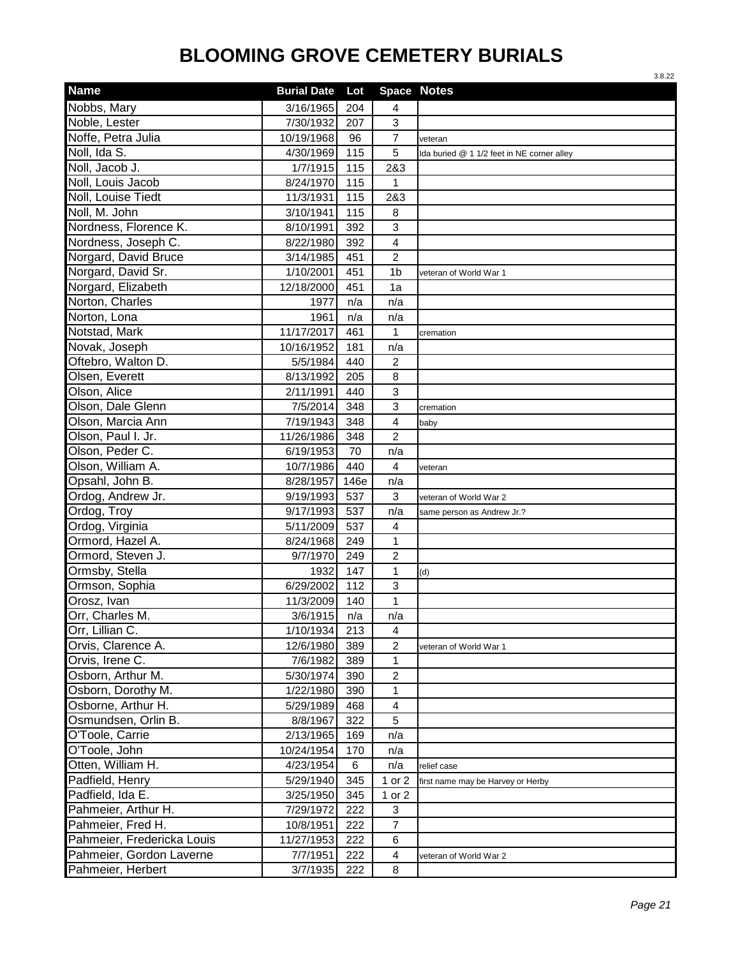|                            |                    |      |                    | 3.8.22                                     |
|----------------------------|--------------------|------|--------------------|--------------------------------------------|
| <b>Name</b>                | <b>Burial Date</b> | Lot  | <b>Space Notes</b> |                                            |
| Nobbs, Mary                | 3/16/1965          | 204  | 4                  |                                            |
| Noble, Lester              | 7/30/1932          | 207  | 3                  |                                            |
| Noffe, Petra Julia         | 10/19/1968         | 96   | $\overline{7}$     | veteran                                    |
| Noll, Ida S.               | 4/30/1969          | 115  | 5                  | Ida buried @ 1 1/2 feet in NE corner alley |
| Noll, Jacob J.             | 1/7/1915           | 115  | 2&3                |                                            |
| Noll, Louis Jacob          | 8/24/1970          | 115  | 1                  |                                            |
| Noll, Louise Tiedt         | 11/3/1931          | 115  | 2&3                |                                            |
| Noll, M. John              | 3/10/1941          | 115  | 8                  |                                            |
| Nordness, Florence K.      | 8/10/1991          | 392  | 3                  |                                            |
| Nordness, Joseph C.        | 8/22/1980          | 392  | 4                  |                                            |
| Norgard, David Bruce       | 3/14/1985          | 451  | $\overline{2}$     |                                            |
| Norgard, David Sr.         | 1/10/2001          | 451  | 1 <sub>b</sub>     | veteran of World War 1                     |
| Norgard, Elizabeth         | 12/18/2000         | 451  | 1a                 |                                            |
| Norton, Charles            | 1977               | n/a  | n/a                |                                            |
| Norton, Lona               | 1961               | n/a  | n/a                |                                            |
| Notstad, Mark              | 11/17/2017         | 461  | 1                  | cremation                                  |
| Novak, Joseph              | 10/16/1952         | 181  | n/a                |                                            |
| Oftebro, Walton D.         | 5/5/1984           | 440  | $\overline{2}$     |                                            |
| Olsen, Everett             | 8/13/1992          | 205  | 8                  |                                            |
| Olson, Alice               | 2/11/1991          | 440  | $\mathbf{3}$       |                                            |
| Olson, Dale Glenn          | 7/5/2014           | 348  | $\mathbf{3}$       | cremation                                  |
| Olson, Marcia Ann          | 7/19/1943          | 348  | 4                  | baby                                       |
| Olson, Paul I. Jr.         | 11/26/1986         | 348  | $\overline{c}$     |                                            |
| Olson, Peder C.            | 6/19/1953          | 70   | n/a                |                                            |
| Olson, William A.          | 10/7/1986          | 440  | 4                  | veteran                                    |
| Opsahl, John B.            | 8/28/1957          | 146e | n/a                |                                            |
| Ordog, Andrew Jr.          | 9/19/1993          | 537  | 3                  | veteran of World War 2                     |
| Ordog, Troy                | 9/17/1993          | 537  | n/a                | same person as Andrew Jr.?                 |
| Ordog, Virginia            | 5/11/2009          | 537  | 4                  |                                            |
| Ormord, Hazel A.           | 8/24/1968          | 249  | 1                  |                                            |
| Ormord, Steven J.          | 9/7/1970           | 249  | $\boldsymbol{2}$   |                                            |
| Ormsby, Stella             | 1932               | 147  | 1                  | (d)                                        |
| Ormson, Sophia             | 6/29/2002          | 112  | 3                  |                                            |
| Orosz, Ivan                | 11/3/2009          | 140  | $\mathbf 1$        |                                            |
| Orr, Charles M.            | 3/6/1915           | n/a  | n/a                |                                            |
| Orr, Lillian C.            | 1/10/1934          | 213  | 4                  |                                            |
| Orvis, Clarence A.         | 12/6/1980          | 389  | $\overline{c}$     | veteran of World War 1                     |
| Orvis, Irene C.            | 7/6/1982           | 389  | 1                  |                                            |
| Osborn, Arthur M.          | 5/30/1974          | 390  | $\overline{c}$     |                                            |
| Osborn, Dorothy M.         | 1/22/1980          | 390  | 1                  |                                            |
| Osborne, Arthur H.         | 5/29/1989          | 468  | 4                  |                                            |
| Osmundsen, Orlin B.        | 8/8/1967           | 322  | $\overline{5}$     |                                            |
| O'Toole, Carrie            | 2/13/1965          | 169  | n/a                |                                            |
| O'Toole, John              | 10/24/1954         | 170  | n/a                |                                            |
| Otten, William H.          | 4/23/1954          | 6    | n/a                | relief case                                |
| Padfield, Henry            | 5/29/1940          | 345  | 1 or 2             | first name may be Harvey or Herby          |
| Padfield, Ida E.           | 3/25/1950          | 345  | 1 or 2             |                                            |
| Pahmeier, Arthur H.        | 7/29/1972          | 222  | 3                  |                                            |
| Pahmeier, Fred H.          | 10/8/1951          | 222  | $\overline{7}$     |                                            |
| Pahmeier, Fredericka Louis | 11/27/1953         | 222  | $\,6$              |                                            |
| Pahmeier, Gordon Laverne   | 7/7/1951           | 222  | $\overline{4}$     | veteran of World War 2                     |
| Pahmeier, Herbert          | 3/7/1935           | 222  | 8                  |                                            |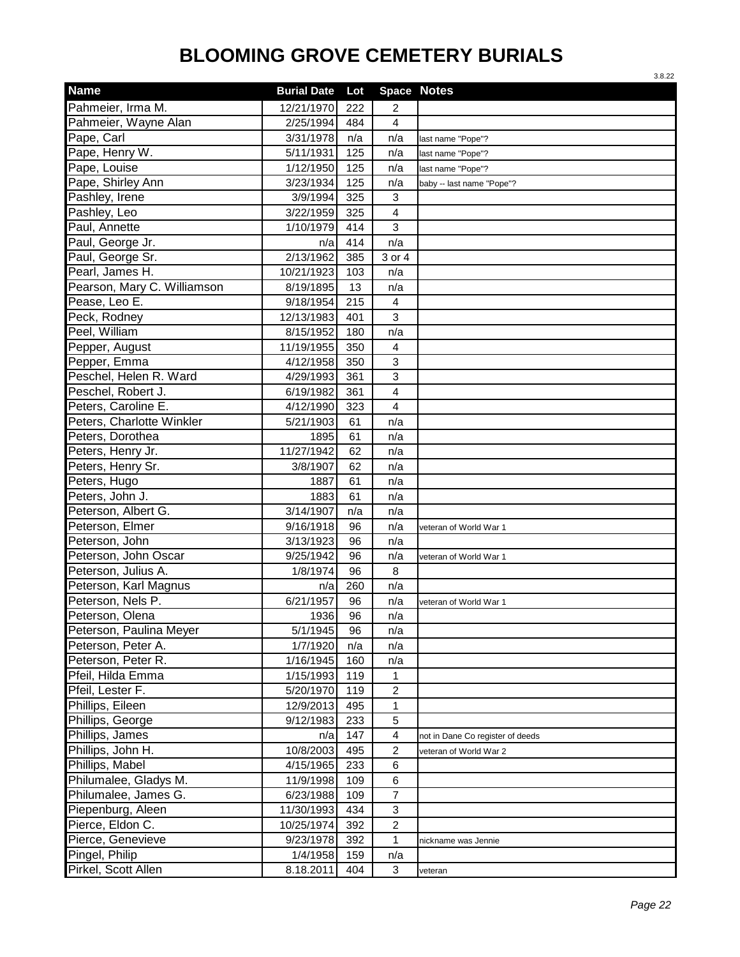|                             |                    |     |                         | 3.8.22                           |
|-----------------------------|--------------------|-----|-------------------------|----------------------------------|
| <b>Name</b>                 | <b>Burial Date</b> | Lot | <b>Space Notes</b>      |                                  |
| Pahmeier, Irma M.           | 12/21/1970         | 222 | 2                       |                                  |
| Pahmeier, Wayne Alan        | 2/25/1994          | 484 | 4                       |                                  |
| Pape, Carl                  | 3/31/1978          | n/a | n/a                     | last name "Pope"?                |
| Pape, Henry W.              | 5/11/1931          | 125 | n/a                     | last name "Pope"?                |
| Pape, Louise                | 1/12/1950          | 125 | n/a                     | last name "Pope"?                |
| Pape, Shirley Ann           | 3/23/1934          | 125 | n/a                     | baby -- last name "Pope"?        |
| Pashley, Irene              | 3/9/1994           | 325 | 3                       |                                  |
| Pashley, Leo                | 3/22/1959          | 325 | 4                       |                                  |
| Paul, Annette               | 1/10/1979          | 414 | 3                       |                                  |
| Paul, George Jr.            | n/a                | 414 | n/a                     |                                  |
| Paul, George Sr.            | 2/13/1962          | 385 | 3 or 4                  |                                  |
| Pearl, James H.             | 10/21/1923         | 103 | n/a                     |                                  |
| Pearson, Mary C. Williamson | 8/19/1895          | 13  | n/a                     |                                  |
| Pease, Leo E.               | 9/18/1954          | 215 | 4                       |                                  |
| Peck, Rodney                | 12/13/1983         | 401 | 3                       |                                  |
| Peel, William               | 8/15/1952          | 180 | n/a                     |                                  |
| Pepper, August              | 11/19/1955         | 350 | 4                       |                                  |
| Pepper, Emma                | 4/12/1958          | 350 | 3                       |                                  |
| Peschel, Helen R. Ward      | 4/29/1993          | 361 | 3                       |                                  |
| Peschel, Robert J.          | 6/19/1982          | 361 | $\overline{\mathbf{4}}$ |                                  |
| Peters, Caroline E.         | 4/12/1990          | 323 | 4                       |                                  |
| Peters, Charlotte Winkler   | 5/21/1903          | 61  | n/a                     |                                  |
| Peters, Dorothea            | 1895               | 61  | n/a                     |                                  |
| Peters, Henry Jr.           | 11/27/1942         | 62  | n/a                     |                                  |
| Peters, Henry Sr.           | 3/8/1907           | 62  | n/a                     |                                  |
| Peters, Hugo                | 1887               | 61  | n/a                     |                                  |
| Peters, John J.             | 1883               | 61  | n/a                     |                                  |
| Peterson, Albert G.         | 3/14/1907          | n/a | n/a                     |                                  |
| Peterson, Elmer             | 9/16/1918          | 96  | n/a                     | veteran of World War 1           |
| Peterson, John              | 3/13/1923          | 96  | n/a                     |                                  |
| Peterson, John Oscar        | 9/25/1942          | 96  | n/a                     | veteran of World War 1           |
| Peterson, Julius A.         | 1/8/1974           | 96  | 8                       |                                  |
| Peterson, Karl Magnus       | n/a                | 260 | n/a                     |                                  |
| Peterson, Nels P.           | 6/21/1957          | 96  | n/a                     | veteran of World War 1           |
| Peterson, Olena             | 1936               | 96  | n/a                     |                                  |
| Peterson, Paulina Meyer     | 5/1/1945           | 96  | n/a                     |                                  |
| Peterson, Peter A.          | 1/7/1920           | n/a | n/a                     |                                  |
| Peterson, Peter R.          | 1/16/1945          | 160 | n/a                     |                                  |
| Pfeil, Hilda Emma           | 1/15/1993          | 119 | 1                       |                                  |
| Pfeil, Lester F.            | 5/20/1970          | 119 | $\overline{\mathbf{c}}$ |                                  |
| Phillips, Eileen            | 12/9/2013          | 495 | $\mathbf{1}$            |                                  |
| Phillips, George            | 9/12/1983          | 233 | 5                       |                                  |
| Phillips, James             | n/a                | 147 | 4                       | not in Dane Co register of deeds |
| Phillips, John H.           | 10/8/2003          | 495 | $\overline{c}$          | veteran of World War 2           |
| Phillips, Mabel             | 4/15/1965          | 233 | 6                       |                                  |
| Philumalee, Gladys M.       | 11/9/1998          | 109 | 6                       |                                  |
| Philumalee, James G.        | 6/23/1988          | 109 | 7                       |                                  |
| Piepenburg, Aleen           | 11/30/1993         | 434 | 3                       |                                  |
| Pierce, Eldon C.            | 10/25/1974         | 392 | $\overline{\mathbf{c}}$ |                                  |
| Pierce, Genevieve           | 9/23/1978          | 392 | 1                       | nickname was Jennie              |
| Pingel, Philip              | 1/4/1958           | 159 | n/a                     |                                  |
| Pirkel, Scott Allen         | 8.18.2011          | 404 | 3                       | veteran                          |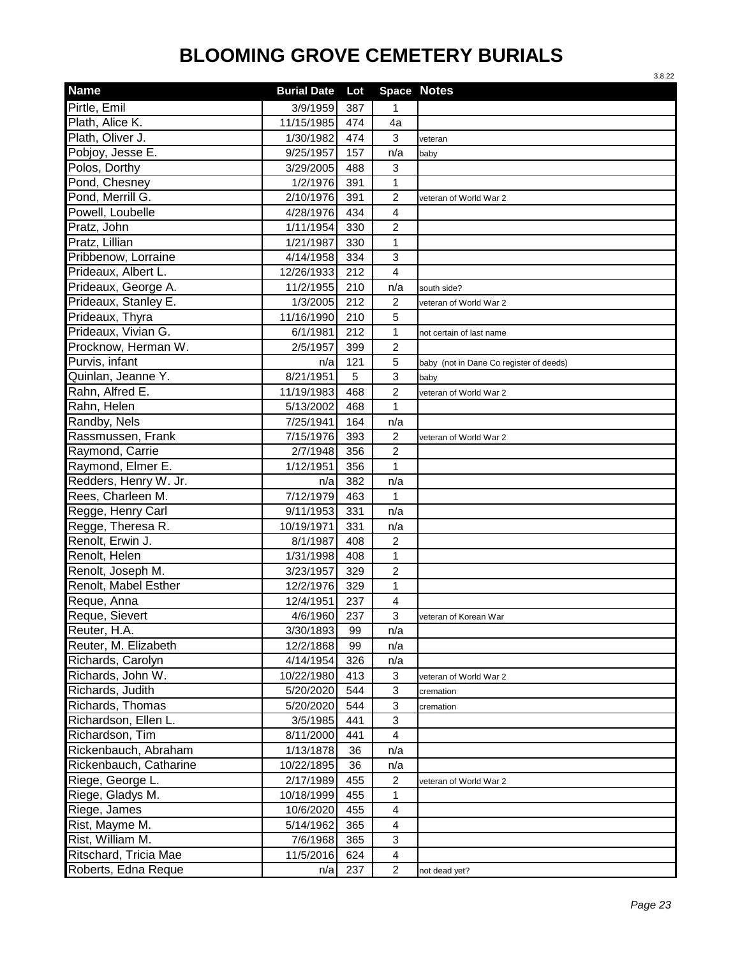|                        |                    |     |                           | 3.8.22                                  |
|------------------------|--------------------|-----|---------------------------|-----------------------------------------|
| <b>Name</b>            | <b>Burial Date</b> | Lot |                           | <b>Space Notes</b>                      |
| Pirtle, Emil           | 3/9/1959           | 387 | 1                         |                                         |
| Plath, Alice K.        | 11/15/1985         | 474 | 4a                        |                                         |
| Plath, Oliver J.       | 1/30/1982          | 474 | $\mathbf{3}$              | veteran                                 |
| Pobjoy, Jesse E.       | 9/25/1957          | 157 | n/a                       | baby                                    |
| Polos, Dorthy          | 3/29/2005          | 488 | 3                         |                                         |
| Pond, Chesney          | 1/2/1976           | 391 | 1                         |                                         |
| Pond, Merrill G.       | 2/10/1976          | 391 | $\overline{c}$            | veteran of World War 2                  |
| Powell, Loubelle       | 4/28/1976          | 434 | $\overline{4}$            |                                         |
| Pratz, John            | 1/11/1954          | 330 | $\overline{2}$            |                                         |
| Pratz, Lillian         | 1/21/1987          | 330 | 1                         |                                         |
| Pribbenow, Lorraine    | 4/14/1958          | 334 | 3                         |                                         |
| Prideaux, Albert L.    | 12/26/1933         | 212 | $\overline{4}$            |                                         |
| Prideaux, George A.    | 11/2/1955          | 210 | n/a                       | south side?                             |
| Prideaux, Stanley E.   | 1/3/2005           | 212 | 2                         | veteran of World War 2                  |
| Prideaux, Thyra        | 11/16/1990         | 210 | 5                         |                                         |
| Prideaux, Vivian G.    | 6/1/1981           | 212 | 1                         | not certain of last name                |
| Procknow, Herman W.    | 2/5/1957           | 399 | $\overline{2}$            |                                         |
| Purvis, infant         | n/a                | 121 | 5                         | baby (not in Dane Co register of deeds) |
| Quinlan, Jeanne Y.     | 8/21/1951          | 5   | $\overline{3}$            | baby                                    |
| Rahn, Alfred E.        | 11/19/1983         | 468 | $\overline{c}$            | veteran of World War 2                  |
| Rahn, Helen            | 5/13/2002          | 468 | 1                         |                                         |
| Randby, Nels           | 7/25/1941          | 164 | n/a                       |                                         |
| Rassmussen, Frank      | 7/15/1976          | 393 | $\overline{c}$            | veteran of World War 2                  |
| Raymond, Carrie        | 2/7/1948           | 356 | $\overline{2}$            |                                         |
| Raymond, Elmer E.      | 1/12/1951          | 356 | 1                         |                                         |
| Redders, Henry W. Jr.  | n/a                | 382 | n/a                       |                                         |
| Rees, Charleen M.      | 7/12/1979          | 463 | 1                         |                                         |
| Regge, Henry Carl      | 9/11/1953          | 331 | n/a                       |                                         |
| Regge, Theresa R.      | 10/19/1971         | 331 | n/a                       |                                         |
| Renolt, Erwin J.       | 8/1/1987           | 408 | 2                         |                                         |
| Renolt, Helen          | 1/31/1998          | 408 | 1                         |                                         |
| Renolt, Joseph M.      | 3/23/1957          | 329 | $\overline{c}$            |                                         |
| Renolt, Mabel Esther   | 12/2/1976          | 329 | 1                         |                                         |
| Reque, Anna            | 12/4/1951          | 237 | $\overline{4}$            |                                         |
| Reque, Sievert         | 4/6/1960           | 237 | 3                         | veteran of Korean War                   |
| Reuter, H.A.           | 3/30/1893          | 99  | n/a                       |                                         |
| Reuter, M. Elizabeth   | 12/2/1868          | 99  | n/a                       |                                         |
| Richards, Carolyn      | 4/14/1954          | 326 | n/a                       |                                         |
| Richards, John W.      | 10/22/1980         | 413 | 3                         | veteran of World War 2                  |
| Richards, Judith       | 5/20/2020          | 544 | $\ensuremath{\mathsf{3}}$ | cremation                               |
| Richards, Thomas       | 5/20/2020          | 544 | $\mathbf{3}$              | cremation                               |
| Richardson, Ellen L.   | 3/5/1985           | 441 | $\mathbf{3}$              |                                         |
| Richardson, Tim        | 8/11/2000          | 441 | $\overline{4}$            |                                         |
| Rickenbauch, Abraham   | 1/13/1878          | 36  | n/a                       |                                         |
| Rickenbauch, Catharine | 10/22/1895         | 36  | n/a                       |                                         |
| Riege, George L.       | 2/17/1989          | 455 | $\overline{c}$            | veteran of World War 2                  |
| Riege, Gladys M.       | 10/18/1999         | 455 | 1                         |                                         |
| Riege, James           | 10/6/2020          | 455 | 4                         |                                         |
| Rist, Mayme M.         | 5/14/1962          | 365 | 4                         |                                         |
| Rist, William M.       | 7/6/1968           | 365 | 3                         |                                         |
| Ritschard, Tricia Mae  | 11/5/2016          | 624 | $\overline{4}$            |                                         |
| Roberts, Edna Reque    | n/a                | 237 | $\overline{2}$            | not dead yet?                           |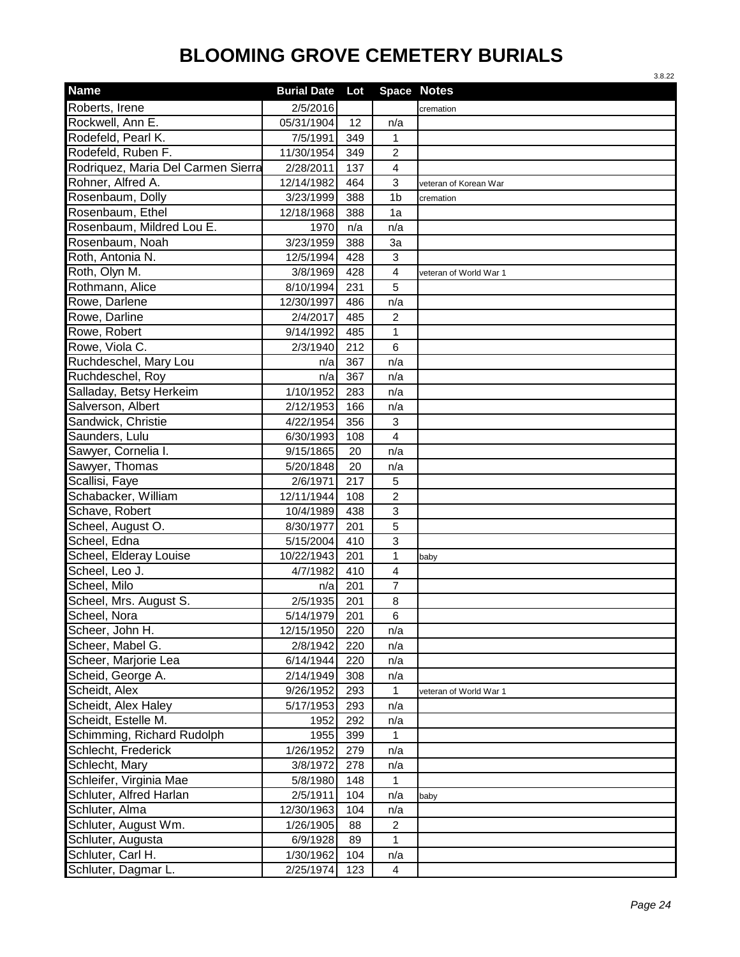|                                    |                    |     |                    | 3.8.22                 |
|------------------------------------|--------------------|-----|--------------------|------------------------|
| <b>Name</b>                        | <b>Burial Date</b> | Lot | <b>Space Notes</b> |                        |
| Roberts, Irene                     | 2/5/2016           |     |                    | cremation              |
| Rockwell, Ann E.                   | 05/31/1904         | 12  | n/a                |                        |
| Rodefeld, Pearl K.                 | 7/5/1991           | 349 | $\mathbf 1$        |                        |
| Rodefeld, Ruben F.                 | 11/30/1954         | 349 | 2                  |                        |
| Rodriquez, Maria Del Carmen Sierra | 2/28/2011          | 137 | 4                  |                        |
| Rohner, Alfred A.                  | 12/14/1982         | 464 | 3                  | veteran of Korean War  |
| Rosenbaum, Dolly                   | 3/23/1999          | 388 | 1 <sub>b</sub>     | cremation              |
| Rosenbaum, Ethel                   | 12/18/1968         | 388 | 1a                 |                        |
| Rosenbaum, Mildred Lou E.          | 1970               | n/a | n/a                |                        |
| Rosenbaum, Noah                    | 3/23/1959          | 388 | 3a                 |                        |
| Roth, Antonia N.                   | 12/5/1994          | 428 | 3                  |                        |
| Roth, Olyn M.                      | 3/8/1969           | 428 | 4                  | veteran of World War 1 |
| Rothmann, Alice                    | 8/10/1994          | 231 | 5                  |                        |
| Rowe, Darlene                      | 12/30/1997         | 486 | n/a                |                        |
| Rowe, Darline                      | 2/4/2017           | 485 | $\overline{2}$     |                        |
| Rowe, Robert                       | 9/14/1992          | 485 | 1                  |                        |
| Rowe, Viola C.                     | 2/3/1940           | 212 | 6                  |                        |
| Ruchdeschel, Mary Lou              | n/a                | 367 | n/a                |                        |
| Ruchdeschel, Roy                   | n/a                | 367 | n/a                |                        |
| Salladay, Betsy Herkeim            | 1/10/1952          | 283 | n/a                |                        |
| Salverson, Albert                  | 2/12/1953          | 166 | n/a                |                        |
| Sandwick, Christie                 | 4/22/1954          | 356 | 3                  |                        |
| Saunders, Lulu                     | 6/30/1993          | 108 | 4                  |                        |
| Sawyer, Cornelia I.                | 9/15/1865          | 20  | n/a                |                        |
| Sawyer, Thomas                     | 5/20/1848          | 20  | n/a                |                        |
| Scallisi, Faye                     | 2/6/1971           | 217 | 5                  |                        |
| Schabacker, William                | 12/11/1944         | 108 | $\overline{2}$     |                        |
| Schave, Robert                     | 10/4/1989          | 438 | 3                  |                        |
| Scheel, August O.                  | 8/30/1977          | 201 | 5                  |                        |
| Scheel, Edna                       | 5/15/2004          | 410 | 3                  |                        |
| Scheel, Elderay Louise             | 10/22/1943         | 201 | $\mathbf{1}$       | baby                   |
| Scheel, Leo J.                     | 4/7/1982           | 410 | 4                  |                        |
| Scheel, Milo                       | n/a                | 201 | 7                  |                        |
| Scheel, Mrs. August S.             | 2/5/1935           | 201 | 8                  |                        |
| Scheel, Nora                       | 5/14/1979          | 201 | 6                  |                        |
| Scheer, John H.                    | 12/15/1950         | 220 | n/a                |                        |
| Scheer, Mabel G.                   | 2/8/1942           | 220 | n/a                |                        |
| Scheer, Marjorie Lea               | 6/14/1944          | 220 | n/a                |                        |
| Scheid, George A.                  | 2/14/1949          | 308 | n/a                |                        |
| Scheidt, Alex                      | 9/26/1952          | 293 | 1                  | veteran of World War 1 |
| Scheidt, Alex Haley                | 5/17/1953          | 293 | n/a                |                        |
| Scheidt, Estelle M.                | 1952               | 292 | n/a                |                        |
| Schimming, Richard Rudolph         | 1955               | 399 | 1                  |                        |
| Schlecht, Frederick                | 1/26/1952          | 279 | n/a                |                        |
| Schlecht, Mary                     | 3/8/1972           | 278 | n/a                |                        |
| Schleifer, Virginia Mae            | 5/8/1980           | 148 | 1                  |                        |
| Schluter, Alfred Harlan            | 2/5/1911           | 104 | n/a                | baby                   |
| Schluter, Alma                     | 12/30/1963         | 104 | n/a                |                        |
| Schluter, August Wm.               | 1/26/1905          | 88  | 2                  |                        |
| Schluter, Augusta                  | 6/9/1928           | 89  | 1                  |                        |
| Schluter, Carl H.                  | 1/30/1962          | 104 | n/a                |                        |
| Schluter, Dagmar L.                | 2/25/1974          | 123 | $\overline{4}$     |                        |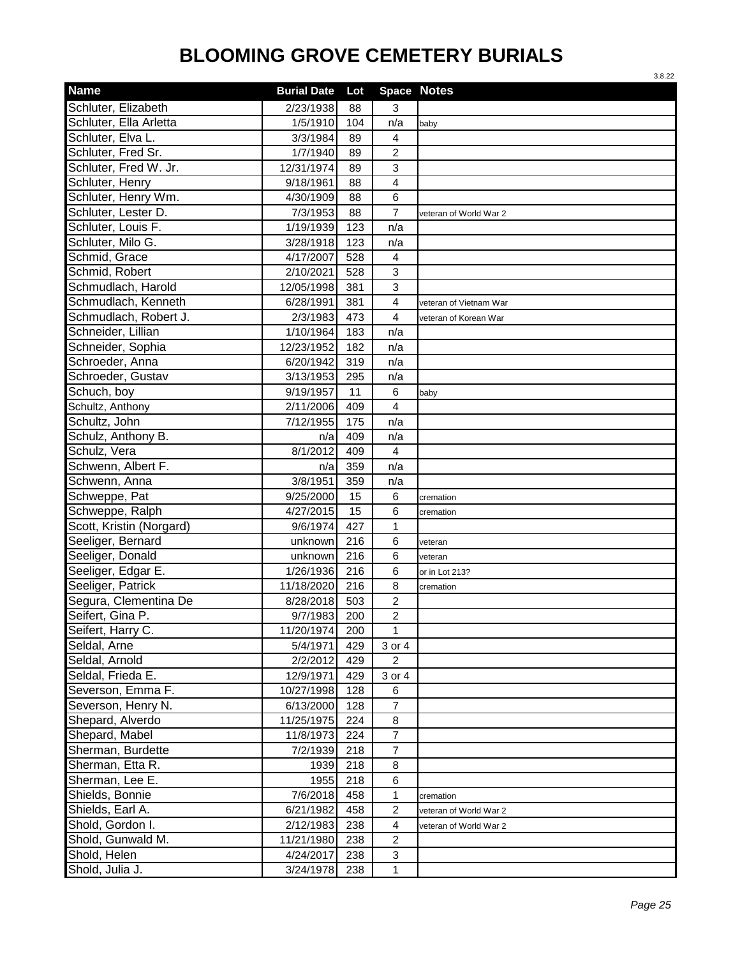|                          |                    |     |                    | 3.8.22                 |
|--------------------------|--------------------|-----|--------------------|------------------------|
| <b>Name</b>              | <b>Burial Date</b> | Lot | <b>Space Notes</b> |                        |
| Schluter, Elizabeth      | 2/23/1938          | 88  | 3                  |                        |
| Schluter, Ella Arletta   | 1/5/1910           | 104 | n/a                | baby                   |
| Schluter, Elva L.        | 3/3/1984           | 89  | $\overline{4}$     |                        |
| Schluter, Fred Sr.       | 1/7/1940           | 89  | $\overline{c}$     |                        |
| Schluter, Fred W. Jr.    | 12/31/1974         | 89  | 3                  |                        |
| Schluter, Henry          | 9/18/1961          | 88  | 4                  |                        |
| Schluter, Henry Wm.      | 4/30/1909          | 88  | 6                  |                        |
| Schluter, Lester D.      | 7/3/1953           | 88  | $\overline{7}$     | veteran of World War 2 |
| Schluter, Louis F.       | 1/19/1939          | 123 | n/a                |                        |
| Schluter, Milo G.        | 3/28/1918          | 123 | n/a                |                        |
| Schmid, Grace            | 4/17/2007          | 528 | 4                  |                        |
| Schmid, Robert           | 2/10/2021          | 528 | 3                  |                        |
| Schmudlach, Harold       | 12/05/1998         | 381 | 3                  |                        |
| Schmudlach, Kenneth      | 6/28/1991          | 381 | 4                  | veteran of Vietnam War |
| Schmudlach, Robert J.    | 2/3/1983           | 473 | 4                  | veteran of Korean War  |
| Schneider, Lillian       | 1/10/1964          | 183 | n/a                |                        |
| Schneider, Sophia        | 12/23/1952         | 182 | n/a                |                        |
| Schroeder, Anna          | 6/20/1942          | 319 | n/a                |                        |
| Schroeder, Gustav        | 3/13/1953          | 295 | n/a                |                        |
| Schuch, boy              | 9/19/1957          | 11  | 6                  | baby                   |
| Schultz, Anthony         | 2/11/2006          | 409 | 4                  |                        |
| Schultz, John            | 7/12/1955          | 175 | n/a                |                        |
| Schulz, Anthony B.       | n/a                | 409 | n/a                |                        |
| Schulz, Vera             | 8/1/2012           | 409 | $\overline{4}$     |                        |
| Schwenn, Albert F.       | n/a                | 359 | n/a                |                        |
| Schwenn, Anna            | 3/8/1951           | 359 | n/a                |                        |
| Schweppe, Pat            | 9/25/2000          | 15  | 6                  | cremation              |
| Schweppe, Ralph          | 4/27/2015          | 15  | 6                  | cremation              |
| Scott, Kristin (Norgard) | 9/6/1974           | 427 | 1                  |                        |
| Seeliger, Bernard        | unknown            | 216 | 6                  | veteran                |
| Seeliger, Donald         | unknown            | 216 | 6                  | veteran                |
| Seeliger, Edgar E.       | 1/26/1936          | 216 | 6                  | or in Lot 213?         |
| Seeliger, Patrick        | 11/18/2020         | 216 | 8                  | cremation              |
| Segura, Clementina De    | 8/28/2018          | 503 | $\overline{2}$     |                        |
| Seifert, Gina P.         | 9/7/1983           | 200 | $\overline{c}$     |                        |
| Seifert, Harry C.        | 11/20/1974         | 200 | 1                  |                        |
| Seldal, Arne             | 5/4/1971           | 429 | 3 or 4             |                        |
| Seldal, Arnold           | 2/2/2012           | 429 | $\overline{2}$     |                        |
| Seldal, Frieda E.        | 12/9/1971          | 429 | 3 or 4             |                        |
| Severson, Emma F.        | 10/27/1998         | 128 | 6                  |                        |
| Severson, Henry N.       | 6/13/2000          | 128 | $\overline{7}$     |                        |
| Shepard, Alverdo         | 11/25/1975         | 224 | 8                  |                        |
| Shepard, Mabel           | 11/8/1973          | 224 | $\overline{7}$     |                        |
| Sherman, Burdette        | 7/2/1939           | 218 | $\overline{7}$     |                        |
| Sherman, Etta R.         | 1939               | 218 | 8                  |                        |
| Sherman, Lee E.          | 1955               | 218 | 6                  |                        |
| Shields, Bonnie          | 7/6/2018           | 458 | 1                  | cremation              |
| Shields, Earl A.         | 6/21/1982          | 458 | $\overline{c}$     | veteran of World War 2 |
| Shold, Gordon I.         | 2/12/1983          | 238 | 4                  | veteran of World War 2 |
| Shold, Gunwald M.        | 11/21/1980         | 238 | $\overline{2}$     |                        |
| Shold, Helen             | 4/24/2017          | 238 | 3                  |                        |
| Shold, Julia J.          | 3/24/1978          | 238 | $\mathbf 1$        |                        |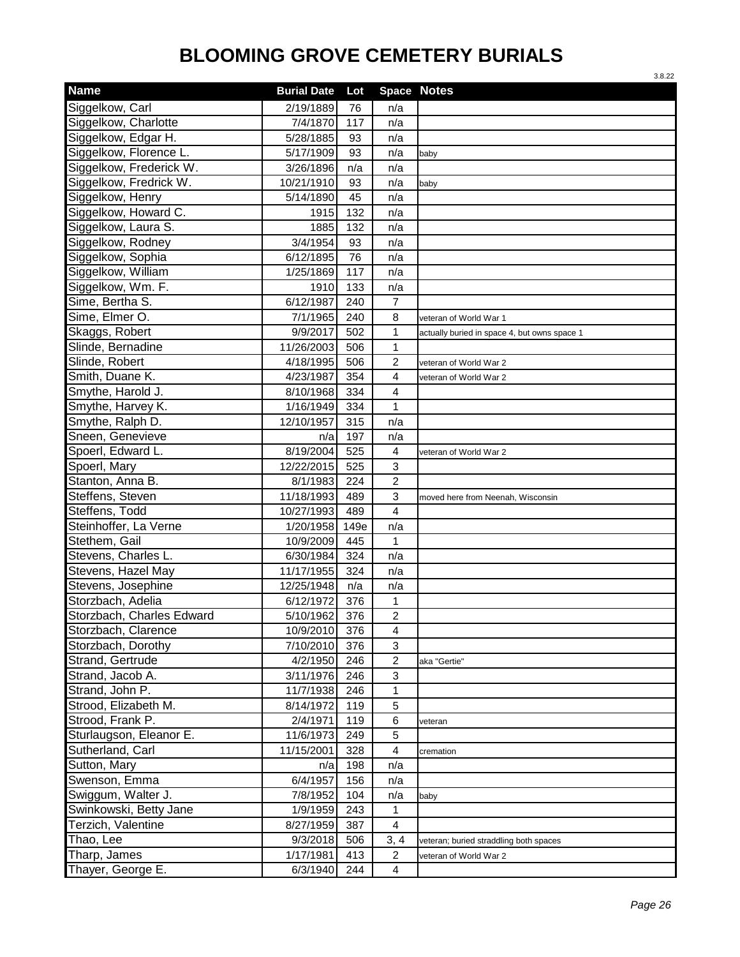|                           |                    |      |                         | 3.8.22                                       |
|---------------------------|--------------------|------|-------------------------|----------------------------------------------|
| <b>Name</b>               | <b>Burial Date</b> | Lot  | Space Notes             |                                              |
| Siggelkow, Carl           | 2/19/1889          | 76   | n/a                     |                                              |
| Siggelkow, Charlotte      | 7/4/1870           | 117  | n/a                     |                                              |
| Siggelkow, Edgar H.       | 5/28/1885          | 93   | n/a                     |                                              |
| Siggelkow, Florence L.    | 5/17/1909          | 93   | n/a                     | baby                                         |
| Siggelkow, Frederick W.   | 3/26/1896          | n/a  | n/a                     |                                              |
| Siggelkow, Fredrick W.    | 10/21/1910         | 93   | n/a                     | baby                                         |
| Siggelkow, Henry          | 5/14/1890          | 45   | n/a                     |                                              |
| Siggelkow, Howard C.      | 1915               | 132  | n/a                     |                                              |
| Siggelkow, Laura S.       | 1885               | 132  | n/a                     |                                              |
| Siggelkow, Rodney         | 3/4/1954           | 93   | n/a                     |                                              |
| Siggelkow, Sophia         | 6/12/1895          | 76   | n/a                     |                                              |
| Siggelkow, William        | 1/25/1869          | 117  | n/a                     |                                              |
| Siggelkow, Wm. F.         | 1910               | 133  | n/a                     |                                              |
| Sime, Bertha S.           | 6/12/1987          | 240  | 7                       |                                              |
| Sime, Elmer O.            | 7/1/1965           | 240  | 8                       | veteran of World War 1                       |
| Skaggs, Robert            | 9/9/2017           | 502  | 1                       | actually buried in space 4, but owns space 1 |
| Slinde, Bernadine         | 11/26/2003         | 506  | $\mathbf{1}$            |                                              |
| Slinde, Robert            | 4/18/1995          | 506  | $\overline{c}$          | veteran of World War 2                       |
| Smith, Duane K.           | 4/23/1987          | 354  | 4                       | veteran of World War 2                       |
| Smythe, Harold J.         | 8/10/1968          | 334  | $\overline{\mathbf{4}}$ |                                              |
| Smythe, Harvey K.         | 1/16/1949          | 334  | $\mathbf{1}$            |                                              |
| Smythe, Ralph D.          | 12/10/1957         | 315  | n/a                     |                                              |
| Sneen, Genevieve          | n/a                | 197  | n/a                     |                                              |
| Spoerl, Edward L.         | 8/19/2004          | 525  | 4                       | veteran of World War 2                       |
| Spoerl, Mary              | 12/22/2015         | 525  | 3                       |                                              |
| Stanton, Anna B.          | 8/1/1983           | 224  | $\overline{2}$          |                                              |
| Steffens, Steven          | 11/18/1993         | 489  | 3                       | moved here from Neenah, Wisconsin            |
| Steffens, Todd            | 10/27/1993         | 489  | $\overline{4}$          |                                              |
| Steinhoffer, La Verne     | 1/20/1958          | 149e | n/a                     |                                              |
| Stethem, Gail             | 10/9/2009          | 445  | 1                       |                                              |
| Stevens, Charles L.       | 6/30/1984          | 324  | n/a                     |                                              |
| Stevens, Hazel May        | 11/17/1955         | 324  | n/a                     |                                              |
| Stevens, Josephine        | 12/25/1948         | n/a  | n/a                     |                                              |
| Storzbach, Adelia         | 6/12/1972          | 376  | 1                       |                                              |
| Storzbach, Charles Edward | 5/10/1962          | 376  | $\overline{c}$          |                                              |
| Storzbach, Clarence       | 10/9/2010          | 376  | $\overline{\mathbf{4}}$ |                                              |
| Storzbach, Dorothy        | 7/10/2010          | 376  | 3                       |                                              |
| Strand, Gertrude          | 4/2/1950           | 246  | 2                       | aka "Gertie"                                 |
| Strand, Jacob A.          | 3/11/1976          | 246  | 3                       |                                              |
| Strand, John P.           | 11/7/1938          | 246  | $\mathbf{1}$            |                                              |
| Strood, Elizabeth M.      | 8/14/1972          | 119  | 5                       |                                              |
| Strood, Frank P.          | 2/4/1971           | 119  | 6                       | veteran                                      |
| Sturlaugson, Eleanor E.   | 11/6/1973          | 249  | 5                       |                                              |
| Sutherland, Carl          | 11/15/2001         | 328  | $\overline{\mathbf{4}}$ | cremation                                    |
| Sutton, Mary              | n/a                | 198  | n/a                     |                                              |
| Swenson, Emma             | 6/4/1957           | 156  | n/a                     |                                              |
| Swiggum, Walter J.        | 7/8/1952           | 104  | n/a                     | baby                                         |
| Swinkowski, Betty Jane    | 1/9/1959           | 243  | 1                       |                                              |
| Terzich, Valentine        | 8/27/1959          | 387  | 4                       |                                              |
| Thao, Lee                 | 9/3/2018           | 506  | 3, 4                    | veteran; buried straddling both spaces       |
| Tharp, James              | 1/17/1981          | 413  | $\overline{2}$          | veteran of World War 2                       |
| Thayer, George E.         | 6/3/1940           | 244  | $\overline{\mathbf{4}}$ |                                              |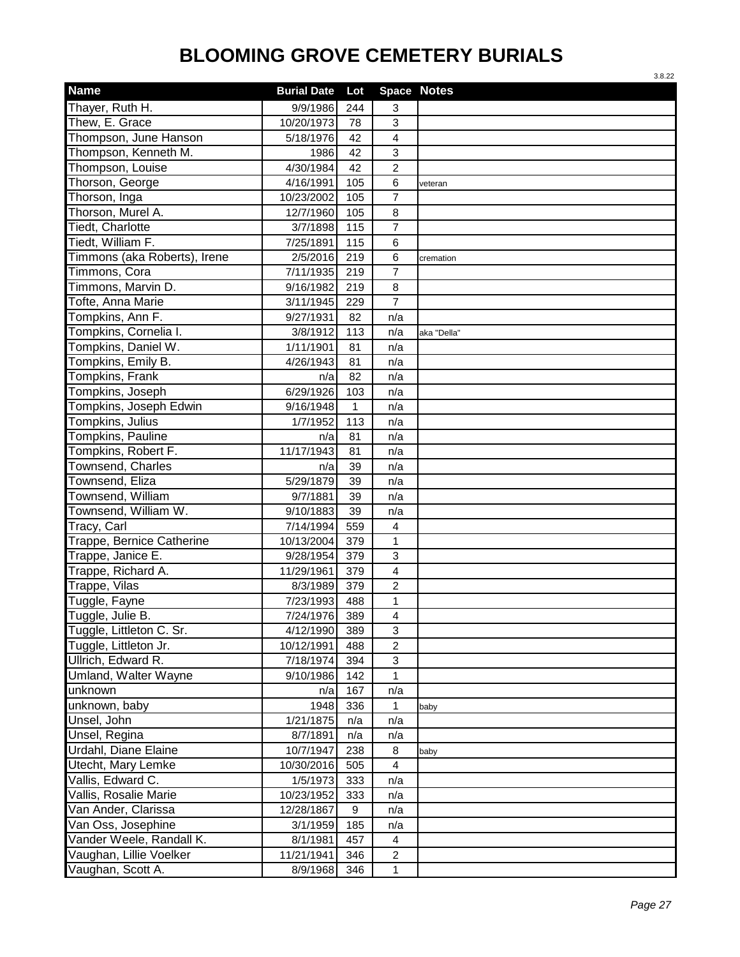|                              |                    |              |                  | 3.8.22             |
|------------------------------|--------------------|--------------|------------------|--------------------|
| <b>Name</b>                  | <b>Burial Date</b> | Lot          |                  | <b>Space Notes</b> |
| Thayer, Ruth H.              | 9/9/1986           | 244          | 3                |                    |
| Thew, E. Grace               | 10/20/1973         | 78           | 3                |                    |
| Thompson, June Hanson        | 5/18/1976          | 42           | $\overline{4}$   |                    |
| Thompson, Kenneth M.         | 1986               | 42           | 3                |                    |
| Thompson, Louise             | 4/30/1984          | 42           | $\overline{2}$   |                    |
| Thorson, George              | 4/16/1991          | 105          | 6                | veteran            |
| Thorson, Inga                | 10/23/2002         | 105          | $\overline{7}$   |                    |
| Thorson, Murel A.            | 12/7/1960          | 105          | 8                |                    |
| Tiedt, Charlotte             | 3/7/1898           | 115          | $\overline{7}$   |                    |
| Tiedt, William F.            | 7/25/1891          | 115          | 6                |                    |
| Timmons (aka Roberts), Irene | 2/5/2016           | 219          | 6                | cremation          |
| Timmons, Cora                | 7/11/1935          | 219          | $\overline{7}$   |                    |
| Timmons, Marvin D.           | 9/16/1982          | 219          | 8                |                    |
| Tofte, Anna Marie            | 3/11/1945          | 229          | $\overline{7}$   |                    |
| Tompkins, Ann F.             | 9/27/1931          | 82           | n/a              |                    |
| Tompkins, Cornelia I.        | 3/8/1912           | 113          | n/a              | aka "Della"        |
| Tompkins, Daniel W.          | 1/11/1901          | 81           | n/a              |                    |
| Tompkins, Emily B.           | 4/26/1943          | 81           | n/a              |                    |
| Tompkins, Frank              | n/a                | 82           | n/a              |                    |
| Tompkins, Joseph             | 6/29/1926          | 103          | n/a              |                    |
| Tompkins, Joseph Edwin       | 9/16/1948          | $\mathbf{1}$ | n/a              |                    |
| <b>Tompkins, Julius</b>      | 1/7/1952           | 113          | n/a              |                    |
| <b>Tompkins, Pauline</b>     | n/a                | 81           | n/a              |                    |
| Tompkins, Robert F.          | 11/17/1943         | 81           | n/a              |                    |
| Townsend, Charles            | n/a                | 39           | n/a              |                    |
| Townsend, Eliza              | 5/29/1879          | 39           | n/a              |                    |
| Townsend, William            | 9/7/1881           | 39           | n/a              |                    |
| Townsend, William W.         | 9/10/1883          | 39           | n/a              |                    |
| Tracy, Carl                  | 7/14/1994          | 559          | 4                |                    |
| Trappe, Bernice Catherine    | 10/13/2004         | 379          | 1                |                    |
| Trappe, Janice E.            | 9/28/1954          | 379          | $\mathbf{3}$     |                    |
| Trappe, Richard A.           | 11/29/1961         | 379          | $\overline{4}$   |                    |
| Trappe, Vilas                | 8/3/1989           | 379          | $\boldsymbol{2}$ |                    |
| Tuggle, Fayne                | 7/23/1993          | 488          | 1                |                    |
| Tuggle, Julie B.             | 7/24/1976          | 389          | 4                |                    |
| Tuggle, Littleton C. Sr.     | 4/12/1990          | 389          | $\mathfrak{S}$   |                    |
| Tuggle, Littleton Jr.        | 10/12/1991         | 488          | $\overline{c}$   |                    |
| Ullrich, Edward R.           | 7/18/1974          | 394          | $\mathbf{3}$     |                    |
| Umland, Walter Wayne         | 9/10/1986          | 142          | 1                |                    |
| unknown                      | n/a                | 167          | n/a              |                    |
| unknown, baby                | 1948               | 336          | 1                | baby               |
| Unsel, John                  | 1/21/1875          | n/a          | n/a              |                    |
| Unsel, Regina                | 8/7/1891           | n/a          | n/a              |                    |
| Urdahl, Diane Elaine         | 10/7/1947          | 238          | 8                | baby               |
| Utecht, Mary Lemke           | 10/30/2016         | 505          | $\overline{4}$   |                    |
| Vallis, Edward C.            | 1/5/1973           | 333          | n/a              |                    |
| Vallis, Rosalie Marie        | 10/23/1952         | 333          | n/a              |                    |
| Van Ander, Clarissa          | 12/28/1867         | 9            | n/a              |                    |
| Van Oss, Josephine           | 3/1/1959           | 185          | n/a              |                    |
| Vander Weele, Randall K.     | 8/1/1981           | 457          | 4                |                    |
| Vaughan, Lillie Voelker      | 11/21/1941         | 346          | $\overline{2}$   |                    |
| Vaughan, Scott A.            | 8/9/1968           | 346          | $\mathbf{1}$     |                    |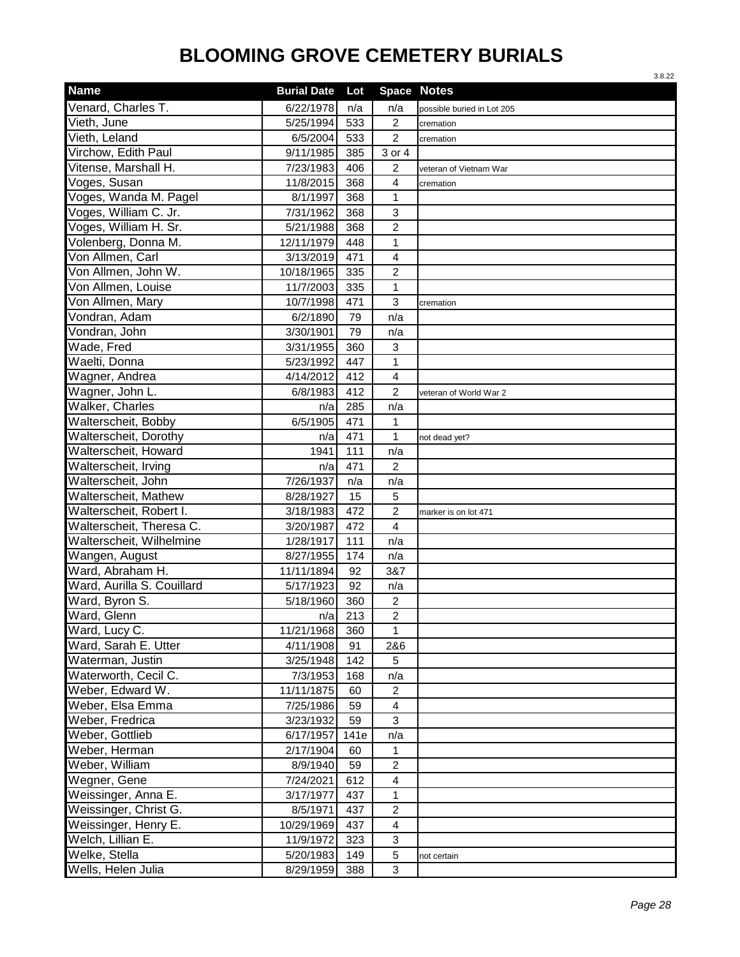|                            |                    |      |                           | 3.8.22                     |
|----------------------------|--------------------|------|---------------------------|----------------------------|
| <b>Name</b>                | <b>Burial Date</b> | Lot  | <b>Space Notes</b>        |                            |
| Venard, Charles T.         | 6/22/1978          | n/a  | n/a                       | possible buried in Lot 205 |
| Vieth, June                | 5/25/1994          | 533  | $\overline{2}$            | cremation                  |
| Vieth, Leland              | 6/5/2004           | 533  | $\overline{2}$            | cremation                  |
| Virchow, Edith Paul        | 9/11/1985          | 385  | 3 or 4                    |                            |
| Vitense, Marshall H.       | 7/23/1983          | 406  | 2                         | veteran of Vietnam War     |
| Voges, Susan               | 11/8/2015          | 368  | $\overline{4}$            | cremation                  |
| Voges, Wanda M. Pagel      | 8/1/1997           | 368  | $\mathbf{1}$              |                            |
| Voges, William C. Jr.      | 7/31/1962          | 368  | 3                         |                            |
| Voges, William H. Sr.      | 5/21/1988          | 368  | $\overline{2}$            |                            |
| Volenberg, Donna M.        | 12/11/1979         | 448  | 1                         |                            |
| Von Allmen, Carl           | 3/13/2019          | 471  | $\overline{\mathbf{4}}$   |                            |
| Von Allmen, John W.        | 10/18/1965         | 335  | 2                         |                            |
| Von Allmen, Louise         | 11/7/2003          | 335  | 1                         |                            |
| Von Allmen, Mary           | 10/7/1998          | 471  | $\ensuremath{\mathsf{3}}$ | cremation                  |
| Vondran, Adam              | 6/2/1890           | 79   | n/a                       |                            |
| Vondran, John              | 3/30/1901          | 79   | n/a                       |                            |
| Wade, Fred                 | 3/31/1955          | 360  | $\mathbf{3}$              |                            |
| Waelti, Donna              | 5/23/1992          | 447  | 1                         |                            |
| Wagner, Andrea             | 4/14/2012          | 412  | $\overline{\mathbf{4}}$   |                            |
| Wagner, John L.            | 6/8/1983           | 412  | $\overline{2}$            | veteran of World War 2     |
| <b>Walker, Charles</b>     | n/a                | 285  | n/a                       |                            |
| Walterscheit, Bobby        | $\sqrt{6}/5/1905$  | 471  | $\mathbf{1}$              |                            |
| Walterscheit, Dorothy      | n/a                | 471  | $\mathbf{1}$              | not dead yet?              |
| Walterscheit, Howard       | 1941               | 111  | n/a                       |                            |
| Walterscheit, Irving       | n/a                | 471  | $\overline{c}$            |                            |
| Walterscheit, John         | 7/26/1937          | n/a  | n/a                       |                            |
| Walterscheit, Mathew       | 8/28/1927          | 15   | 5                         |                            |
| Walterscheit, Robert I.    | 3/18/1983          | 472  | $\overline{2}$            | marker is on lot 471       |
| Walterscheit, Theresa C.   | 3/20/1987          | 472  | 4                         |                            |
| Walterscheit, Wilhelmine   | 1/28/1917          | 111  | n/a                       |                            |
| Wangen, August             | 8/27/1955          | 174  | n/a                       |                            |
| Ward, Abraham H.           | 11/11/1894         | 92   | 3&7                       |                            |
| Ward, Aurilla S. Couillard | 5/17/1923          | 92   | n/a                       |                            |
| Ward, Byron S.             | 5/18/1960          | 360  | $\overline{c}$            |                            |
| Ward, Glenn                | n/a                | 213  | $\overline{c}$            |                            |
| Ward, Lucy C.              | 11/21/1968         | 360  | 1                         |                            |
| Ward, Sarah E. Utter       | 4/11/1908          | 91   | 2&6                       |                            |
| Waterman, Justin           | 3/25/1948          | 142  | 5                         |                            |
| Waterworth, Cecil C.       | 7/3/1953           | 168  | n/a                       |                            |
| Weber, Edward W.           | 11/11/1875         | 60   | $\overline{2}$            |                            |
| Weber, Elsa Emma           | 7/25/1986          | 59   | $\overline{4}$            |                            |
| Weber, Fredrica            | 3/23/1932          | 59   | $\mathbf{3}$              |                            |
| Weber, Gottlieb            | 6/17/1957          | 141e | n/a                       |                            |
| Weber, Herman              | 2/17/1904          | 60   | 1                         |                            |
| Weber, William             | 8/9/1940           | 59   | $\overline{c}$            |                            |
| Wegner, Gene               | 7/24/2021          | 612  | 4                         |                            |
| Weissinger, Anna E.        | 3/17/1977          | 437  | $\mathbf{1}$              |                            |
| Weissinger, Christ G.      | 8/5/1971           | 437  | $\overline{c}$            |                            |
| Weissinger, Henry E.       | 10/29/1969         | 437  | 4                         |                            |
| Welch, Lillian E.          | 11/9/1972          | 323  | 3                         |                            |
| Welke, Stella              | 5/20/1983          | 149  | 5                         | not certain                |
| Wells, Helen Julia         | 8/29/1959          | 388  | $\mathfrak{S}$            |                            |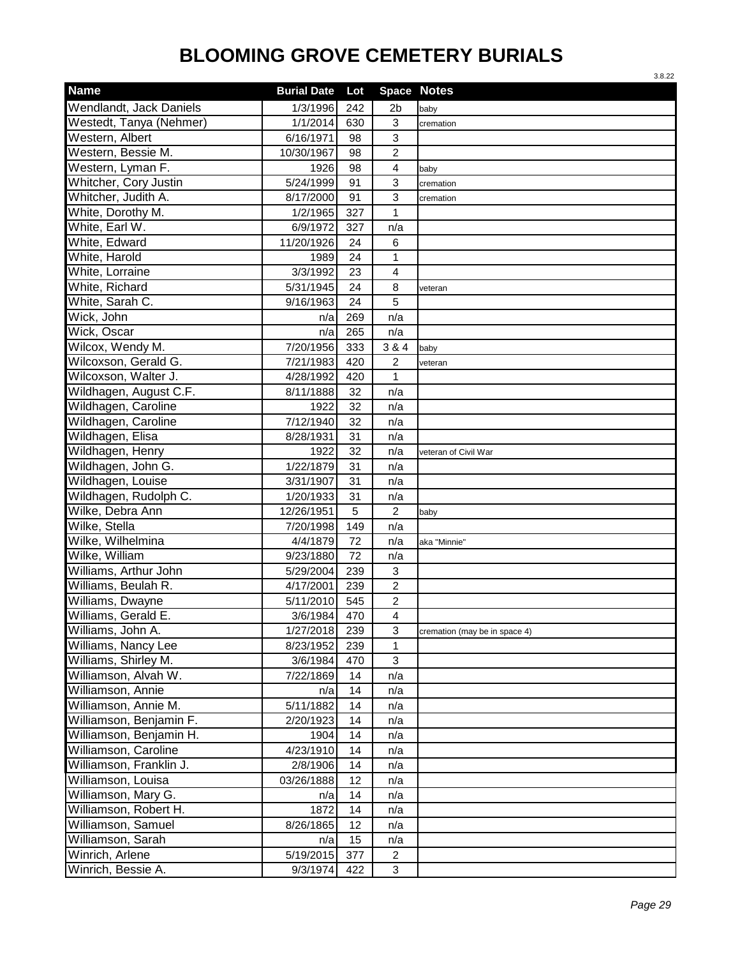|                                |                        |     |                    | 3.8.22                        |
|--------------------------------|------------------------|-----|--------------------|-------------------------------|
| <b>Name</b>                    | <b>Burial Date</b>     | Lot | <b>Space Notes</b> |                               |
| <b>Wendlandt, Jack Daniels</b> | 1/3/1996               | 242 | 2b                 | baby                          |
| Westedt, Tanya (Nehmer)        | 1/1/2014               | 630 | 3                  | cremation                     |
| Western, Albert                | $\frac{1}{6}$ /16/1971 | 98  | 3                  |                               |
| Western, Bessie M.             | 10/30/1967             | 98  | $\overline{c}$     |                               |
| Western, Lyman F.              | 1926                   | 98  | 4                  | baby                          |
| Whitcher, Cory Justin          | 5/24/1999              | 91  | 3                  | cremation                     |
| Whitcher, Judith A.            | 8/17/2000              | 91  | 3                  | cremation                     |
| White, Dorothy M.              | 1/2/1965               | 327 | $\mathbf{1}$       |                               |
| White, Earl W.                 | 6/9/1972               | 327 | n/a                |                               |
| White, Edward                  | 11/20/1926             | 24  | 6                  |                               |
| White, Harold                  | 1989                   | 24  | $\mathbf 1$        |                               |
| White, Lorraine                | 3/3/1992               | 23  | 4                  |                               |
| White, Richard                 | 5/31/1945              | 24  | 8                  | veteran                       |
| White, Sarah C.                | 9/16/1963              | 24  | 5                  |                               |
| Wick, John                     | n/a                    | 269 | n/a                |                               |
| Wick, Oscar                    | n/a                    | 265 | n/a                |                               |
| Wilcox, Wendy M.               | 7/20/1956              | 333 | 3 & 4              | baby                          |
| Wilcoxson, Gerald G.           | 7/21/1983              | 420 | 2                  | veteran                       |
| Wilcoxson, Walter J.           | 4/28/1992              | 420 | 1                  |                               |
| Wildhagen, August C.F.         | 8/11/1888              | 32  | n/a                |                               |
| Wildhagen, Caroline            | 1922                   | 32  | n/a                |                               |
| Wildhagen, Caroline            | 7/12/1940              | 32  | n/a                |                               |
| Wildhagen, Elisa               | 8/28/1931              | 31  | n/a                |                               |
| Wildhagen, Henry               | 1922                   | 32  | n/a                | veteran of Civil War          |
| Wildhagen, John G.             | 1/22/1879              | 31  | n/a                |                               |
| Wildhagen, Louise              | 3/31/1907              | 31  | n/a                |                               |
| Wildhagen, Rudolph C.          | 1/20/1933              | 31  | n/a                |                               |
| Wilke, Debra Ann               | 12/26/1951             | 5   | $\overline{2}$     | baby                          |
| Wilke, Stella                  | 7/20/1998              | 149 | n/a                |                               |
| Wilke, Wilhelmina              | 4/4/1879               | 72  | n/a                | aka "Minnie"                  |
| Wilke, William                 | 9/23/1880              | 72  | n/a                |                               |
| Williams, Arthur John          | 5/29/2004              | 239 | 3                  |                               |
| Williams, Beulah R.            | 4/17/2001              | 239 | $\overline{c}$     |                               |
| Williams, Dwayne               | 5/11/2010              | 545 | $\overline{c}$     |                               |
| Williams, Gerald E.            | 3/6/1984               | 470 | $\overline{4}$     |                               |
| Williams, John A.              | 1/27/2018              | 239 | $\mathbf{3}$       | cremation (may be in space 4) |
| Williams, Nancy Lee            | 8/23/1952              | 239 | 1                  |                               |
| Williams, Shirley M.           | 3/6/1984               | 470 | $\mathbf{3}$       |                               |
| Williamson, Alvah W.           | 7/22/1869              | 14  | n/a                |                               |
| Williamson, Annie              | n/a                    | 14  | n/a                |                               |
| Williamson, Annie M.           | 5/11/1882              | 14  | n/a                |                               |
| Williamson, Benjamin F.        | 2/20/1923              | 14  | n/a                |                               |
| Williamson, Benjamin H.        | 1904                   | 14  | n/a                |                               |
| Williamson, Caroline           | 4/23/1910              | 14  | n/a                |                               |
| Williamson, Franklin J.        | 2/8/1906               | 14  | n/a                |                               |
| Williamson, Louisa             | 03/26/1888             | 12  | n/a                |                               |
| Williamson, Mary G.            | n/a                    | 14  | n/a                |                               |
| Williamson, Robert H.          | 1872                   | 14  | n/a                |                               |
| Williamson, Samuel             | 8/26/1865              | 12  | n/a                |                               |
| Williamson, Sarah              | n/a                    | 15  | n/a                |                               |
| Winrich, Arlene                | 5/19/2015              | 377 | $\overline{2}$     |                               |
| Winrich, Bessie A.             | 9/3/1974               | 422 | $\sqrt{3}$         |                               |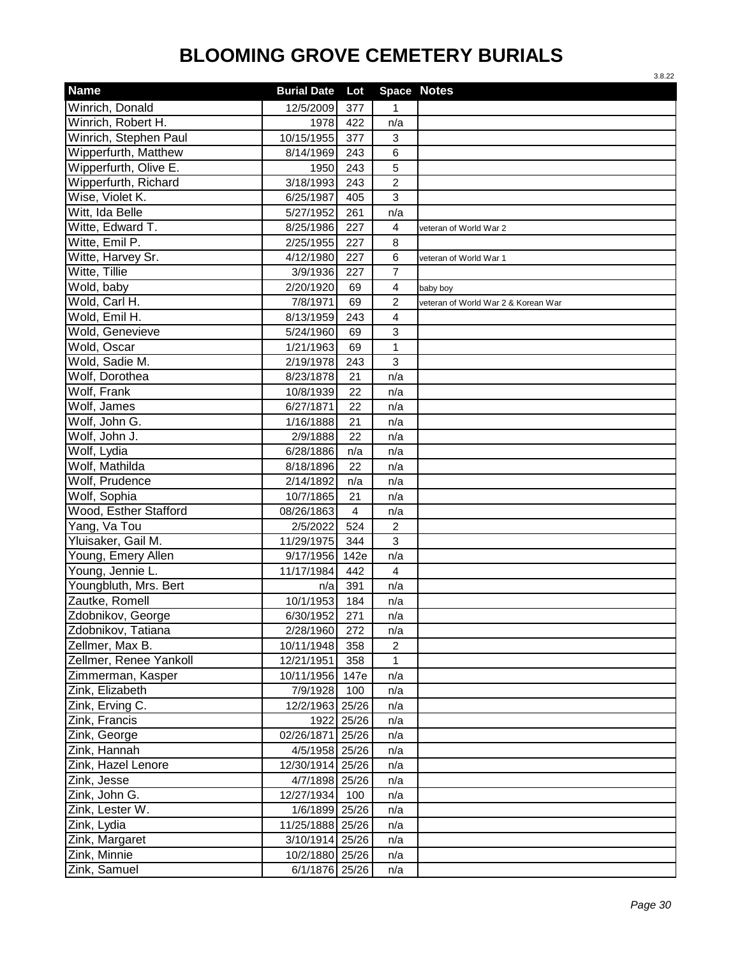|                              |                          |                |                | 3.8.22                              |
|------------------------------|--------------------------|----------------|----------------|-------------------------------------|
| <b>Name</b>                  | <b>Burial Date</b>       | Lot            |                | <b>Space Notes</b>                  |
| Winrich, Donald              | 12/5/2009                | 377            | 1              |                                     |
| Winrich, Robert H.           | 1978                     | 422            | n/a            |                                     |
| Winrich, Stephen Paul        | 10/15/1955               | 377            | 3              |                                     |
| Wipperfurth, Matthew         | 8/14/1969                | 243            | 6              |                                     |
| Wipperfurth, Olive E.        | 1950                     | 243            | 5              |                                     |
| Wipperfurth, Richard         | 3/18/1993                | 243            | $\overline{c}$ |                                     |
| Wise, Violet K.              | 6/25/1987                | 405            | $\mathfrak{S}$ |                                     |
| Witt, Ida Belle              | 5/27/1952                | 261            | n/a            |                                     |
| Witte, Edward T.             | 8/25/1986                | 227            | $\overline{4}$ | veteran of World War 2              |
| Witte, Emil P.               | 2/25/1955                | 227            | 8              |                                     |
| Witte, Harvey Sr.            | 4/12/1980                | 227            | 6              | veteran of World War 1              |
| Witte, Tillie                | 3/9/1936                 | 227            | $\overline{7}$ |                                     |
| Wold, baby                   | 2/20/1920                | 69             | $\overline{4}$ | baby boy                            |
| Wold, Carl H.                | 7/8/1971                 | 69             | $\overline{c}$ | veteran of World War 2 & Korean War |
| Wold, Emil H.                | 8/13/1959                | 243            | $\overline{4}$ |                                     |
| Wold, Genevieve              | 5/24/1960                | 69             | 3              |                                     |
| Wold, Oscar                  | 1/21/1963                | 69             | $\mathbf{1}$   |                                     |
| Wold, Sadie M.               | 2/19/1978                | 243            | 3              |                                     |
| Wolf, Dorothea               | 8/23/1878                | 21             | n/a            |                                     |
| Wolf, Frank                  | 10/8/1939                | 22             | n/a            |                                     |
| Wolf, James                  | 6/27/1871                | 22             | n/a            |                                     |
| Wolf, John G.                | 1/16/1888                | 21             | n/a            |                                     |
| Wolf, John J.                | 2/9/1888                 | 22             | n/a            |                                     |
| Wolf, Lydia                  | 6/28/1886                | n/a            | n/a            |                                     |
| Wolf, Mathilda               | 8/18/1896                | 22             | n/a            |                                     |
| Wolf, Prudence               | 2/14/1892                | n/a            | n/a            |                                     |
| Wolf, Sophia                 | 10/7/1865                | 21             | n/a            |                                     |
| Wood, Esther Stafford        | 08/26/1863               | $\overline{4}$ | n/a            |                                     |
| Yang, Va Tou                 | 2/5/2022                 | 524            | $\overline{c}$ |                                     |
| Yluisaker, Gail M.           | 11/29/1975               | 344            | 3              |                                     |
| Young, Emery Allen           | 9/17/1956                | 142e           | n/a            |                                     |
| Young, Jennie L.             | 11/17/1984               | 442            | 4              |                                     |
| Youngbluth, Mrs. Bert        | n/a                      | 391            | n/a            |                                     |
| Zautke, Romell               | 10/1/1953                | 184            | n/a            |                                     |
| Zdobnikov, George            | 6/30/1952                | 271            | n/a            |                                     |
| Zdobnikov, Tatiana           | 2/28/1960                | 272            | n/a            |                                     |
| Zellmer, Max B.              | 10/11/1948               | 358            | $\overline{c}$ |                                     |
| Zellmer, Renee Yankoll       | 12/21/1951               | 358            | 1              |                                     |
| Zimmerman, Kasper            | 10/11/1956 147e          |                | n/a            |                                     |
| Zink, Elizabeth              | 7/9/1928                 | 100            | n/a            |                                     |
| Zink, Erving C.              | 12/2/1963 25/26          |                | n/a            |                                     |
| Zink, Francis                | 1922<br>02/26/1871 25/26 | 25/26          | n/a            |                                     |
| Zink, George<br>Zink, Hannah | 4/5/1958 25/26           |                | n/a            |                                     |
| Zink, Hazel Lenore           | 12/30/1914 25/26         |                | n/a<br>n/a     |                                     |
| Zink, Jesse                  | 4/7/1898 25/26           |                |                |                                     |
| Zink, John G.                | 12/27/1934               |                | n/a            |                                     |
| Zink, Lester W.              | 1/6/1899 25/26           | 100            | n/a<br>n/a     |                                     |
| Zink, Lydia                  | 11/25/1888 25/26         |                | n/a            |                                     |
| Zink, Margaret               | 3/10/1914 25/26          |                | n/a            |                                     |
| Zink, Minnie                 | 10/2/1880 25/26          |                | n/a            |                                     |
| Zink, Samuel                 | 6/1/1876 25/26           |                | n/a            |                                     |
|                              |                          |                |                |                                     |